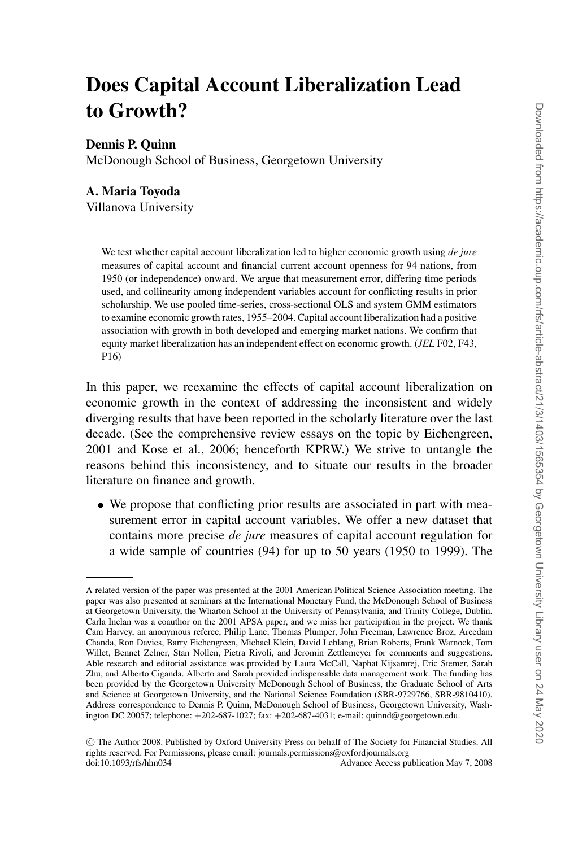# **Does Capital Account Liberalization Lead to Growth?**

# **Dennis P. Quinn**

McDonough School of Business, Georgetown University

# **A. Maria Toyoda**

Villanova University

We test whether capital account liberalization led to higher economic growth using *de jure* measures of capital account and financial current account openness for 94 nations, from 1950 (or independence) onward. We argue that measurement error, differing time periods used, and collinearity among independent variables account for conflicting results in prior scholarship. We use pooled time-series, cross-sectional OLS and system GMM estimators to examine economic growth rates, 1955–2004. Capital account liberalization had a positive association with growth in both developed and emerging market nations. We confirm that equity market liberalization has an independent effect on economic growth. (*JEL* F02, F43, P16)

In this paper, we reexamine the effects of capital account liberalization on economic growth in the context of addressing the inconsistent and widely diverging results that have been reported in the scholarly literature over the last decade. (See the comprehensive review essays on the topic by Eichengreen, 2001 and Kose et al., 2006; henceforth KPRW.) We strive to untangle the reasons behind this inconsistency, and to situate our results in the broader literature on finance and growth.

• We propose that conflicting prior results are associated in part with measurement error in capital account variables. We offer a new dataset that contains more precise *de jure* measures of capital account regulation for a wide sample of countries (94) for up to 50 years (1950 to 1999). The

A related version of the paper was presented at the 2001 American Political Science Association meeting. The paper was also presented at seminars at the International Monetary Fund, the McDonough School of Business at Georgetown University, the Wharton School at the University of Pennsylvania, and Trinity College, Dublin. Carla Inclan was a coauthor on the 2001 APSA paper, and we miss her participation in the project. We thank Cam Harvey, an anonymous referee, Philip Lane, Thomas Plumper, John Freeman, Lawrence Broz, Areedam Chanda, Ron Davies, Barry Eichengreen, Michael Klein, David Leblang, Brian Roberts, Frank Warnock, Tom Willet, Bennet Zelner, Stan Nollen, Pietra Rivoli, and Jeromin Zettlemeyer for comments and suggestions. Able research and editorial assistance was provided by Laura McCall, Naphat Kijsamrej, Eric Stemer, Sarah Zhu, and Alberto Ciganda. Alberto and Sarah provided indispensable data management work. The funding has been provided by the Georgetown University McDonough School of Business, the Graduate School of Arts and Science at Georgetown University, and the National Science Foundation (SBR-9729766, SBR-9810410). Address correspondence to Dennis P. Quinn, McDonough School of Business, Georgetown University, Washington DC 20057; telephone: +202-687-1027; fax: +202-687-4031; e-mail: quinnd@georgetown.edu.

<sup>C</sup> The Author 2008. Published by Oxford University Press on behalf of The Society for Financial Studies. All rights reserved. For Permissions, please email: journals.permissions@oxfordjournals.org doi:10.1093/rfs/hhn034 Advance Access publication May 7, 2008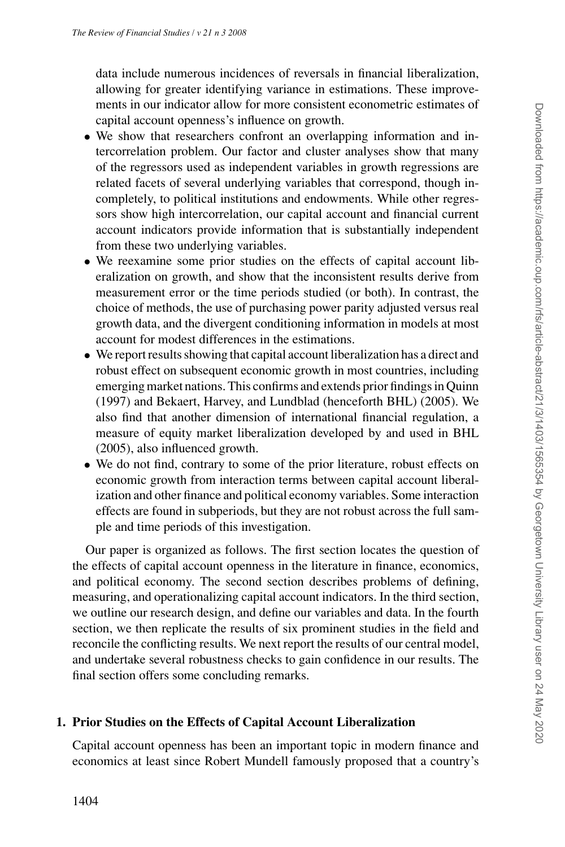data include numerous incidences of reversals in financial liberalization, allowing for greater identifying variance in estimations. These improvements in our indicator allow for more consistent econometric estimates of capital account openness's influence on growth.

- We show that researchers confront an overlapping information and intercorrelation problem. Our factor and cluster analyses show that many of the regressors used as independent variables in growth regressions are related facets of several underlying variables that correspond, though incompletely, to political institutions and endowments. While other regressors show high intercorrelation, our capital account and financial current account indicators provide information that is substantially independent from these two underlying variables.
- We reexamine some prior studies on the effects of capital account liberalization on growth, and show that the inconsistent results derive from measurement error or the time periods studied (or both). In contrast, the choice of methods, the use of purchasing power parity adjusted versus real growth data, and the divergent conditioning information in models at most account for modest differences in the estimations.
- We report results showing that capital account liberalization has a direct and robust effect on subsequent economic growth in most countries, including emerging market nations. This confirms and extends prior findings in Quinn (1997) and Bekaert, Harvey, and Lundblad (henceforth BHL) (2005). We also find that another dimension of international financial regulation, a measure of equity market liberalization developed by and used in BHL (2005), also influenced growth.
- We do not find, contrary to some of the prior literature, robust effects on economic growth from interaction terms between capital account liberalization and other finance and political economy variables. Some interaction effects are found in subperiods, but they are not robust across the full sample and time periods of this investigation.

Our paper is organized as follows. The first section locates the question of the effects of capital account openness in the literature in finance, economics, and political economy. The second section describes problems of defining, measuring, and operationalizing capital account indicators. In the third section, we outline our research design, and define our variables and data. In the fourth section, we then replicate the results of six prominent studies in the field and reconcile the conflicting results. We next report the results of our central model, and undertake several robustness checks to gain confidence in our results. The final section offers some concluding remarks.

# **1. Prior Studies on the Effects of Capital Account Liberalization**

Capital account openness has been an important topic in modern finance and economics at least since Robert Mundell famously proposed that a country's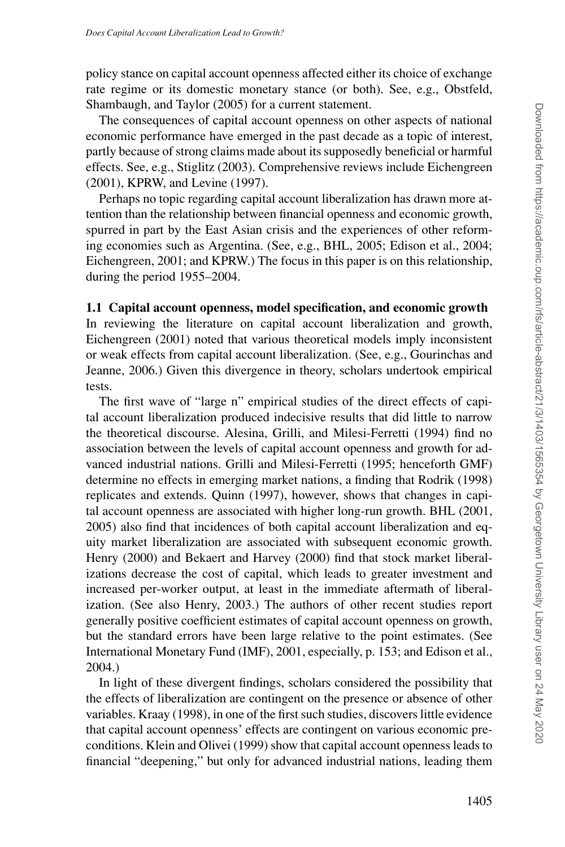policy stance on capital account openness affected either its choice of exchange rate regime or its domestic monetary stance (or both). See, e.g., Obstfeld, Shambaugh, and Taylor (2005) for a current statement.

The consequences of capital account openness on other aspects of national economic performance have emerged in the past decade as a topic of interest, partly because of strong claims made about its supposedly beneficial or harmful effects. See, e.g., Stiglitz (2003). Comprehensive reviews include Eichengreen (2001), KPRW, and Levine (1997).

Perhaps no topic regarding capital account liberalization has drawn more attention than the relationship between financial openness and economic growth, spurred in part by the East Asian crisis and the experiences of other reforming economies such as Argentina. (See, e.g., BHL, 2005; Edison et al., 2004; Eichengreen, 2001; and KPRW.) The focus in this paper is on this relationship, during the period 1955–2004.

# **1.1 Capital account openness, model specification, and economic growth**

In reviewing the literature on capital account liberalization and growth, Eichengreen (2001) noted that various theoretical models imply inconsistent or weak effects from capital account liberalization. (See, e.g., Gourinchas and Jeanne, 2006.) Given this divergence in theory, scholars undertook empirical tests.

The first wave of "large n" empirical studies of the direct effects of capital account liberalization produced indecisive results that did little to narrow the theoretical discourse. Alesina, Grilli, and Milesi-Ferretti (1994) find no association between the levels of capital account openness and growth for advanced industrial nations. Grilli and Milesi-Ferretti (1995; henceforth GMF) determine no effects in emerging market nations, a finding that Rodrik (1998) replicates and extends. Quinn (1997), however, shows that changes in capital account openness are associated with higher long-run growth. BHL (2001, 2005) also find that incidences of both capital account liberalization and equity market liberalization are associated with subsequent economic growth. Henry (2000) and Bekaert and Harvey (2000) find that stock market liberalizations decrease the cost of capital, which leads to greater investment and increased per-worker output, at least in the immediate aftermath of liberalization. (See also Henry, 2003.) The authors of other recent studies report generally positive coefficient estimates of capital account openness on growth, but the standard errors have been large relative to the point estimates. (See International Monetary Fund (IMF), 2001, especially, p. 153; and Edison et al., 2004.)

In light of these divergent findings, scholars considered the possibility that the effects of liberalization are contingent on the presence or absence of other variables. Kraay (1998), in one of the first such studies, discovers little evidence that capital account openness' effects are contingent on various economic preconditions. Klein and Olivei (1999) show that capital account openness leads to financial "deepening," but only for advanced industrial nations, leading them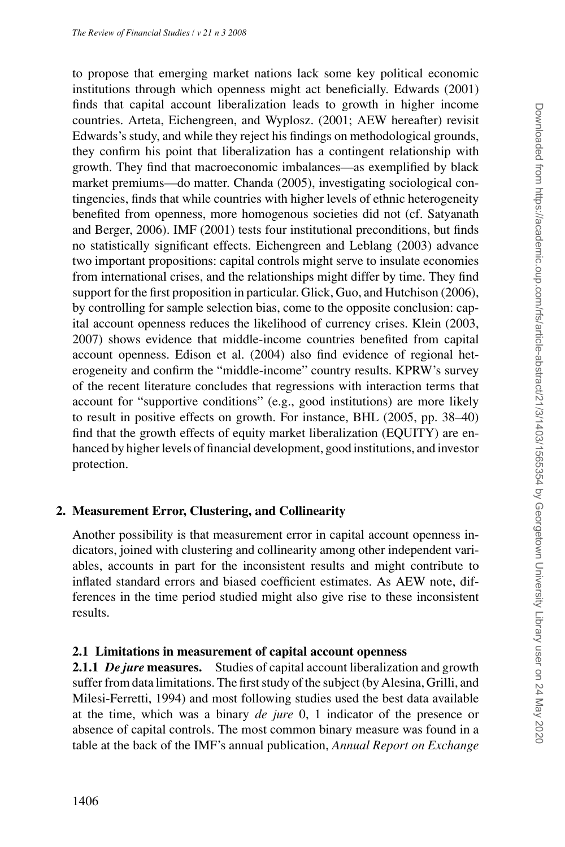to propose that emerging market nations lack some key political economic institutions through which openness might act beneficially. Edwards (2001) finds that capital account liberalization leads to growth in higher income countries. Arteta, Eichengreen, and Wyplosz. (2001; AEW hereafter) revisit Edwards's study, and while they reject his findings on methodological grounds, they confirm his point that liberalization has a contingent relationship with growth. They find that macroeconomic imbalances—as exemplified by black market premiums—do matter. Chanda (2005), investigating sociological contingencies, finds that while countries with higher levels of ethnic heterogeneity benefited from openness, more homogenous societies did not (cf. Satyanath and Berger, 2006). IMF (2001) tests four institutional preconditions, but finds no statistically significant effects. Eichengreen and Leblang (2003) advance two important propositions: capital controls might serve to insulate economies from international crises, and the relationships might differ by time. They find support for the first proposition in particular. Glick, Guo, and Hutchison (2006), by controlling for sample selection bias, come to the opposite conclusion: capital account openness reduces the likelihood of currency crises. Klein (2003, 2007) shows evidence that middle-income countries benefited from capital account openness. Edison et al. (2004) also find evidence of regional heterogeneity and confirm the "middle-income" country results. KPRW's survey of the recent literature concludes that regressions with interaction terms that account for "supportive conditions" (e.g., good institutions) are more likely to result in positive effects on growth. For instance, BHL (2005, pp. 38–40) find that the growth effects of equity market liberalization (EQUITY) are enhanced by higher levels of financial development, good institutions, and investor protection.

# **2. Measurement Error, Clustering, and Collinearity**

Another possibility is that measurement error in capital account openness indicators, joined with clustering and collinearity among other independent variables, accounts in part for the inconsistent results and might contribute to inflated standard errors and biased coefficient estimates. As AEW note, differences in the time period studied might also give rise to these inconsistent results.

# **2.1 Limitations in measurement of capital account openness**

**2.1.1** *De jure* **measures.** Studies of capital account liberalization and growth suffer from data limitations. The first study of the subject (by Alesina, Grilli, and Milesi-Ferretti, 1994) and most following studies used the best data available at the time, which was a binary *de jure* 0, 1 indicator of the presence or absence of capital controls. The most common binary measure was found in a table at the back of the IMF's annual publication, *Annual Report on Exchange*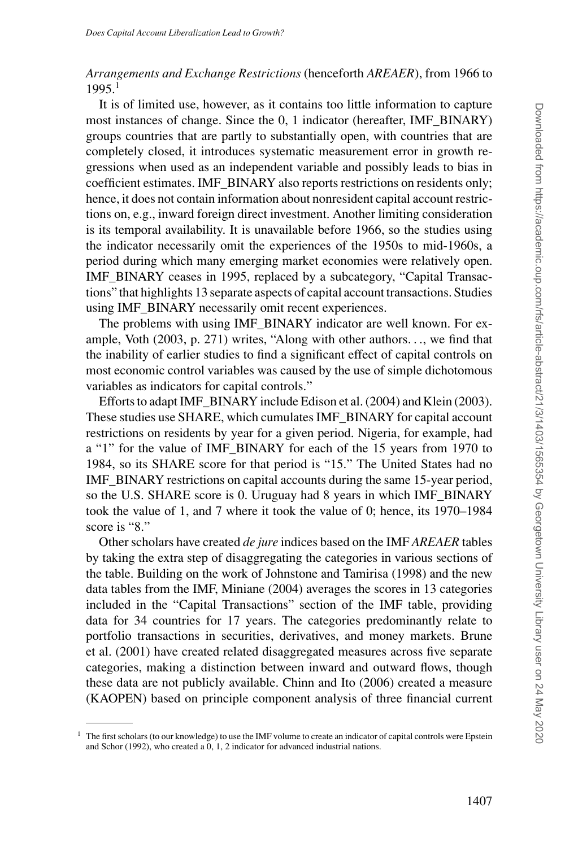# *Arrangements and Exchange Restrictions* (henceforth *AREAER*), from 1966 to 1995.<sup>1</sup>

It is of limited use, however, as it contains too little information to capture most instances of change. Since the 0, 1 indicator (hereafter, IMF\_BINARY) groups countries that are partly to substantially open, with countries that are completely closed, it introduces systematic measurement error in growth regressions when used as an independent variable and possibly leads to bias in coefficient estimates. IMF\_BINARY also reports restrictions on residents only; hence, it does not contain information about nonresident capital account restrictions on, e.g., inward foreign direct investment. Another limiting consideration is its temporal availability. It is unavailable before 1966, so the studies using the indicator necessarily omit the experiences of the 1950s to mid-1960s, a period during which many emerging market economies were relatively open. IMF\_BINARY ceases in 1995, replaced by a subcategory, "Capital Transactions" that highlights 13 separate aspects of capital account transactions. Studies using IMF\_BINARY necessarily omit recent experiences.

The problems with using IMF\_BINARY indicator are well known. For example, Voth (2003, p. 271) writes, "Along with other authors..., we find that the inability of earlier studies to find a significant effect of capital controls on most economic control variables was caused by the use of simple dichotomous variables as indicators for capital controls."

Efforts to adapt IMF\_BINARY include Edison et al. (2004) and Klein (2003). These studies use SHARE, which cumulates IMF\_BINARY for capital account restrictions on residents by year for a given period. Nigeria, for example, had a "1" for the value of IMF\_BINARY for each of the 15 years from 1970 to 1984, so its SHARE score for that period is "15." The United States had no IMF\_BINARY restrictions on capital accounts during the same 15-year period, so the U.S. SHARE score is 0. Uruguay had 8 years in which IMF\_BINARY took the value of 1, and 7 where it took the value of 0; hence, its 1970–1984 score is "8."

Other scholars have created *de jure* indices based on the IMF *AREAER* tables by taking the extra step of disaggregating the categories in various sections of the table. Building on the work of Johnstone and Tamirisa (1998) and the new data tables from the IMF, Miniane (2004) averages the scores in 13 categories included in the "Capital Transactions" section of the IMF table, providing data for 34 countries for 17 years. The categories predominantly relate to portfolio transactions in securities, derivatives, and money markets. Brune et al. (2001) have created related disaggregated measures across five separate categories, making a distinction between inward and outward flows, though these data are not publicly available. Chinn and Ito (2006) created a measure (KAOPEN) based on principle component analysis of three financial current

<sup>&</sup>lt;sup>1</sup> The first scholars (to our knowledge) to use the IMF volume to create an indicator of capital controls were Epstein and Schor (1992), who created a 0, 1, 2 indicator for advanced industrial nations.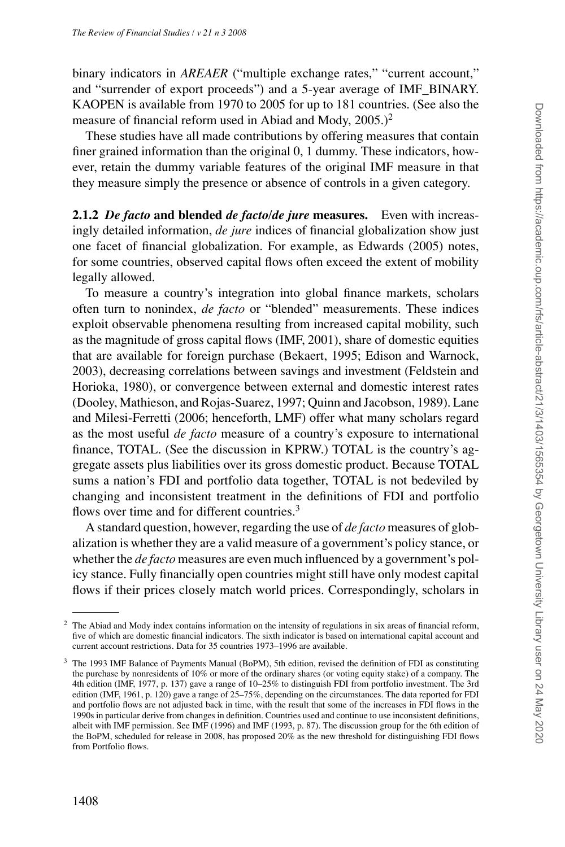binary indicators in *AREAER* ("multiple exchange rates," "current account," and "surrender of export proceeds") and a 5-year average of IMF\_BINARY. KAOPEN is available from 1970 to 2005 for up to 181 countries. (See also the measure of financial reform used in Abiad and Mody, 2005.)<sup>2</sup>

These studies have all made contributions by offering measures that contain finer grained information than the original 0, 1 dummy. These indicators, however, retain the dummy variable features of the original IMF measure in that they measure simply the presence or absence of controls in a given category.

**2.1.2** *De facto* **and blended** *de facto/de jure* **measures.** Even with increasingly detailed information, *de jure* indices of financial globalization show just one facet of financial globalization. For example, as Edwards (2005) notes, for some countries, observed capital flows often exceed the extent of mobility legally allowed.

To measure a country's integration into global finance markets, scholars often turn to nonindex, *de facto* or "blended" measurements. These indices exploit observable phenomena resulting from increased capital mobility, such as the magnitude of gross capital flows (IMF, 2001), share of domestic equities that are available for foreign purchase (Bekaert, 1995; Edison and Warnock, 2003), decreasing correlations between savings and investment (Feldstein and Horioka, 1980), or convergence between external and domestic interest rates (Dooley, Mathieson, and Rojas-Suarez, 1997; Quinn and Jacobson, 1989). Lane and Milesi-Ferretti (2006; henceforth, LMF) offer what many scholars regard as the most useful *de facto* measure of a country's exposure to international finance, TOTAL. (See the discussion in KPRW.) TOTAL is the country's aggregate assets plus liabilities over its gross domestic product. Because TOTAL sums a nation's FDI and portfolio data together, TOTAL is not bedeviled by changing and inconsistent treatment in the definitions of FDI and portfolio flows over time and for different countries.<sup>3</sup>

A standard question, however, regarding the use of *de facto* measures of globalization is whether they are a valid measure of a government's policy stance, or whether the *de facto* measures are even much influenced by a government's policy stance. Fully financially open countries might still have only modest capital flows if their prices closely match world prices. Correspondingly, scholars in

<sup>&</sup>lt;sup>2</sup> The Abiad and Mody index contains information on the intensity of regulations in six areas of financial reform, five of which are domestic financial indicators. The sixth indicator is based on international capital account and current account restrictions. Data for 35 countries 1973–1996 are available.

<sup>&</sup>lt;sup>3</sup> The 1993 IMF Balance of Payments Manual (BoPM), 5th edition, revised the definition of FDI as constituting the purchase by nonresidents of 10% or more of the ordinary shares (or voting equity stake) of a company. The 4th edition (IMF, 1977, p. 137) gave a range of 10–25% to distinguish FDI from portfolio investment. The 3rd edition (IMF, 1961, p. 120) gave a range of 25–75%, depending on the circumstances. The data reported for FDI and portfolio flows are not adjusted back in time, with the result that some of the increases in FDI flows in the 1990s in particular derive from changes in definition. Countries used and continue to use inconsistent definitions, albeit with IMF permission. See IMF (1996) and IMF (1993, p. 87). The discussion group for the 6th edition of the BoPM, scheduled for release in 2008, has proposed 20% as the new threshold for distinguishing FDI flows from Portfolio flows.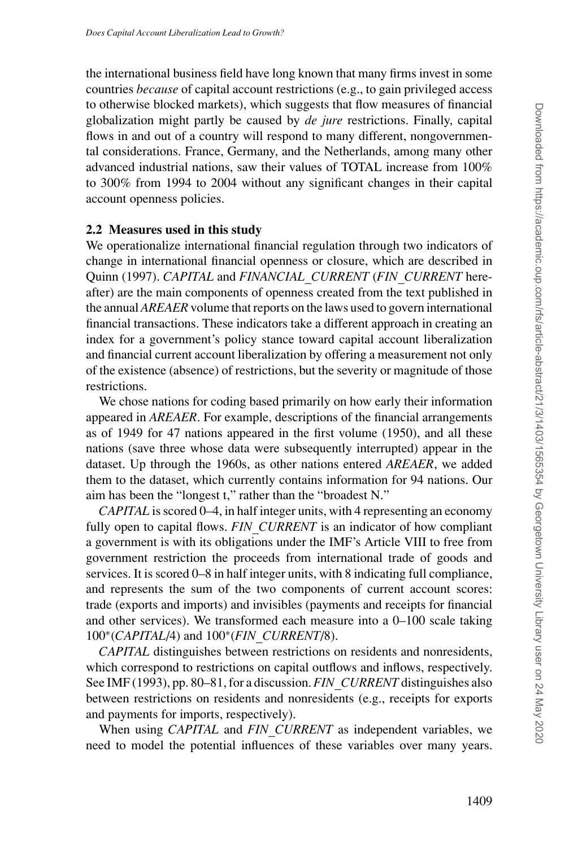the international business field have long known that many firms invest in some countries *because* of capital account restrictions (e.g., to gain privileged access to otherwise blocked markets), which suggests that flow measures of financial globalization might partly be caused by *de jure* restrictions. Finally, capital flows in and out of a country will respond to many different, nongovernmental considerations. France, Germany, and the Netherlands, among many other advanced industrial nations, saw their values of TOTAL increase from 100% to 300% from 1994 to 2004 without any significant changes in their capital account openness policies.

# **2.2 Measures used in this study**

We operationalize international financial regulation through two indicators of change in international financial openness or closure, which are described in Quinn (1997). *CAPITAL* and *FINANCIAL\_CURRENT* (*FIN\_CURRENT* hereafter) are the main components of openness created from the text published in the annual *AREAER* volume that reports on the laws used to govern international financial transactions. These indicators take a different approach in creating an index for a government's policy stance toward capital account liberalization and financial current account liberalization by offering a measurement not only of the existence (absence) of restrictions, but the severity or magnitude of those restrictions.

We chose nations for coding based primarily on how early their information appeared in *AREAER*. For example, descriptions of the financial arrangements as of 1949 for 47 nations appeared in the first volume (1950), and all these nations (save three whose data were subsequently interrupted) appear in the dataset. Up through the 1960s, as other nations entered *AREAER*, we added them to the dataset, which currently contains information for 94 nations. Our aim has been the "longest t," rather than the "broadest N."

*CAPITAL* is scored 0–4, in half integer units, with 4 representing an economy fully open to capital flows. *FIN\_CURRENT* is an indicator of how compliant a government is with its obligations under the IMF's Article VIII to free from government restriction the proceeds from international trade of goods and services. It is scored 0–8 in half integer units, with 8 indicating full compliance, and represents the sum of the two components of current account scores: trade (exports and imports) and invisibles (payments and receipts for financial and other services). We transformed each measure into a 0–100 scale taking 100∗(*CAPITAL*/4) and 100∗(*FIN\_CURRENT*/8).

*CAPITAL* distinguishes between restrictions on residents and nonresidents, which correspond to restrictions on capital outflows and inflows, respectively. See IMF (1993), pp. 80–81, for a discussion. *FIN\_CURRENT* distinguishes also between restrictions on residents and nonresidents (e.g., receipts for exports and payments for imports, respectively).

When using *CAPITAL* and *FIN\_CURRENT* as independent variables, we need to model the potential influences of these variables over many years.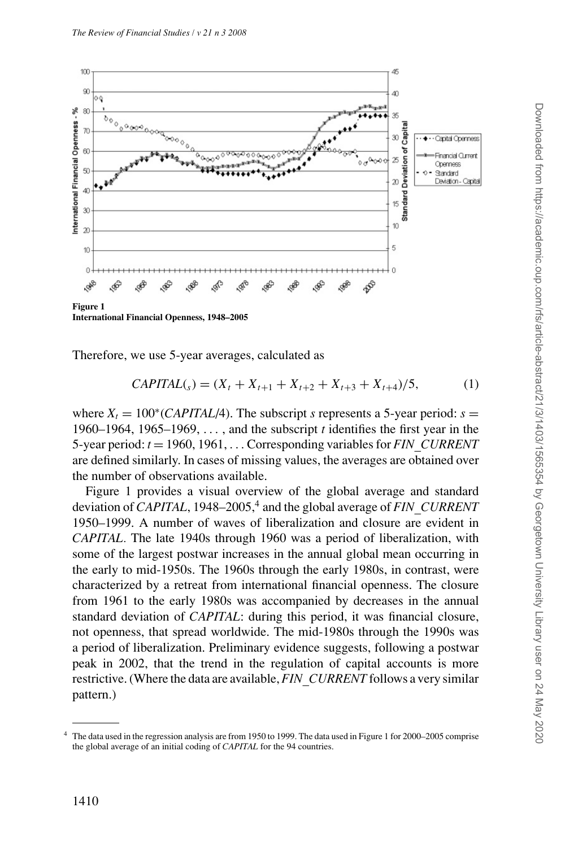

Therefore, we use 5-year averages, calculated as

$$
CAPITAL(s) = (X_t + X_{t+1} + X_{t+2} + X_{t+3} + X_{t+4})/5, \tag{1}
$$

where  $X_t = 100^*(CAPITAL/4)$ . The subscript *s* represents a 5-year period: *s* = 1960–1964, 1965–1969, ... , and the subscript *t* identifies the first year in the 5-year period: *t* = 1960, 1961, ... Corresponding variables for *FIN\_CURRENT* are defined similarly. In cases of missing values, the averages are obtained over the number of observations available.

Figure 1 provides a visual overview of the global average and standard deviation of *CAPITAL*, 1948–2005,<sup>4</sup> and the global average of *FIN* CURRENT 1950–1999. A number of waves of liberalization and closure are evident in *CAPITAL.* The late 1940s through 1960 was a period of liberalization, with some of the largest postwar increases in the annual global mean occurring in the early to mid-1950s. The 1960s through the early 1980s, in contrast, were characterized by a retreat from international financial openness. The closure from 1961 to the early 1980s was accompanied by decreases in the annual standard deviation of *CAPITAL*: during this period, it was financial closure, not openness, that spread worldwide. The mid-1980s through the 1990s was a period of liberalization. Preliminary evidence suggests, following a postwar peak in 2002, that the trend in the regulation of capital accounts is more restrictive. (Where the data are available, *FIN\_CURRENT* follows a very similar pattern.)

<sup>4</sup> The data used in the regression analysis are from 1950 to 1999. The data used in Figure 1 for 2000–2005 comprise the global average of an initial coding of *CAPITAL* for the 94 countries.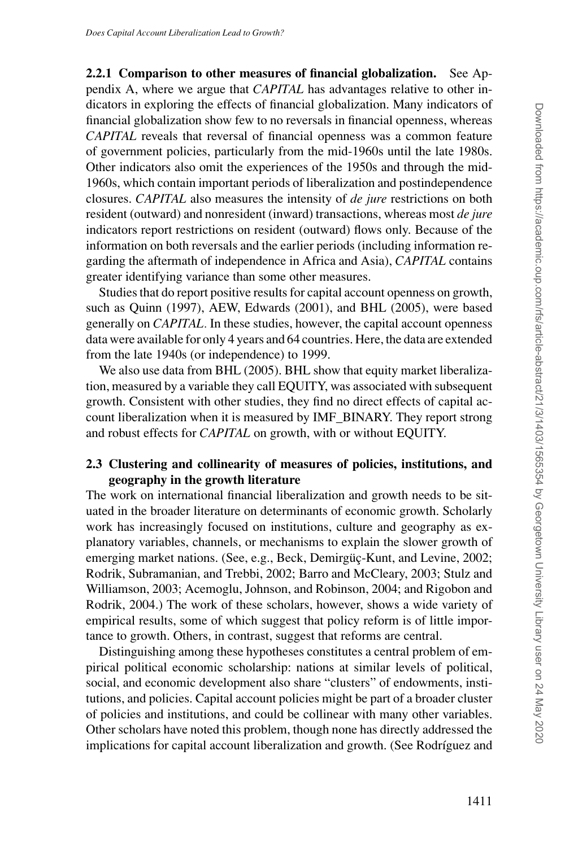**2.2.1 Comparison to other measures of financial globalization.** See Appendix A, where we argue that *CAPITAL* has advantages relative to other indicators in exploring the effects of financial globalization. Many indicators of financial globalization show few to no reversals in financial openness, whereas *CAPITAL* reveals that reversal of financial openness was a common feature of government policies, particularly from the mid-1960s until the late 1980s. Other indicators also omit the experiences of the 1950s and through the mid-1960s, which contain important periods of liberalization and postindependence closures. *CAPITAL* also measures the intensity of *de jure* restrictions on both resident (outward) and nonresident (inward) transactions, whereas most *de jure* indicators report restrictions on resident (outward) flows only. Because of the information on both reversals and the earlier periods (including information regarding the aftermath of independence in Africa and Asia), *CAPITAL* contains greater identifying variance than some other measures.

Studies that do report positive results for capital account openness on growth, such as Quinn (1997), AEW, Edwards (2001), and BHL (2005), were based generally on *CAPITAL.* In these studies, however, the capital account openness data were available for only 4 years and 64 countries. Here, the data are extended from the late 1940s (or independence) to 1999.

We also use data from BHL (2005). BHL show that equity market liberalization, measured by a variable they call EQUITY, was associated with subsequent growth. Consistent with other studies, they find no direct effects of capital account liberalization when it is measured by IMF\_BINARY. They report strong and robust effects for *CAPITAL* on growth, with or without EQUITY.

# **2.3 Clustering and collinearity of measures of policies, institutions, and geography in the growth literature**

The work on international financial liberalization and growth needs to be situated in the broader literature on determinants of economic growth. Scholarly work has increasingly focused on institutions, culture and geography as explanatory variables, channels, or mechanisms to explain the slower growth of emerging market nations. (See, e.g., Beck, Demirgüç-Kunt, and Levine, 2002; Rodrik, Subramanian, and Trebbi, 2002; Barro and McCleary, 2003; Stulz and Williamson, 2003; Acemoglu, Johnson, and Robinson, 2004; and Rigobon and Rodrik, 2004.) The work of these scholars, however, shows a wide variety of empirical results, some of which suggest that policy reform is of little importance to growth. Others, in contrast, suggest that reforms are central.

Distinguishing among these hypotheses constitutes a central problem of empirical political economic scholarship: nations at similar levels of political, social, and economic development also share "clusters" of endowments, institutions, and policies. Capital account policies might be part of a broader cluster of policies and institutions, and could be collinear with many other variables. Other scholars have noted this problem, though none has directly addressed the implications for capital account liberalization and growth. (See Rodríguez and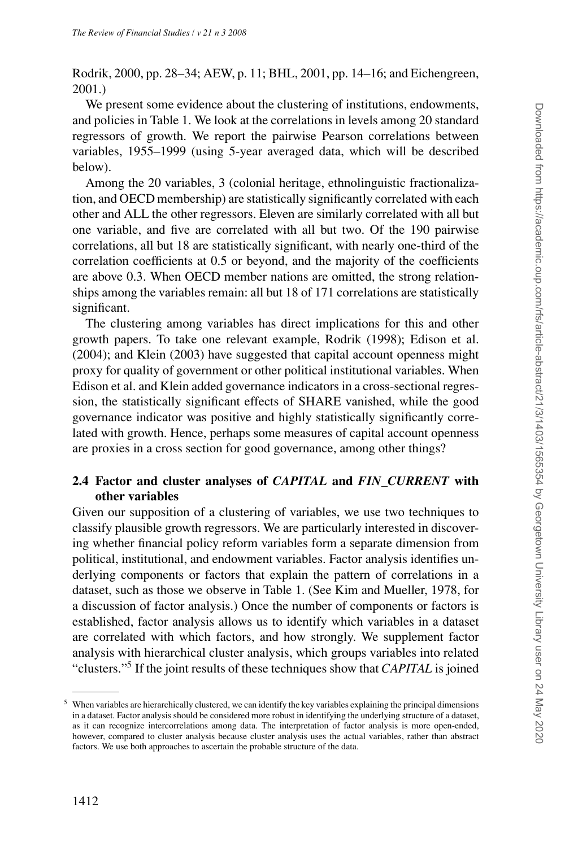Rodrik, 2000, pp. 28–34; AEW, p. 11; BHL, 2001, pp. 14–16; and Eichengreen, 2001.)

We present some evidence about the clustering of institutions, endowments, and policies in Table 1. We look at the correlations in levels among 20 standard regressors of growth. We report the pairwise Pearson correlations between variables, 1955–1999 (using 5-year averaged data, which will be described below).

Among the 20 variables, 3 (colonial heritage, ethnolinguistic fractionalization, and OECD membership) are statistically significantly correlated with each other and ALL the other regressors. Eleven are similarly correlated with all but one variable, and five are correlated with all but two. Of the 190 pairwise correlations, all but 18 are statistically significant, with nearly one-third of the correlation coefficients at 0.5 or beyond, and the majority of the coefficients are above 0.3. When OECD member nations are omitted, the strong relationships among the variables remain: all but 18 of 171 correlations are statistically significant.

The clustering among variables has direct implications for this and other growth papers. To take one relevant example, Rodrik (1998); Edison et al. (2004); and Klein (2003) have suggested that capital account openness might proxy for quality of government or other political institutional variables. When Edison et al. and Klein added governance indicators in a cross-sectional regression, the statistically significant effects of SHARE vanished, while the good governance indicator was positive and highly statistically significantly correlated with growth. Hence, perhaps some measures of capital account openness are proxies in a cross section for good governance, among other things?

# **2.4 Factor and cluster analyses of** *CAPITAL* **and** *FIN\_CURRENT* **with other variables**

Given our supposition of a clustering of variables, we use two techniques to classify plausible growth regressors. We are particularly interested in discovering whether financial policy reform variables form a separate dimension from political, institutional, and endowment variables. Factor analysis identifies underlying components or factors that explain the pattern of correlations in a dataset, such as those we observe in Table 1. (See Kim and Mueller, 1978, for a discussion of factor analysis.) Once the number of components or factors is established, factor analysis allows us to identify which variables in a dataset are correlated with which factors, and how strongly. We supplement factor analysis with hierarchical cluster analysis, which groups variables into related "clusters."5 If the joint results of these techniques show that *CAPITAL* is joined

<sup>5</sup> When variables are hierarchically clustered, we can identify the key variables explaining the principal dimensions in a dataset. Factor analysis should be considered more robust in identifying the underlying structure of a dataset, as it can recognize intercorrelations among data. The interpretation of factor analysis is more open-ended, however, compared to cluster analysis because cluster analysis uses the actual variables, rather than abstract factors. We use both approaches to ascertain the probable structure of the data.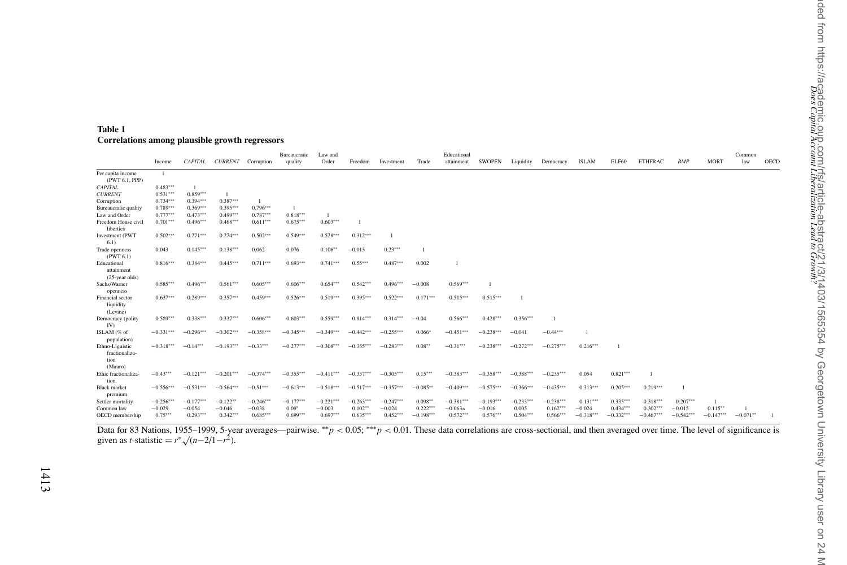| <b>Table 1</b>                                 |                |                |                    |              |              |                |             |             |                      |             |               |             |             |              |             |                |             |             |            |             |
|------------------------------------------------|----------------|----------------|--------------------|--------------|--------------|----------------|-------------|-------------|----------------------|-------------|---------------|-------------|-------------|--------------|-------------|----------------|-------------|-------------|------------|-------------|
| Correlations among plausible growth regressors |                |                |                    |              |              |                |             |             |                      |             |               |             |             |              |             |                |             |             |            |             |
|                                                |                |                |                    |              | Bureaucratic | Law and        |             |             |                      | Educational |               |             |             |              |             |                |             |             | Common     |             |
|                                                | Income         | <b>CAPITAL</b> | CURRENT Corruption |              | quality      | Order          | Freedom     | Investment  | Trade                | attainment  | <b>SWOPEN</b> | Liquidity   | Democracy   | <b>ISLAM</b> | ELF60       | <b>ETHFRAC</b> | <b>BMP</b>  | <b>MORT</b> | law        | <b>OECD</b> |
| Per capita income                              | $\overline{1}$ |                |                    |              |              |                |             |             |                      |             |               |             |             |              |             |                |             |             |            |             |
| (PWT 6.1, PPP)<br><b>CAPITAL</b>               | $0.483***$     | $\overline{1}$ |                    |              |              |                |             |             |                      |             |               |             |             |              |             |                |             |             |            |             |
| <b>CURRENT</b>                                 | $0.531***$     | $0.859***$     |                    |              |              |                |             |             |                      |             |               |             |             |              |             |                |             |             |            |             |
| Corruption                                     | $0.734***$     | $0.394***$     | $0.387***$         | $\mathbf{1}$ |              |                |             |             |                      |             |               |             |             |              |             |                |             |             |            |             |
| Bureaucratic quality                           | $0.789***$     | $0.369***$     | $0.395***$         | $0.796***$   | -1           |                |             |             |                      |             |               |             |             |              |             |                |             |             |            |             |
| Law and Order                                  | $0.777***$     | $0.473***$     | $0.499***$         | $0.787***$   | $0.818***$   | $\overline{1}$ |             |             |                      |             |               |             |             |              |             |                |             |             |            |             |
| Freedom House civil<br>liberties               | $0.701***$     | $0.496***$     | $0.468***$         | $0.611***$   | $0.675***$   | $0.603***$     |             |             |                      |             |               |             |             |              |             |                |             |             |            |             |
| Investment (PWT<br>6.1                         | $0.502***$     | $0.271***$     | $0.274***$         | $0.502***$   | $0.549***$   | $0.528***$     | $0.312***$  |             |                      |             |               |             |             |              |             |                |             |             |            |             |
| Trade openness<br>(PWT 6.1)                    | 0.043          | $0.145***$     | $0.138***$         | 0.062        | 0.076        | $0.106**$      | $-0.013$    | $0.23***$   |                      |             |               |             |             |              |             |                |             |             |            |             |
| Educational<br>attainment                      | $0.816***$     | $0.384***$     | $0.445***$         | $0.711***$   | $0.693***$   | $0.741***$     | $0.55***$   | $0.487***$  | 0.002                |             |               |             |             |              |             |                |             |             |            |             |
| (25-year olds)<br>Sachs/Warner                 | $0.585***$     | $0.496***$     | $0.561***$         | $0.605***$   | $0.606***$   | $0.654***$     | $0.542***$  | $0.496***$  | $-0.008$             | $0.569***$  |               |             |             |              |             |                |             |             |            |             |
| openness                                       |                |                |                    |              |              |                |             |             |                      |             |               |             |             |              |             |                |             |             |            |             |
| Financial sector                               | $0.637***$     | $0.289***$     | $0.357***$         | $0.459***$   | $0.526***$   | $0.519***$     | $0.395***$  | $0.522***$  | $0.171***$           | $0.515***$  | $0.515***$    |             |             |              |             |                |             |             |            |             |
| liquidity<br>(Levine)                          |                |                |                    |              |              |                |             |             |                      |             |               |             |             |              |             |                |             |             |            |             |
| Democracy (polity<br>IV                        | $0.589***$     | $0.338***$     | $0.337***$         | $0.606***$   | $0.603***$   | $0.559***$     | $0.914***$  | $0.314***$  | $-0.04$              | $0.566***$  | $0.428***$    | $0.356***$  |             |              |             |                |             |             |            |             |
| ISLAM (% of<br>population)                     | $-0.331***$    | $-0.296***$    | $-0.302***$        | $-0.358***$  | $-0.345***$  | $-0.349***$    | $-0.442***$ | $-0.255***$ | $0.066$ <sup>*</sup> | $-0.451***$ | $-0.238***$   | $-0.041$    | $-0.44***$  |              |             |                |             |             |            |             |
| Ethno-Liguistic<br>fractionaliza-<br>tion      | $-0.318***$    | $-0.14***$     | $-0.193***$        | $-0.33***$   | $-0.277***$  | $-0.308***$    | $-0.355***$ | $-0.283***$ | $0.08***$            | $-0.31***$  | $-0.238***$   | $-0.272***$ | $-0.275***$ | $0.216***$   |             |                |             |             |            |             |
| (Mauro)                                        |                |                |                    |              |              |                |             |             |                      |             |               |             |             |              |             |                |             |             |            |             |
| Ethic fractionaliza-<br>tion                   | $-0.43***$     | $-0.121***$    | $-0.201***$        | $-0.374***$  | $-0.355***$  | $-0.411***$    | $-0.337***$ | $-0.305***$ | $0.15***$            | $-0.383***$ | $-0.358***$   | $-0.388***$ | $-0.235***$ | 0.054        | $0.821***$  | $\overline{1}$ |             |             |            |             |
| <b>Black market</b><br>premium                 | $-0.556***$    | $-0.531***$    | $-0.564***$        | $-0.51***$   | $-0.613***$  | $-0.518***$    | $-0.517***$ | $-0.357***$ | $-0.085**$           | $-0.409***$ | $-0.575***$   | $-0.366***$ | $-0.435***$ | $0.313***$   | $0.205***$  | $0.219***$     |             |             |            |             |
| Settler mortality                              | $-0.256***$    | $-0.177***$    | $-0.122**$         | $-0.246***$  | $-0.177***$  | $-0.221***$    | $-0.263***$ | $-0.247***$ | $0.098**$            | $-0.381***$ | $-0.193***$   | $-0.233***$ | $-0.238***$ | $0.131***$   | $0.335***$  | $0.318***$     | $0.207***$  |             |            |             |
| Common law                                     | $-0.029$       | $-0.054$       | $-0.046$           | $-0.038$     | $0.09*$      | $-0.003$       | $0.102**$   | $-0.024$    | $0.222***$           | $-0.063*$   | $-0.016$      | 0.005       | $0.162***$  | $-0.024$     | $0.434***$  | $0.302***$     | $-0.015$    | $0.115***$  |            |             |
| OECD membership                                | $0.75***$      | $0.293***$     | $0.342***$         | $0.685***$   | $0.699***$   | $0.697***$     | $0.635***$  | $0.452***$  | $-0.198***$          | $0.572***$  | $0.576***$    | $0.504***$  | $0.566***$  | $-0.318***$  | $-0.332***$ | $-0.467***$    | $-0.542***$ | $-0.147***$ | $-0.071**$ |             |

Data for 83 Nations, 1955–1999, 5-year averages—pairwise. \*\*p < 0.05; \*\*\*p < 0.01. These data correlations are cross-sectional, and then averaged over time. The level of significance is given as *t*-statistic =  $r^* \sqrt{(n-2$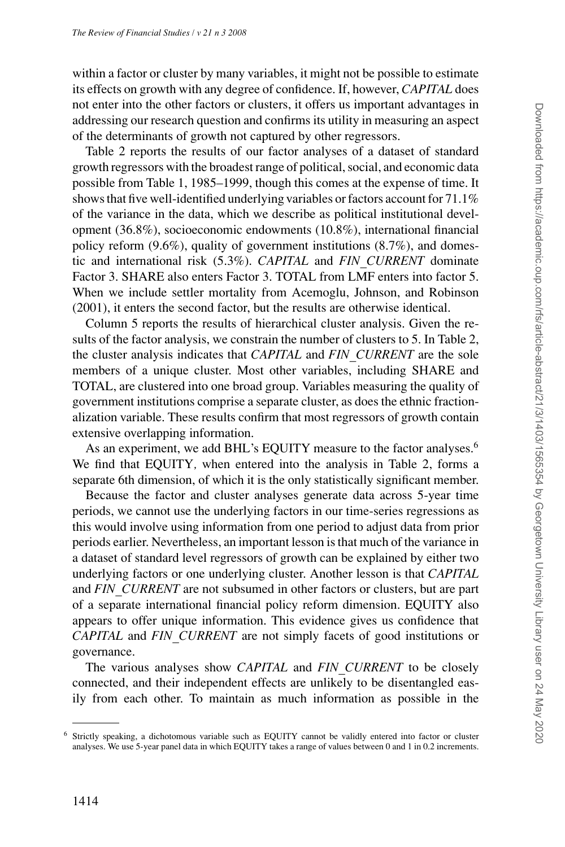within a factor or cluster by many variables, it might not be possible to estimate its effects on growth with any degree of confidence. If, however, *CAPITAL* does not enter into the other factors or clusters, it offers us important advantages in addressing our research question and confirms its utility in measuring an aspect of the determinants of growth not captured by other regressors.

Table 2 reports the results of our factor analyses of a dataset of standard growth regressors with the broadest range of political, social, and economic data possible from Table 1, 1985–1999, though this comes at the expense of time. It shows that five well-identified underlying variables or factors account for 71.1% of the variance in the data, which we describe as political institutional development (36.8%), socioeconomic endowments (10.8%), international financial policy reform (9.6%), quality of government institutions (8.7%), and domestic and international risk (5.3%). *CAPITAL* and *FIN\_CURRENT* dominate Factor 3. SHARE also enters Factor 3. TOTAL from LMF enters into factor 5. When we include settler mortality from Acemoglu, Johnson, and Robinson (2001), it enters the second factor, but the results are otherwise identical.

Column 5 reports the results of hierarchical cluster analysis. Given the results of the factor analysis, we constrain the number of clusters to 5. In Table 2, the cluster analysis indicates that *CAPITAL* and *FIN\_CURRENT* are the sole members of a unique cluster. Most other variables, including SHARE and TOTAL, are clustered into one broad group. Variables measuring the quality of government institutions comprise a separate cluster, as does the ethnic fractionalization variable. These results confirm that most regressors of growth contain extensive overlapping information.

As an experiment, we add BHL's EQUITY measure to the factor analyses.<sup>6</sup> We find that EQUITY*,* when entered into the analysis in Table 2, forms a separate 6th dimension, of which it is the only statistically significant member.

Because the factor and cluster analyses generate data across 5-year time periods, we cannot use the underlying factors in our time-series regressions as this would involve using information from one period to adjust data from prior periods earlier. Nevertheless, an important lesson is that much of the variance in a dataset of standard level regressors of growth can be explained by either two underlying factors or one underlying cluster. Another lesson is that *CAPITAL* and *FIN\_CURRENT* are not subsumed in other factors or clusters, but are part of a separate international financial policy reform dimension. EQUITY also appears to offer unique information. This evidence gives us confidence that *CAPITAL* and *FIN\_CURRENT* are not simply facets of good institutions or governance.

The various analyses show *CAPITAL* and *FIN\_CURRENT* to be closely connected, and their independent effects are unlikely to be disentangled easily from each other. To maintain as much information as possible in the

<sup>6</sup> Strictly speaking, a dichotomous variable such as EQUITY cannot be validly entered into factor or cluster analyses. We use 5-year panel data in which EQUITY takes a range of values between 0 and 1 in 0.2 increments.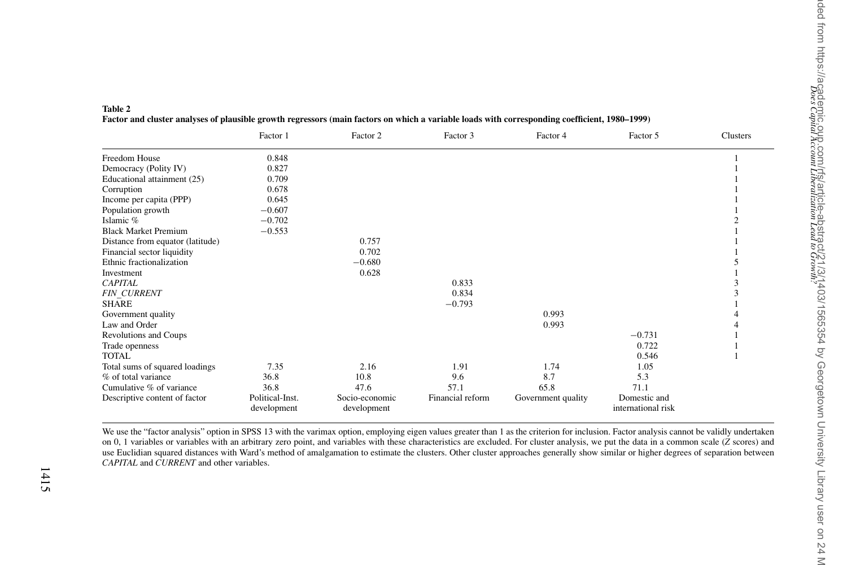| <b>Table 2</b><br>Factor and cluster analyses of plausible growth regressors (main factors on which a variable loads with corresponding coefficient, 1980–1999) |                 |                |                  |                    |                    |          |
|-----------------------------------------------------------------------------------------------------------------------------------------------------------------|-----------------|----------------|------------------|--------------------|--------------------|----------|
|                                                                                                                                                                 | Factor 1        | Factor 2       | Factor 3         | Factor 4           | Factor 5           | Clusters |
| Freedom House                                                                                                                                                   | 0.848           |                |                  |                    |                    |          |
| Democracy (Polity IV)                                                                                                                                           | 0.827           |                |                  |                    |                    |          |
| Educational attainment (25)                                                                                                                                     | 0.709           |                |                  |                    |                    |          |
| Corruption                                                                                                                                                      | 0.678           |                |                  |                    |                    |          |
| Income per capita (PPP)                                                                                                                                         | 0.645           |                |                  |                    |                    |          |
| Population growth                                                                                                                                               | $-0.607$        |                |                  |                    |                    |          |
| Islamic %                                                                                                                                                       | $-0.702$        |                |                  |                    |                    |          |
| <b>Black Market Premium</b>                                                                                                                                     | $-0.553$        |                |                  |                    |                    |          |
| Distance from equator (latitude)                                                                                                                                |                 | 0.757          |                  |                    |                    |          |
| Financial sector liquidity                                                                                                                                      |                 | 0.702          |                  |                    |                    |          |
| Ethnic fractionalization                                                                                                                                        |                 | $-0.680$       |                  |                    |                    |          |
| Investment                                                                                                                                                      |                 | 0.628          |                  |                    |                    |          |
| <b>CAPITAL</b>                                                                                                                                                  |                 |                | 0.833            |                    |                    |          |
| <b>FIN CURRENT</b>                                                                                                                                              |                 |                | 0.834            |                    |                    |          |
| <b>SHARE</b>                                                                                                                                                    |                 |                | $-0.793$         |                    |                    |          |
| Government quality                                                                                                                                              |                 |                |                  | 0.993              |                    |          |
| Law and Order                                                                                                                                                   |                 |                |                  | 0.993              |                    |          |
| Revolutions and Coups                                                                                                                                           |                 |                |                  |                    | $-0.731$           |          |
| Trade openness                                                                                                                                                  |                 |                |                  |                    | 0.722              |          |
| <b>TOTAL</b>                                                                                                                                                    |                 |                |                  |                    | 0.546              |          |
| Total sums of squared loadings                                                                                                                                  | 7.35            | 2.16           | 1.91             | 1.74               | 1.05               |          |
| % of total variance                                                                                                                                             | 36.8            | 10.8           | 9.6              | 8.7                | 5.3                |          |
| Cumulative % of variance                                                                                                                                        | 36.8            | 47.6           | 57.1             | 65.8               | 71.1               |          |
| Descriptive content of factor                                                                                                                                   | Political-Inst. | Socio-economic | Financial reform | Government quality | Domestic and       |          |
|                                                                                                                                                                 | development     | development    |                  |                    | international risk |          |

We use the "factor analysis" option in SPSS 13 with the varimax option, employing eigen values greater than 1 as the criterion for inclusion. Factor analysis cannot be validly undertaken on 0, 1 variables or variables with an arbitrary zero point, and variables with these characteristics are excluded. For cluster analysis, we pu<sup>t</sup> the data in <sup>a</sup> common scale (*Z* scores) and use Euclidian squared distances with Ward's method of amalgamation to estimate the clusters. Other cluster approaches generally show similar or higher degrees of separation between *CAPITAL* and *CURRENT* and other variables.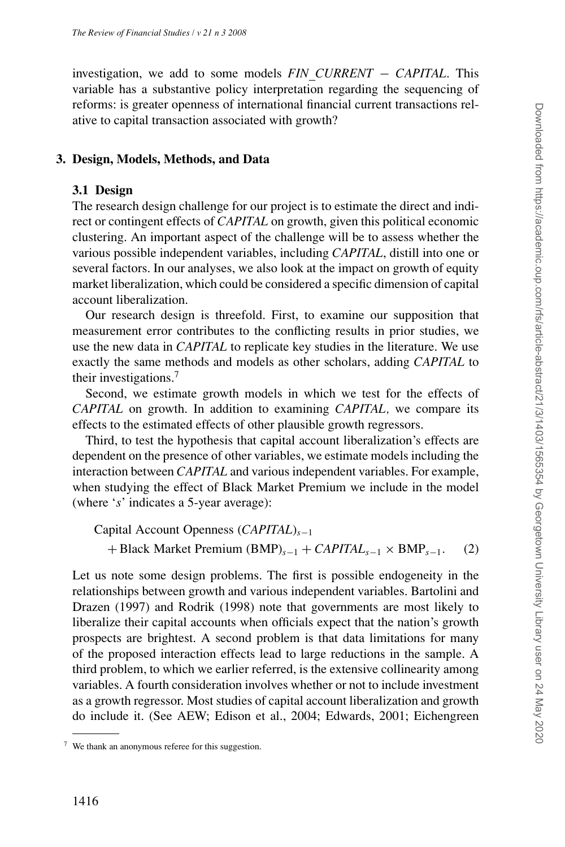investigation, we add to some models *FIN\_CURRENT* − *CAPITAL*. This variable has a substantive policy interpretation regarding the sequencing of reforms: is greater openness of international financial current transactions relative to capital transaction associated with growth?

### **3. Design, Models, Methods, and Data**

## **3.1 Design**

The research design challenge for our project is to estimate the direct and indirect or contingent effects of *CAPITAL* on growth, given this political economic clustering. An important aspect of the challenge will be to assess whether the various possible independent variables, including *CAPITAL*, distill into one or several factors. In our analyses, we also look at the impact on growth of equity market liberalization, which could be considered a specific dimension of capital account liberalization.

Our research design is threefold. First, to examine our supposition that measurement error contributes to the conflicting results in prior studies, we use the new data in *CAPITAL* to replicate key studies in the literature. We use exactly the same methods and models as other scholars, adding *CAPITAL* to their investigations.7

Second, we estimate growth models in which we test for the effects of *CAPITAL* on growth. In addition to examining *CAPITAL,* we compare its effects to the estimated effects of other plausible growth regressors.

Third, to test the hypothesis that capital account liberalization's effects are dependent on the presence of other variables, we estimate models including the interaction between *CAPITAL* and various independent variables. For example, when studying the effect of Black Market Premium we include in the model (where '*s*' indicates a 5-year average):

Capital Account Openness (*CAPITAL*)*<sup>s</sup>*−<sup>1</sup> + Black Market Premium (BMP)*<sup>s</sup>*−<sup>1</sup> + *CAPITALs*−<sup>1</sup> × BMP*<sup>s</sup>*−<sup>1</sup>. (2)

Let us note some design problems. The first is possible endogeneity in the relationships between growth and various independent variables. Bartolini and Drazen (1997) and Rodrik (1998) note that governments are most likely to liberalize their capital accounts when officials expect that the nation's growth prospects are brightest. A second problem is that data limitations for many of the proposed interaction effects lead to large reductions in the sample. A third problem, to which we earlier referred, is the extensive collinearity among variables. A fourth consideration involves whether or not to include investment as a growth regressor. Most studies of capital account liberalization and growth do include it. (See AEW; Edison et al., 2004; Edwards, 2001; Eichengreen

We thank an anonymous referee for this suggestion.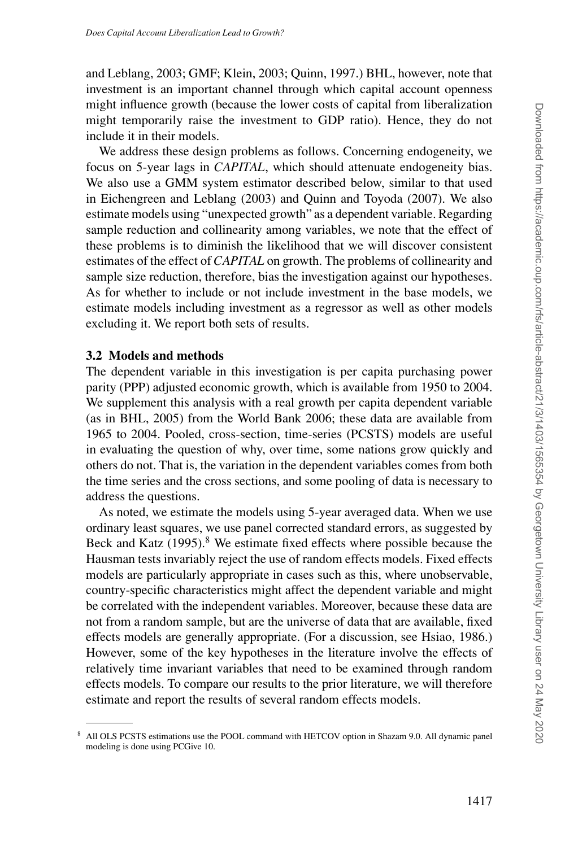and Leblang, 2003; GMF; Klein, 2003; Quinn, 1997.) BHL, however, note that investment is an important channel through which capital account openness might influence growth (because the lower costs of capital from liberalization might temporarily raise the investment to GDP ratio). Hence, they do not include it in their models.

We address these design problems as follows. Concerning endogeneity, we focus on 5-year lags in *CAPITAL*, which should attenuate endogeneity bias. We also use a GMM system estimator described below, similar to that used in Eichengreen and Leblang (2003) and Quinn and Toyoda (2007). We also estimate models using "unexpected growth" as a dependent variable. Regarding sample reduction and collinearity among variables, we note that the effect of these problems is to diminish the likelihood that we will discover consistent estimates of the effect of *CAPITAL* on growth. The problems of collinearity and sample size reduction, therefore, bias the investigation against our hypotheses. As for whether to include or not include investment in the base models, we estimate models including investment as a regressor as well as other models excluding it. We report both sets of results.

# **3.2 Models and methods**

The dependent variable in this investigation is per capita purchasing power parity (PPP) adjusted economic growth, which is available from 1950 to 2004. We supplement this analysis with a real growth per capita dependent variable (as in BHL, 2005) from the World Bank 2006; these data are available from 1965 to 2004. Pooled, cross-section, time-series (PCSTS) models are useful in evaluating the question of why, over time, some nations grow quickly and others do not. That is, the variation in the dependent variables comes from both the time series and the cross sections, and some pooling of data is necessary to address the questions.

As noted, we estimate the models using 5-year averaged data. When we use ordinary least squares, we use panel corrected standard errors, as suggested by Beck and Katz (1995).<sup>8</sup> We estimate fixed effects where possible because the Hausman tests invariably reject the use of random effects models. Fixed effects models are particularly appropriate in cases such as this, where unobservable, country-specific characteristics might affect the dependent variable and might be correlated with the independent variables. Moreover, because these data are not from a random sample, but are the universe of data that are available, fixed effects models are generally appropriate. (For a discussion, see Hsiao, 1986.) However, some of the key hypotheses in the literature involve the effects of relatively time invariant variables that need to be examined through random effects models. To compare our results to the prior literature, we will therefore estimate and report the results of several random effects models.

<sup>8</sup> All OLS PCSTS estimations use the POOL command with HETCOV option in Shazam 9.0. All dynamic panel modeling is done using PCGive 10.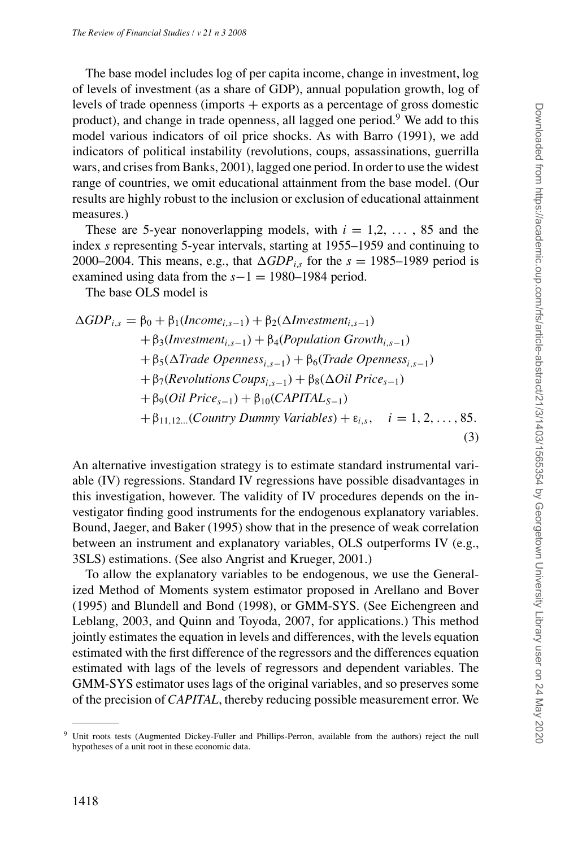The base model includes log of per capita income, change in investment, log of levels of investment (as a share of GDP), annual population growth, log of levels of trade openness (imports  $+$  exports as a percentage of gross domestic product), and change in trade openness, all lagged one period.<sup>9</sup> We add to this model various indicators of oil price shocks. As with Barro (1991), we add indicators of political instability (revolutions, coups, assassinations, guerrilla wars, and crises from Banks, 2001), lagged one period. In order to use the widest range of countries, we omit educational attainment from the base model. (Our results are highly robust to the inclusion or exclusion of educational attainment measures.)

These are 5-year nonoverlapping models, with  $i = 1, 2, \ldots, 85$  and the index *s* representing 5-year intervals, starting at 1955–1959 and continuing to 2000–2004. This means, e.g., that  $\Delta GDP_{i,s}$  for the  $s = 1985-1989$  period is examined using data from the *s*−1 = 1980–1984 period.

The base OLS model is

$$
\Delta GDP_{i,s} = \beta_0 + \beta_1 (Income_{i,s-1}) + \beta_2 (\Delta Investment_{i,s-1})
$$
  
+  $\beta_3 (Investment_{i,s-1}) + \beta_4 (Population Growth_{i,s-1})$   
+  $\beta_5 (\Delta Trade Openness_{i,s-1}) + \beta_6 (Trade Openness_{i,s-1})$   
+  $\beta_7 (Revolutions Coups_{i,s-1}) + \beta_8 (\Delta Oil Price_{s-1})$   
+  $\beta_9 (Oil Price_{s-1}) + \beta_{10} (CAPITAL_{s-1})$   
+  $\beta_{11,12...} (Country Dummy Variables) + \varepsilon_{i,s}, \quad i = 1, 2, ..., 85.$  (3)

An alternative investigation strategy is to estimate standard instrumental variable (IV) regressions. Standard IV regressions have possible disadvantages in this investigation, however. The validity of IV procedures depends on the investigator finding good instruments for the endogenous explanatory variables. Bound, Jaeger, and Baker (1995) show that in the presence of weak correlation between an instrument and explanatory variables, OLS outperforms IV (e.g., 3SLS) estimations. (See also Angrist and Krueger, 2001.)

To allow the explanatory variables to be endogenous, we use the Generalized Method of Moments system estimator proposed in Arellano and Bover (1995) and Blundell and Bond (1998), or GMM-SYS. (See Eichengreen and Leblang, 2003, and Quinn and Toyoda, 2007, for applications.) This method jointly estimates the equation in levels and differences, with the levels equation estimated with the first difference of the regressors and the differences equation estimated with lags of the levels of regressors and dependent variables. The GMM-SYS estimator uses lags of the original variables, and so preserves some of the precision of *CAPITAL*, thereby reducing possible measurement error. We

<sup>9</sup> Unit roots tests (Augmented Dickey-Fuller and Phillips-Perron, available from the authors) reject the null hypotheses of a unit root in these economic data.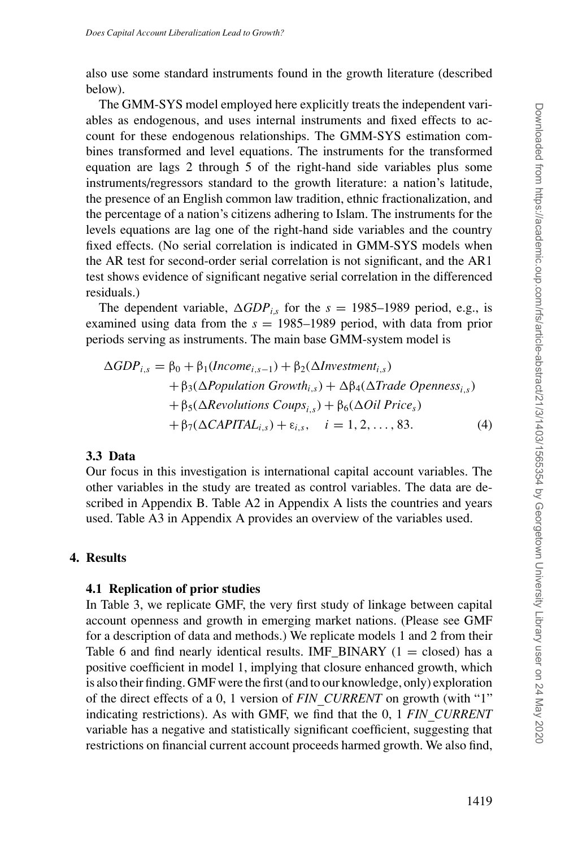also use some standard instruments found in the growth literature (described below).

The GMM-SYS model employed here explicitly treats the independent variables as endogenous, and uses internal instruments and fixed effects to account for these endogenous relationships. The GMM-SYS estimation combines transformed and level equations. The instruments for the transformed equation are lags 2 through 5 of the right-hand side variables plus some instruments/regressors standard to the growth literature: a nation's latitude, the presence of an English common law tradition, ethnic fractionalization, and the percentage of a nation's citizens adhering to Islam. The instruments for the levels equations are lag one of the right-hand side variables and the country fixed effects. (No serial correlation is indicated in GMM-SYS models when the AR test for second-order serial correlation is not significant, and the AR1 test shows evidence of significant negative serial correlation in the differenced residuals.)

The dependent variable,  $\triangle GDP_{i,s}$  for the  $s = 1985-1989$  period, e.g., is examined using data from the  $s = 1985-1989$  period, with data from prior periods serving as instruments. The main base GMM-system model is

$$
\Delta GDP_{i,s} = \beta_0 + \beta_1 (Income_{i,s-1}) + \beta_2 (\Delta Investment_{i,s})
$$
  
+  $\beta_3 (\Delta Population Growth_{i,s}) + \Delta \beta_4 (\Delta Trade Openness_{i,s})$   
+  $\beta_5 (\Delta Revolutions \, Coup_{i,s}) + \beta_6 (\Delta Oil \, Price_s)$   
+  $\beta_7 (\Delta CAPITAL_{i,s}) + \varepsilon_{i,s}, \quad i = 1, 2, ..., 83.$  (4)

# **3.3 Data**

Our focus in this investigation is international capital account variables. The other variables in the study are treated as control variables. The data are described in Appendix B. Table A2 in Appendix A lists the countries and years used. Table A3 in Appendix A provides an overview of the variables used.

# **4. Results**

# **4.1 Replication of prior studies**

In Table 3, we replicate GMF, the very first study of linkage between capital account openness and growth in emerging market nations. (Please see GMF for a description of data and methods.) We replicate models 1 and 2 from their Table 6 and find nearly identical results. IMF\_BINARY  $(1 = closed)$  has a positive coefficient in model 1, implying that closure enhanced growth, which is also their finding. GMF were the first (and to our knowledge, only) exploration of the direct effects of a 0, 1 version of *FIN\_CURRENT* on growth (with "1" indicating restrictions). As with GMF, we find that the 0, 1 *FIN\_CURRENT* variable has a negative and statistically significant coefficient, suggesting that restrictions on financial current account proceeds harmed growth. We also find,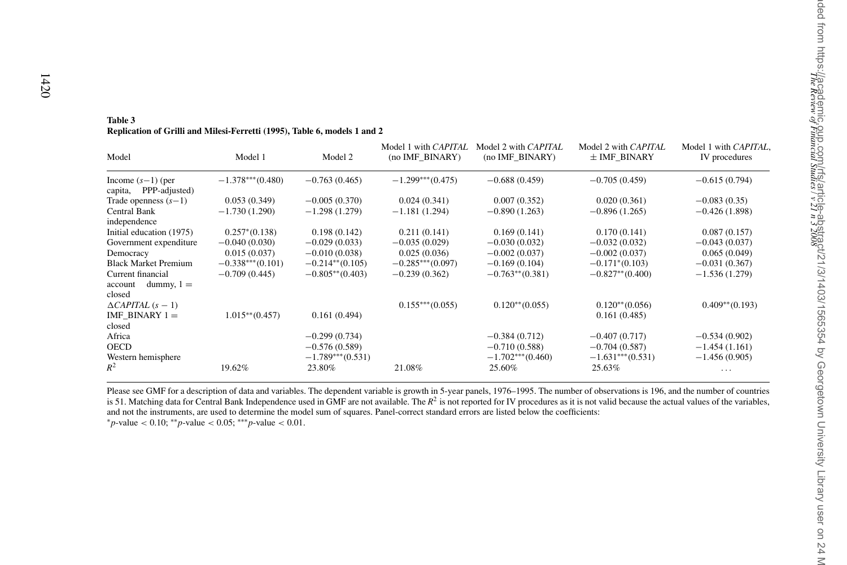| Table 3                                                                   |                    |                    |                                                |                                                |                                          |                                                |
|---------------------------------------------------------------------------|--------------------|--------------------|------------------------------------------------|------------------------------------------------|------------------------------------------|------------------------------------------------|
| Replication of Grilli and Milesi-Ferretti (1995), Table 6, models 1 and 2 |                    |                    |                                                |                                                |                                          |                                                |
| Model                                                                     | Model 1            | Model 2            | Model 1 with <i>CAPITAL</i><br>(no IMF BINARY) | Model 2 with <i>CAPITAL</i><br>(no IMF BINARY) | Model 2 with CAPITAL<br>$\pm$ IMF_BINARY | Model 1 with <i>CAPITAL</i> .<br>IV procedures |
| Income $(s-1)$ (per<br>capita, PPP-adjusted)                              | $-1.378***(0.480)$ | $-0.763(0.465)$    | $-1.299***(0.475)$                             | $-0.688(0.459)$                                | $-0.705(0.459)$                          | $-0.615(0.794)$                                |
| Trade openness $(s-1)$                                                    | 0.053(0.349)       | $-0.005(0.370)$    | 0.024(0.341)                                   | 0.007(0.352)                                   | 0.020(0.361)                             | $-0.083(0.35)$                                 |
| Central Bank<br>independence                                              | $-1.730(1.290)$    | $-1.298(1.279)$    | $-1.181(1.294)$                                | $-0.890(1.263)$                                | $-0.896(1.265)$                          | $-0.426(1.898)$                                |
| Initial education (1975)                                                  | $0.257*(0.138)$    | 0.198(0.142)       | 0.211(0.141)                                   | 0.169(0.141)                                   | 0.170(0.141)                             | 0.087(0.157)                                   |
| Government expenditure                                                    | $-0.040(0.030)$    | $-0.029(0.033)$    | $-0.035(0.029)$                                | $-0.030(0.032)$                                | $-0.032(0.032)$                          | $-0.043(0.037)$                                |
| Democracy                                                                 | 0.015(0.037)       | $-0.010(0.038)$    | 0.025(0.036)                                   | $-0.002(0.037)$                                | $-0.002(0.037)$                          | 0.065(0.049)                                   |
| <b>Black Market Premium</b>                                               | $-0.338***(0.101)$ | $-0.214**$ (0.105) | $-0.285***(0.097)$                             | $-0.169(0.104)$                                | $-0.171*(0.103)$                         | $-0.031(0.367)$                                |
| Current financial<br>dummy, $1 =$<br>account<br>closed                    | $-0.709(0.445)$    | $-0.805**$ (0.403) | $-0.239(0.362)$                                | $-0.763**$ (0.381)                             | $-0.827**$ (0.400)                       | $-1.536(1.279)$                                |
| $\triangle CAPITAL$ (s - 1)                                               |                    |                    | $0.155***(0.055)$                              | $0.120**$ (0.055)                              | $0.120**$ (0.056)                        | $0.409**$ (0.193)                              |
| $IMF_BINARY 1 =$<br>closed                                                | $1.015**$ (0.457)  | 0.161(0.494)       |                                                |                                                | 0.161(0.485)                             |                                                |
| Africa                                                                    |                    | $-0.299(0.734)$    |                                                | $-0.384(0.712)$                                | $-0.407(0.717)$                          | $-0.534(0.902)$                                |
| <b>OECD</b>                                                               |                    | $-0.576(0.589)$    |                                                | $-0.710(0.588)$                                | $-0.704(0.587)$                          | $-1.454(1.161)$                                |
| Western hemisphere                                                        |                    | $-1.789***(0.531)$ |                                                | $-1.702***(0.460)$                             | $-1.631***(0.531)$                       | $-1.456(0.905)$                                |
| $R^2$                                                                     | 19.62%             | 23.80%             | 21.08%                                         | 25.60%                                         | 25.63%                                   | .                                              |

Please see GMF for a description of data and variables. The dependent variable is growth in 5-year panels, 1976–1995. The number of observations is 196, and the number of countries is 51. Matching data for Central Bank Independence used in GMF are not available. The  $R^2$  is not reported for IV procedures as it is not valid because the actual values of the variables, and not the instruments, are used to determine the model sum of squares. Panel-correct standard errors are listed below the coefficients: <sup>∗</sup>*p*-value <sup>&</sup>lt; 0.10; ∗∗*p*-value <sup>&</sup>lt; 0.05; ∗∗∗*p*-value <sup>&</sup>lt; 0.01.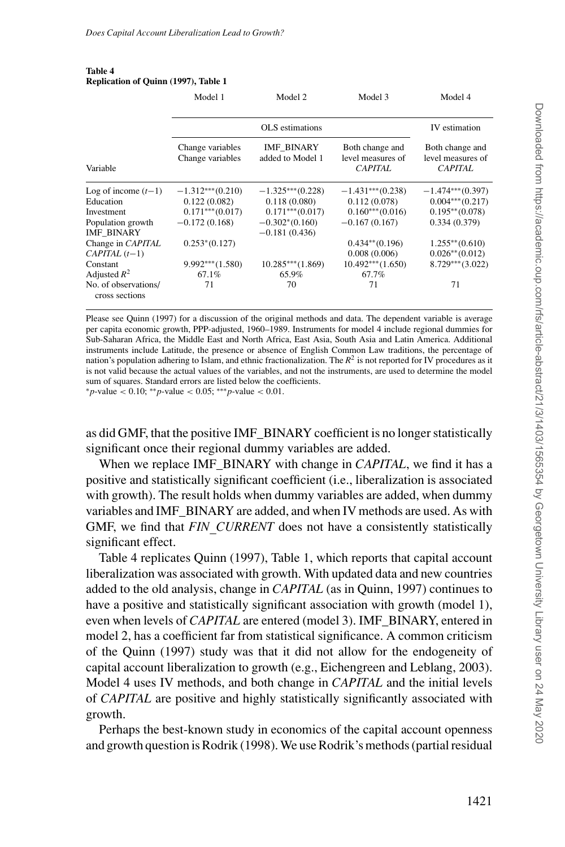### **Table 4 Replication of Quinn (1997), Table 1**

|                                        | Model 1                                                                       | Model 2            | Model 3                                                | Model 4                                                |
|----------------------------------------|-------------------------------------------------------------------------------|--------------------|--------------------------------------------------------|--------------------------------------------------------|
|                                        |                                                                               | IV estimation      |                                                        |                                                        |
| Variable                               | <b>IMF BINARY</b><br>Change variables<br>Change variables<br>added to Model 1 |                    | Both change and<br>level measures of<br><b>CAPITAL</b> | Both change and<br>level measures of<br><b>CAPITAL</b> |
| Log of income $(t-1)$                  | $-1.312***(0.210)$                                                            | $-1.325***(0.228)$ | $-1.431***(0.238)$                                     | $-1.474***(0.397)$                                     |
| Education                              | 0.122(0.082)                                                                  | 0.118(0.080)       | 0.112(0.078)                                           | $0.004***(0.217)$                                      |
| Investment                             | $0.171***(0.017)$                                                             | $0.171***(0.017)$  | $0.160***(0.016)$                                      | $0.195**$ (0.078)                                      |
| Population growth                      | $-0.172(0.168)$                                                               | $-0.302*(0.160)$   | $-0.167(0.167)$                                        | 0.334(0.379)                                           |
| <b>IMF BINARY</b>                      |                                                                               | $-0.181(0.436)$    |                                                        |                                                        |
| Change in CAPITAL                      | $0.253*(0.127)$                                                               |                    | $0.434**$ (0.196)                                      | $1.255**$ (0.610)                                      |
| $CAPITAL(t-1)$                         |                                                                               |                    | 0.008(0.006)                                           | $0.026**$ (0.012)                                      |
| Constant                               | $9.992***(1.580)$                                                             | $10.285***(1.869)$ | $10.492***(1.650)$                                     | $8.729***$ (3.022)                                     |
| Adjusted $R^2$                         | 67.1%                                                                         | 65.9%              | 67.7%                                                  |                                                        |
| No. of observations/<br>cross sections | 71                                                                            | 70                 | 71                                                     | 71                                                     |

Please see Quinn (1997) for a discussion of the original methods and data. The dependent variable is average per capita economic growth, PPP-adjusted, 1960–1989. Instruments for model 4 include regional dummies for Sub-Saharan Africa, the Middle East and North Africa, East Asia, South Asia and Latin America. Additional instruments include Latitude, the presence or absence of English Common Law traditions, the percentage of nation's population adhering to Islam, and ethnic fractionalization. The  $R^2$  is not reported for IV procedures as it is not valid because the actual values of the variables, and not the instruments, are used to determine the model sum of squares. Standard errors are listed below the coefficients.

∗*p*-value < 0.10; ∗∗*p*-value < 0.05; ∗∗∗*p*-value < 0.01.

as did GMF, that the positive IMF\_BINARY coefficient is no longer statistically significant once their regional dummy variables are added.

When we replace IMF\_BINARY with change in *CAPITAL*, we find it has a positive and statistically significant coefficient (i.e., liberalization is associated with growth). The result holds when dummy variables are added, when dummy variables and IMF\_BINARY are added, and when IV methods are used. As with GMF, we find that *FIN\_CURRENT* does not have a consistently statistically significant effect.

Table 4 replicates Quinn (1997), Table 1, which reports that capital account liberalization was associated with growth. With updated data and new countries added to the old analysis, change in *CAPITAL* (as in Quinn, 1997) continues to have a positive and statistically significant association with growth (model 1), even when levels of *CAPITAL* are entered (model 3). IMF\_BINARY, entered in model 2, has a coefficient far from statistical significance. A common criticism of the Quinn (1997) study was that it did not allow for the endogeneity of capital account liberalization to growth (e.g., Eichengreen and Leblang, 2003). Model 4 uses IV methods, and both change in *CAPITAL* and the initial levels of *CAPITAL* are positive and highly statistically significantly associated with growth.

Perhaps the best-known study in economics of the capital account openness and growth question is Rodrik (1998).We use Rodrik's methods (partial residual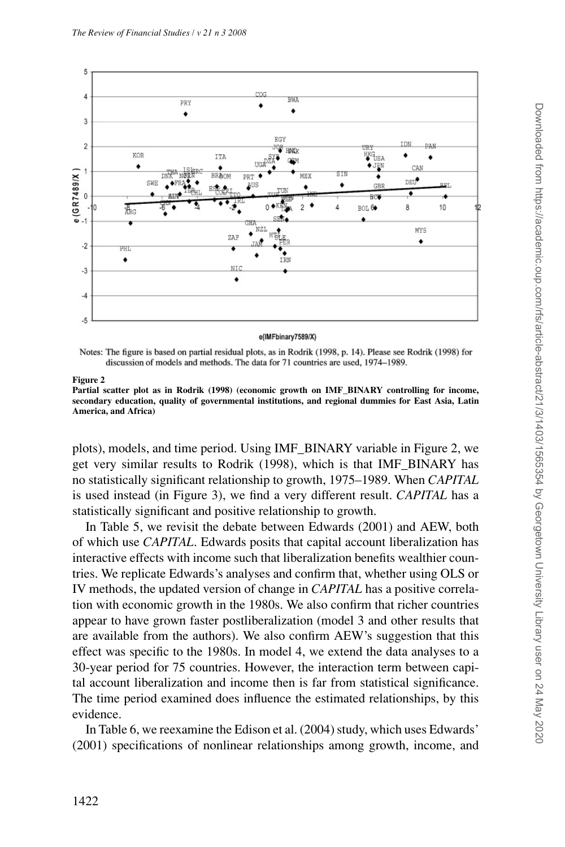

Notes: The figure is based on partial residual plots, as in Rodrik (1998, p. 14). Please see Rodrik (1998) for discussion of models and methods. The data for 71 countries are used, 1974-1989.

### **Figure 2**

**Partial scatter plot as in Rodrik (1998) (economic growth on IMF\_BINARY controlling for income, secondary education, quality of governmental institutions, and regional dummies for East Asia, Latin America, and Africa)**

plots), models, and time period. Using IMF\_BINARY variable in Figure 2, we get very similar results to Rodrik (1998), which is that IMF\_BINARY has no statistically significant relationship to growth, 1975–1989. When *CAPITAL* is used instead (in Figure 3), we find a very different result. *CAPITAL* has a statistically significant and positive relationship to growth.

In Table 5, we revisit the debate between Edwards (2001) and AEW, both of which use *CAPITAL*. Edwards posits that capital account liberalization has interactive effects with income such that liberalization benefits wealthier countries. We replicate Edwards's analyses and confirm that, whether using OLS or IV methods, the updated version of change in *CAPITAL* has a positive correlation with economic growth in the 1980s. We also confirm that richer countries appear to have grown faster postliberalization (model 3 and other results that are available from the authors). We also confirm AEW's suggestion that this effect was specific to the 1980s. In model 4, we extend the data analyses to a 30-year period for 75 countries. However, the interaction term between capital account liberalization and income then is far from statistical significance. The time period examined does influence the estimated relationships, by this evidence.

In Table 6, we reexamine the Edison et al. (2004) study, which uses Edwards' (2001) specifications of nonlinear relationships among growth, income, and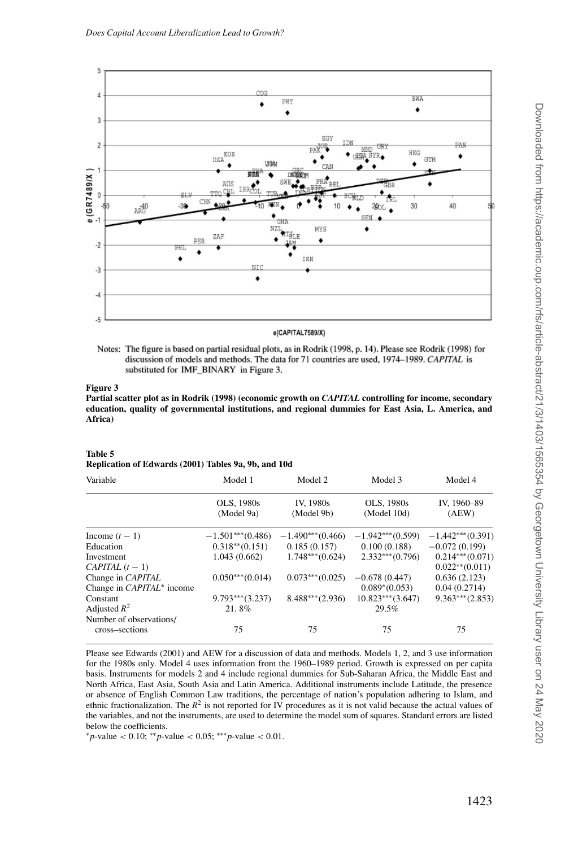

Notes: The figure is based on partial residual plots, as in Rodrik (1998, p. 14). Please see Rodrik (1998) for discussion of models and methods. The data for 71 countries are used, 1974-1989. CAPITAL is substituted for IMF\_BINARY in Figure 3.

#### **Figure 3**

**Partial scatter plot as in Rodrik (1998) (economic growth on** *CAPITAL* **controlling for income, secondary education, quality of governmental institutions, and regional dummies for East Asia, L. America, and Africa)**

### **Table 5**

### **Replication of Edwards (2001) Tables 9a, 9b, and 10d**

| Variable                                     | Model 1                  | Model 2                 | Model 3                   | Model 4              |
|----------------------------------------------|--------------------------|-------------------------|---------------------------|----------------------|
|                                              | OLS, 1980s<br>(Model 9a) | IV. 1980s<br>(Model 9b) | OLS, 1980s<br>(Model 10d) | IV, 1960-89<br>(AEW) |
| Income $(t-1)$                               | $-1.501***$ (0.486)      | $-1.490***(0.466)$      | $-1.942***(0.599)$        | $-1.442***(0.391)$   |
| Education                                    | $0.318**$ (0.151)        | 0.185(0.157)            | 0.100(0.188)              | $-0.072(0.199)$      |
| Investment                                   | 1.043(0.662)             | $1.748***(0.624)$       | $2.332***(0.796)$         | $0.214***(0.071)$    |
| $CAPITAL(t-1)$                               |                          |                         |                           | $0.022**$ (0.011)    |
| Change in <i>CAPITAL</i>                     | $0.050***(0.014)$        | $0.073***(0.025)$       | $-0.678(0.447)$           | 0.636(2.123)         |
| Change in <i>CAPITAL</i> <sup>*</sup> income |                          |                         | $0.089*(0.053)$           | 0.04(0.2714)         |
| Constant                                     | $9.793***(3.237)$        | $8.488***(2.936)$       | $10.823***(3.647)$        | $9.363***(2.853)$    |
| Adjusted $R^2$                               | 21.8%                    |                         | 29.5%                     |                      |
| Number of observations/                      |                          |                         |                           |                      |
| cross-sections                               | 75                       | 75                      | 75                        | 75                   |

Please see Edwards (2001) and AEW for a discussion of data and methods. Models 1, 2, and 3 use information for the 1980s only. Model 4 uses information from the 1960–1989 period. Growth is expressed on per capita basis. Instruments for models 2 and 4 include regional dummies for Sub-Saharan Africa, the Middle East and North Africa, East Asia, South Asia and Latin America. Additional instruments include Latitude, the presence or absence of English Common Law traditions, the percentage of nation's population adhering to Islam, and ethnic fractionalization. The  $R^2$  is not reported for IV procedures as it is not valid because the actual values of the variables, and not the instruments, are used to determine the model sum of squares. Standard errors are listed below the coefficients.

∗*p*-value < 0.10; ∗∗*p*-value < 0.05; ∗∗∗*p*-value < 0.01.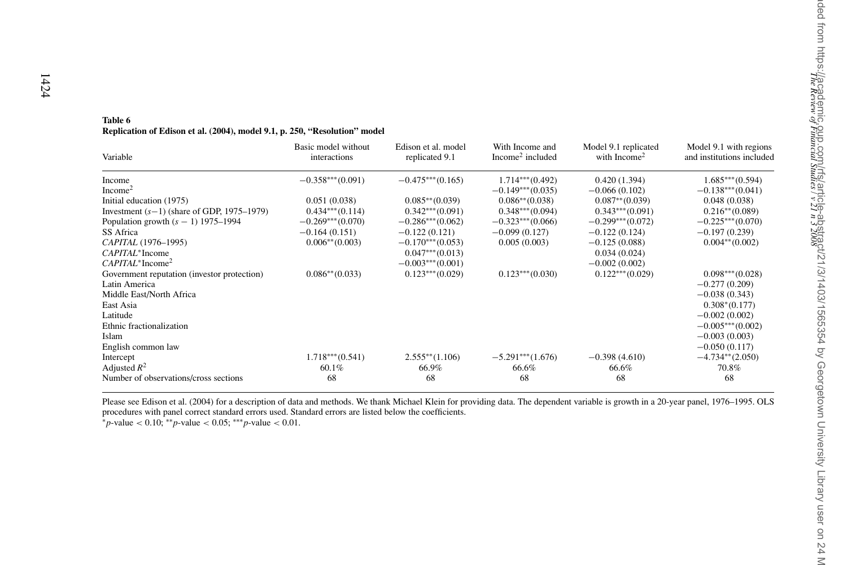| Table 6<br>Replication of Edison et al. (2004), model 9.1, p. 250, "Resolution" model |                                     |                                       |                                                 |                                         |                                                     |  |  |  |  |  |
|---------------------------------------------------------------------------------------|-------------------------------------|---------------------------------------|-------------------------------------------------|-----------------------------------------|-----------------------------------------------------|--|--|--|--|--|
| Variable                                                                              | Basic model without<br>interactions | Edison et al. model<br>replicated 9.1 | With Income and<br>Income <sup>2</sup> included | Model 9.1 replicated<br>with Income $2$ | Model 9.1 with regions<br>and institutions included |  |  |  |  |  |
| Income                                                                                | $-0.358***(0.091)$                  | $-0.475***(0.165)$                    | $1.714***(0.492)$                               | 0.420(1.394)                            | $1.685***(0.594)$                                   |  |  |  |  |  |
| Income <sup>2</sup>                                                                   |                                     |                                       | $-0.149***(0.035)$                              | $-0.066(0.102)$                         | $-0.138***(0.041)$                                  |  |  |  |  |  |
| Initial education (1975)                                                              | 0.051(0.038)                        | $0.085**$ (0.039)                     | $0.086**$ (0.038)                               | $0.087**$ (0.039)                       | 0.048(0.038)                                        |  |  |  |  |  |
| Investment $(s-1)$ (share of GDP, 1975–1979)                                          | $0.434***(0.114)$                   | $0.342***(0.091)$                     | $0.348***(0.094)$                               | $0.343***(0.091)$                       | $0.216**$ (0.089)                                   |  |  |  |  |  |
| Population growth $(s - 1)$ 1975–1994                                                 | $-0.269***(0.070)$                  | $-0.286***(0.062)$                    | $-0.323***(0.066)$                              | $-0.299***(0.072)$                      | $-0.225***(0.070)$                                  |  |  |  |  |  |
| SS Africa                                                                             | $-0.164(0.151)$                     | $-0.122(0.121)$                       | $-0.099(0.127)$                                 | $-0.122(0.124)$                         | $-0.197(0.239)$                                     |  |  |  |  |  |
| CAPITAL (1976-1995)                                                                   | $0.006**$ (0.003)                   | $-0.170***(0.053)$                    | 0.005(0.003)                                    | $-0.125(0.088)$                         | $0.004**$ (0.002)                                   |  |  |  |  |  |
| CAPITAL*Income                                                                        |                                     | $0.047***(0.013)$                     |                                                 | 0.034(0.024)                            |                                                     |  |  |  |  |  |
| $CAPITAL*Income2$                                                                     |                                     | $-0.003***(0.001)$                    |                                                 | $-0.002(0.002)$                         |                                                     |  |  |  |  |  |
| Government reputation (investor protection)                                           | $0.086**$ (0.033)                   | $0.123***(0.029)$                     | $0.123***(0.030)$                               | $0.122***(0.029)$                       | $0.098***(0.028)$                                   |  |  |  |  |  |
| Latin America                                                                         |                                     |                                       |                                                 |                                         | $-0.277(0.209)$                                     |  |  |  |  |  |
| Middle East/North Africa                                                              |                                     |                                       |                                                 |                                         | $-0.038(0.343)$                                     |  |  |  |  |  |
| East Asia                                                                             |                                     |                                       |                                                 |                                         | $0.308*(0.177)$                                     |  |  |  |  |  |
| Latitude                                                                              |                                     |                                       |                                                 |                                         | $-0.002(0.002)$                                     |  |  |  |  |  |
| Ethnic fractionalization                                                              |                                     |                                       |                                                 |                                         | $-0.005***(0.002)$                                  |  |  |  |  |  |
| Islam                                                                                 |                                     |                                       |                                                 |                                         | $-0.003(0.003)$                                     |  |  |  |  |  |
| English common law                                                                    |                                     |                                       |                                                 |                                         | $-0.050(0.117)$                                     |  |  |  |  |  |
| Intercept                                                                             | $1.718***(0.541)$                   | $2.555**$ (1.106)                     | $-5.291***(1.676)$                              | $-0.398(4.610)$                         | $-4.734**$ (2.050)                                  |  |  |  |  |  |
| Adjusted $R^2$                                                                        | 60.1%                               | 66.9%                                 | 66.6%                                           | 66.6%                                   | 70.8%                                               |  |  |  |  |  |
| Number of observations/cross sections                                                 | 68                                  | 68                                    | 68                                              | 68                                      | 68                                                  |  |  |  |  |  |

Please see Edison et al. (2004) for a description of data and methods. We thank Michael Klein for providing data. The dependent variable is growth in a 20-year panel, 1976–1995. OLS<br>procedures with panel correct standard e

\**p*-value < 0.10; \*\**p*-value < 0.05; \*\*\**p*-value < 0.01.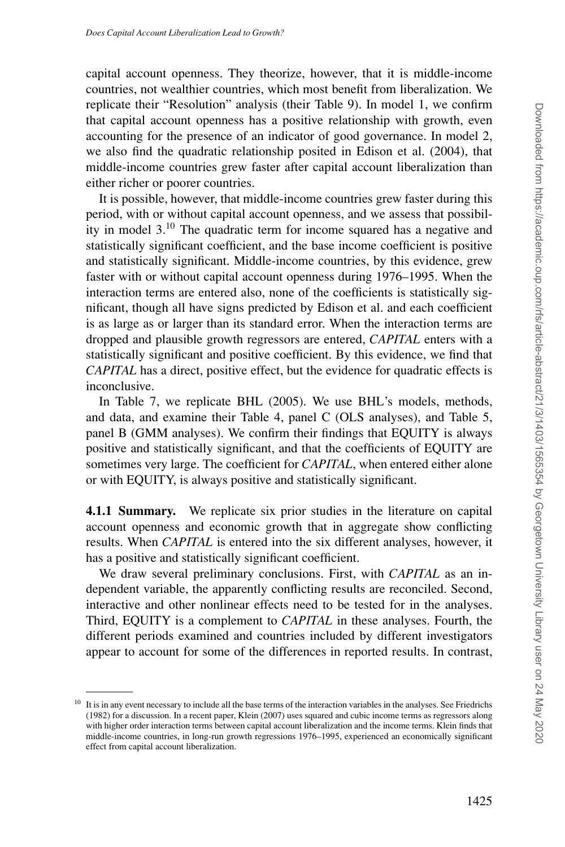capital account openness. They theorize, however, that it is middle-income countries, not wealthier countries, which most benefit from liberalization. We replicate their "Resolution" analysis (their Table 9). In model 1, we confirm that capital account openness has a positive relationship with growth, even accounting for the presence of an indicator of good governance. In model 2, we also find the quadratic relationship posited in Edison et al. (2004), that middle-income countries grew faster after capital account liberalization than either richer or poorer countries.

It is possible, however, that middle-income countries grew faster during this period, with or without capital account openness, and we assess that possibility in model 3.10 The quadratic term for income squared has a negative and statistically significant coefficient, and the base income coefficient is positive and statistically significant. Middle-income countries, by this evidence, grew faster with or without capital account openness during 1976–1995. When the interaction terms are entered also, none of the coefficients is statistically significant, though all have signs predicted by Edison et al. and each coefficient is as large as or larger than its standard error. When the interaction terms are dropped and plausible growth regressors are entered, *CAPITAL* enters with a statistically significant and positive coefficient. By this evidence, we find that *CAPITAL* has a direct, positive effect, but the evidence for quadratic effects is inconclusive.

In Table 7, we replicate BHL (2005). We use BHL's models, methods, and data, and examine their Table 4, panel C (OLS analyses), and Table 5, panel B (GMM analyses). We confirm their findings that EQUITY is always positive and statistically significant, and that the coefficients of EQUITY are sometimes very large. The coefficient for *CAPITAL*, when entered either alone or with EQUITY, is always positive and statistically significant.

**4.1.1 Summary.** We replicate six prior studies in the literature on capital account openness and economic growth that in aggregate show conflicting results. When *CAPITAL* is entered into the six different analyses, however, it has a positive and statistically significant coefficient.

We draw several preliminary conclusions. First, with *CAPITAL* as an independent variable, the apparently conflicting results are reconciled. Second, interactive and other nonlinear effects need to be tested for in the analyses. Third, EQUITY is a complement to *CAPITAL* in these analyses. Fourth, the different periods examined and countries included by different investigators appear to account for some of the differences in reported results. In contrast,

<sup>&</sup>lt;sup>10</sup> It is in any event necessary to include all the base terms of the interaction variables in the analyses. See Friedrichs (1982) for a discussion. In a recent paper, Klein (2007) uses squared and cubic income terms as regressors along with higher order interaction terms between capital account liberalization and the income terms. Klein finds that middle-income countries, in long-run growth regressions 1976–1995, experienced an economically significant effect from capital account liberalization.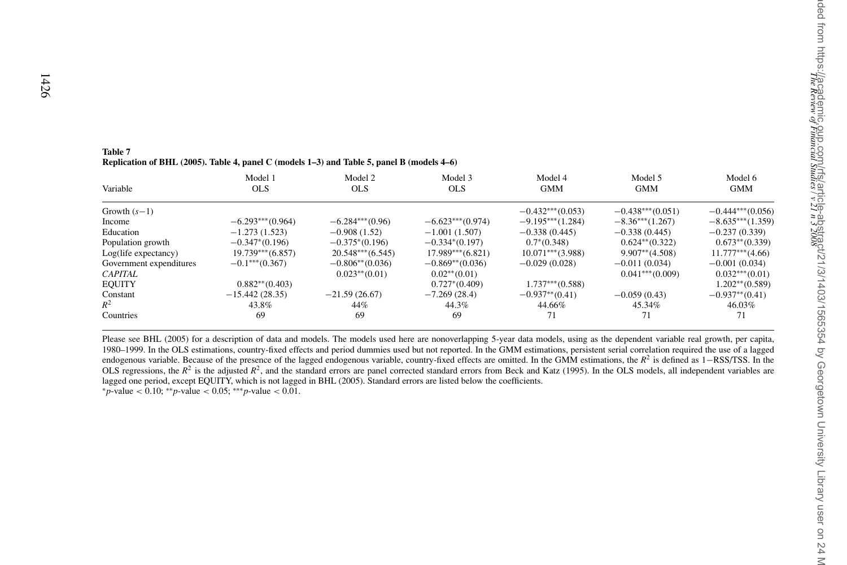| Table 7                                                                                    |                    |                    |                    |                     |                     |                     |
|--------------------------------------------------------------------------------------------|--------------------|--------------------|--------------------|---------------------|---------------------|---------------------|
| Replication of BHL (2005). Table 4, panel C (models 1–3) and Table 5, panel B (models 4–6) |                    |                    |                    |                     |                     |                     |
|                                                                                            | Model 1            | Model 2            | Model 3            | Model 4             | Model 5             | Model 6             |
| Variable                                                                                   | <b>OLS</b>         | <b>OLS</b>         | <b>OLS</b>         | <b>GMM</b>          | <b>GMM</b>          | <b>GMM</b>          |
| Growth $(s-1)$                                                                             |                    |                    |                    | $-0.432***(0.053)$  | $-0.438***(0.051)$  | $-0.444***(0.056)$  |
| Income                                                                                     | $-6.293***(0.964)$ | $-6.284***(0.96)$  | $-6.623***(0.974)$ | $-9.195***(1.284)$  | $-8.36***(1.267)$   | $-8.635***(1.359)$  |
| Education                                                                                  | $-1.273(1.523)$    | $-0.908(1.52)$     | $-1.001(1.507)$    | $-0.338(0.445)$     | $-0.338(0.445)$     | $-0.237(0.339)$     |
| Population growth                                                                          | $-0.347*(0.196)$   | $-0.375*(0.196)$   | $-0.334*(0.197)$   | $0.7*(0.348)$       | $0.624**$ $(0.322)$ | $0.673**$ $(0.339)$ |
| Log(life expectancy)                                                                       | $19.739***(6.857)$ | $20.548***(6.545)$ | $17.989***(6.821)$ | $10.071***$ (3.988) | $9.907**$ (4.508)   | $11.777***(4.66)$   |
| Government expenditures                                                                    | $-0.1***(0.367)$   | $-0.806**$ (0.036) | $-0.869**$ (0.036) | $-0.029(0.028)$     | $-0.011(0.034)$     | $-0.001(0.034)$     |
| <b>CAPITAL</b>                                                                             |                    | $0.023**$ (0.01)   | $0.02**$ (0.01)    |                     | $0.041***(0.009)$   | $0.032***(0.01)$    |
| <b>EQUITY</b>                                                                              | $0.882**$ (0.403)  |                    | $0.727*(0.409)$    | $1.737***(0.588)$   |                     | $1.202**$ (0.589)   |
| Constant                                                                                   | $-15.442(28.35)$   | $-21.59(26.67)$    | $-7.269(28.4)$     | $-0.937**$ (0.41)   | $-0.059(0.43)$      | $-0.937**$ (0.41)   |
| $R^2$                                                                                      | 43.8%              | 44%                | 44.3%              | 44.66%              | 45.34%              | 46.03%              |
| Countries                                                                                  | 69                 | 69                 | 69                 | 71                  | 71                  | 71                  |

Please see BHL (2005) for a description of data and models. The models used here are nonoverlapping 5-year data models, using as the dependent variable real growth, per capita, 1980–1999. In the OLS estimations, country-fixed effects and period dummies used but not reported. In the GMM estimations, persistent serial correlation required the use of <sup>a</sup> lagged endogenous variable. Because of the presence of the lagged endogenous variable, country-fixed effects are omitted. In the GMM estimations, the  $R^2$  is defined as 1−RSS/TSS. In the OLS regressions, the  $R^2$  is the adjusted  $R^2$ , and the standard errors are panel corrected standard errors from Beck and Katz (1995). In the OLS models, all independent variables are lagged one period, excep<sup>t</sup> EQUITY, which is not lagged in BHL (2005). Standard errors are listed below the coefficients.

<sup>∗</sup>*p*-value <sup>&</sup>lt; 0.10; ∗∗*p*-value <sup>&</sup>lt; 0.05; ∗∗∗*p*-value <sup>&</sup>lt; 0.01.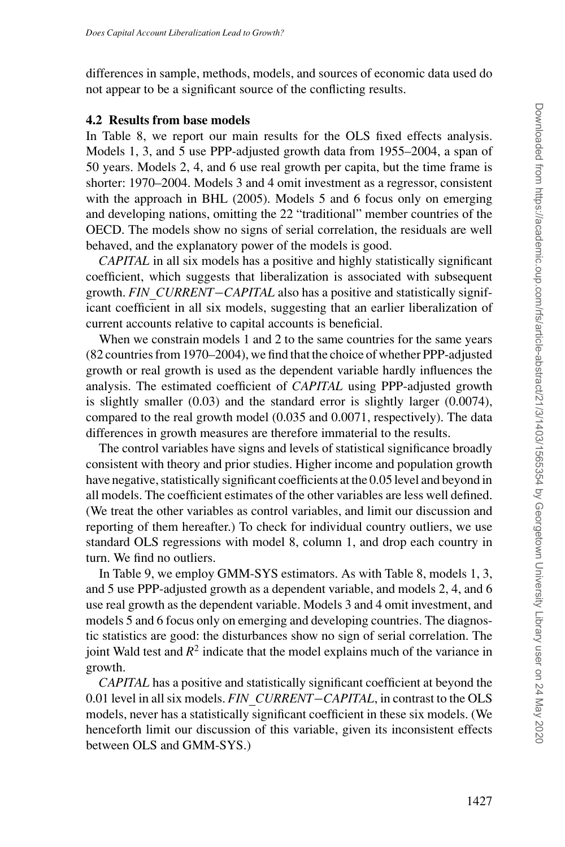differences in sample, methods, models, and sources of economic data used do not appear to be a significant source of the conflicting results.

# **4.2 Results from base models**

In Table 8, we report our main results for the OLS fixed effects analysis. Models 1, 3, and 5 use PPP-adjusted growth data from 1955–2004, a span of 50 years. Models 2, 4, and 6 use real growth per capita, but the time frame is shorter: 1970–2004. Models 3 and 4 omit investment as a regressor, consistent with the approach in BHL (2005). Models 5 and 6 focus only on emerging and developing nations, omitting the 22 "traditional" member countries of the OECD. The models show no signs of serial correlation, the residuals are well behaved, and the explanatory power of the models is good.

*CAPITAL* in all six models has a positive and highly statistically significant coefficient, which suggests that liberalization is associated with subsequent growth. *FIN\_CURRENT*−*CAPITAL* also has a positive and statistically significant coefficient in all six models, suggesting that an earlier liberalization of current accounts relative to capital accounts is beneficial.

When we constrain models 1 and 2 to the same countries for the same years (82 countries from 1970–2004), we find that the choice of whether PPP-adjusted growth or real growth is used as the dependent variable hardly influences the analysis. The estimated coefficient of *CAPITAL* using PPP-adjusted growth is slightly smaller (0.03) and the standard error is slightly larger (0.0074), compared to the real growth model (0.035 and 0.0071, respectively). The data differences in growth measures are therefore immaterial to the results.

The control variables have signs and levels of statistical significance broadly consistent with theory and prior studies. Higher income and population growth have negative, statistically significant coefficients at the 0.05 level and beyond in all models. The coefficient estimates of the other variables are less well defined. (We treat the other variables as control variables, and limit our discussion and reporting of them hereafter.) To check for individual country outliers, we use standard OLS regressions with model 8, column 1, and drop each country in turn. We find no outliers.

In Table 9, we employ GMM-SYS estimators. As with Table 8, models 1, 3, and 5 use PPP-adjusted growth as a dependent variable, and models 2, 4, and 6 use real growth as the dependent variable. Models 3 and 4 omit investment, and models 5 and 6 focus only on emerging and developing countries. The diagnostic statistics are good: the disturbances show no sign of serial correlation. The joint Wald test and  $R^2$  indicate that the model explains much of the variance in growth.

*CAPITAL* has a positive and statistically significant coefficient at beyond the 0.01 level in all six models. *FIN\_CURRENT*−*CAPITAL*, in contrast to the OLS models, never has a statistically significant coefficient in these six models. (We henceforth limit our discussion of this variable, given its inconsistent effects between OLS and GMM-SYS.)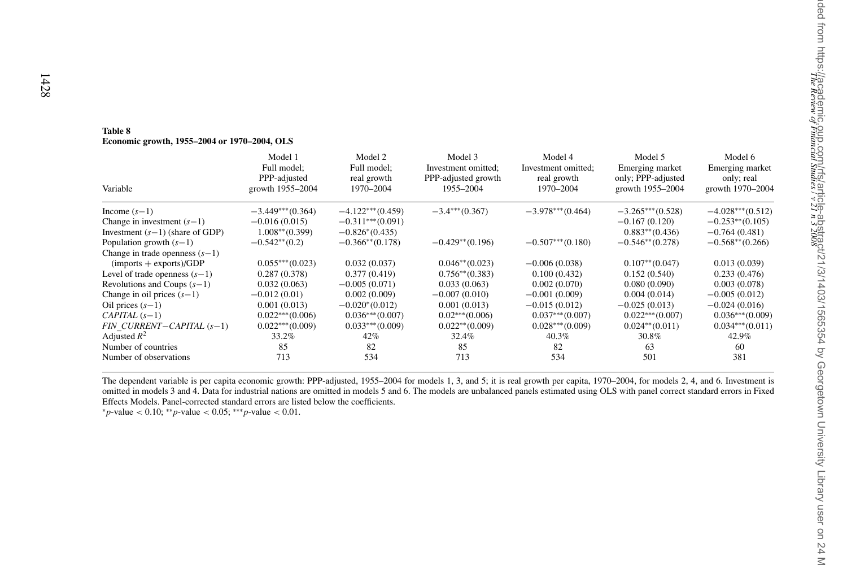| Table 8 |  |
|---------|--|

| Table 8                                      |                    |                    |                     |                     |                    |                    |
|----------------------------------------------|--------------------|--------------------|---------------------|---------------------|--------------------|--------------------|
| Economic growth, 1955–2004 or 1970–2004, OLS |                    |                    |                     |                     |                    |                    |
|                                              | Model 1            | Model 2            | Model 3             | Model 4             | Model 5            | Model 6            |
|                                              | Full model;        | Full model;        | Investment omitted: | Investment omitted: | Emerging market    | Emerging market    |
|                                              | PPP-adjusted       | real growth        | PPP-adjusted growth | real growth         | only; PPP-adjusted | only; real         |
| Variable                                     | growth 1955-2004   | 1970-2004          | 1955-2004           | 1970-2004           | growth 1955-2004   | growth 1970-2004   |
| Income $(s-1)$                               | $-3.449***(0.364)$ | $-4.122***(0.459)$ | $-3.4***(0.367)$    | $-3.978***(0.464)$  | $-3.265***(0.528)$ | $-4.028***(0.512)$ |
| Change in investment $(s-1)$                 | $-0.016(0.015)$    | $-0.311***(0.091)$ |                     |                     | $-0.167(0.120)$    | $-0.253**$ (0.105) |
| Investment $(s-1)$ (share of GDP)            | $1.008**$ (0.399)  | $-0.826*(0.435)$   |                     |                     | $0.883**$ (0.436)  | $-0.764(0.481)$    |
| Population growth $(s-1)$                    | $-0.542**(0.2)$    | $-0.366**$ (0.178) | $-0.429**$ (0.196)  | $-0.507***(0.180)$  | $-0.546**$ (0.278) | $-0.568**0.266$    |
| Change in trade openness $(s-1)$             |                    |                    |                     |                     |                    |                    |
| $(imports + exports)/GDP$                    | $0.055***(0.023)$  | 0.032(0.037)       | $0.046**$ (0.023)   | $-0.006(0.038)$     | $0.107**$ (0.047)  | 0.013(0.039)       |
| Level of trade openness $(s-1)$              | 0.287(0.378)       | 0.377(0.419)       | $0.756**$ (0.383)   | 0.100(0.432)        | 0.152(0.540)       | 0.233(0.476)       |
| Revolutions and Coups $(s-1)$                | 0.032(0.063)       | $-0.005(0.071)$    | 0.033(0.063)        | 0.002(0.070)        | 0.080(0.090)       | 0.003(0.078)       |
| Change in oil prices $(s-1)$                 | $-0.012(0.01)$     | 0.002(0.009)       | $-0.007(0.010)$     | $-0.001(0.009)$     | 0.004(0.014)       | $-0.005(0.012)$    |
| Oil prices $(s-1)$                           | 0.001(0.013)       | $-0.020*(0.012)$   | 0.001(0.013)        | $-0.015(0.012)$     | $-0.025(0.013)$    | $-0.024(0.016)$    |
| $CAPITAL(s-1)$                               | $0.022***(0.006)$  | $0.036***(0.007)$  | $0.02***(0.006)$    | $0.037***(0.007)$   | $0.022***(0.007)$  | $0.036***(0.009)$  |
| FIN CURRENT-CAPITAL (s-1)                    | $0.022***(0.009)$  | $0.033***(0.009)$  | $0.022**$ (0.009)   | $0.028***(0.009)$   | $0.024**$ (0.011)  | $0.034***(0.011)$  |
| Adjusted $R^2$                               | 33.2%              | 42%                | 32.4%               | 40.3%               | 30.8%              | 42.9%              |
| Number of countries                          | 85                 | 82                 | 85                  | 82                  | 63                 | 60                 |
| Number of observations                       | 713                | 534                | 713                 | 534                 | 501                | 381                |

The dependent variable is per capita economic growth: PPP-adjusted, 1955–2004 for models 1, 3, and 5; it is real growth per capita, 1970–2004, for models 2, 4, and 6. Investment is omitted in models 3 and 4. Data for industrial nations are omitted in models 5 and 6. The models are unbalanced panels estimated using OLS with panel correct standard errors in Fixed Effects Models. Panel-corrected standard errors are listed below the coefficients.

<sup>∗</sup>*p*-value <sup>&</sup>lt; 0.10; ∗∗*p*-value <sup>&</sup>lt; 0.05; ∗∗∗*p*-value <sup>&</sup>lt; 0.01.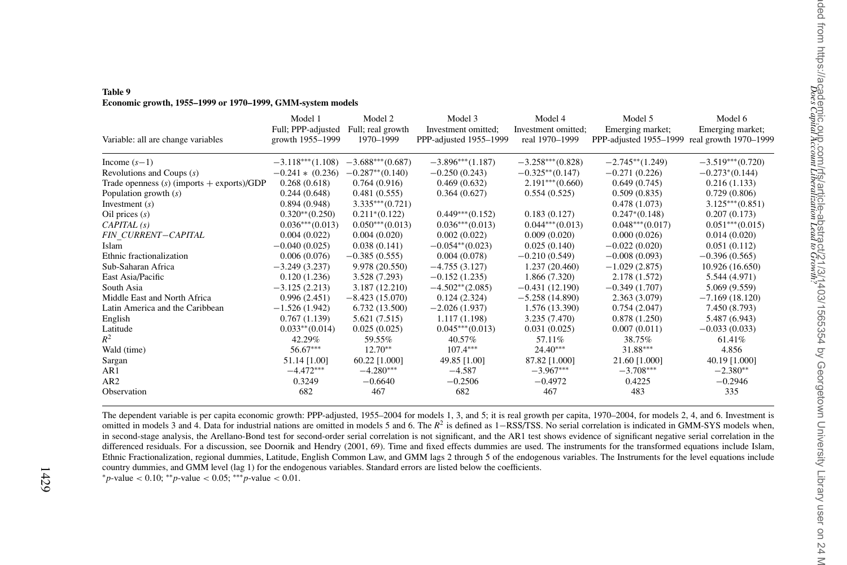| Economic growth, 1955–1999 or 1970–1999, GMM-system models<br>Model 2<br>Model 5<br>Model 1<br>Model 3<br>Model 4<br>Model 6                                                                                                                                                                        |                   |
|-----------------------------------------------------------------------------------------------------------------------------------------------------------------------------------------------------------------------------------------------------------------------------------------------------|-------------------|
|                                                                                                                                                                                                                                                                                                     |                   |
| Full; PPP-adjusted<br>Full; real growth<br>Emerging market;<br>Investment omitted:<br>Emerging market;<br>Investment omitted:<br>Variable: all are change variables<br>growth 1955-1999<br>1970-1999<br>PPP-adjusted 1955-1999<br>real 1970-1999<br>PPP-adjusted 1955-1999<br>real growth 1970–1999 |                   |
| $-3.258***(0.828)$<br>$-3.519***(0.720)$<br>$-3.118***(1.108)$<br>$-3.688***(0.687)$<br>$-3.896***(1.187)$<br>$-2.745**$ (1.249)<br>Income $(s-1)$                                                                                                                                                  |                   |
| Revolutions and Coups $(s)$<br>$-0.241 * (0.236)$<br>$-0.287**$ (0.140)<br>$-0.250(0.243)$<br>$-0.325**$ (0.147)<br>$-0.271(0.226)$<br>$-0.273*(0.144)$                                                                                                                                             |                   |
| $2.191***(0.660)$<br>Trade openness $(s)$ (imports + exports)/GDP<br>0.268(0.618)<br>0.764(0.916)<br>0.469(0.632)<br>0.649(0.745)<br>0.216(1.133)                                                                                                                                                   |                   |
| Population growth $(s)$<br>0.481(0.555)<br>0.554(0.525)<br>0.509(0.835)<br>0.729(0.806)<br>0.244(0.648)<br>0.364(0.627)                                                                                                                                                                             |                   |
| 0.894(0.948)<br>$3.335***(0.721)$<br>0.478(1.073)<br>Investment $(s)$                                                                                                                                                                                                                               | $3.125***(0.851)$ |
| $0.449***(0.152)$<br>0.183(0.127)<br>Oil prices $(s)$<br>$0.320**$ (0.250)<br>$0.211*(0.122)$<br>$0.247*(0.148)$<br>0.207(0.173)                                                                                                                                                                    |                   |
| $0.036***(0.013)$<br>$0.036***(0.013)$<br>$0.050***(0.013)$<br>$0.044***(0.013)$<br>$0.048***(0.017)$<br>CAPITAL(s)                                                                                                                                                                                 | $0.051***(0.015)$ |
| FIN CURRENT-CAPITAL<br>0.004(0.020)<br>0.002(0.022)<br>0.009(0.020)<br>0.000(0.026)<br>0.014(0.020)<br>0.004(0.022)                                                                                                                                                                                 |                   |
| 0.038(0.141)<br>$-0.054**$ (0.023)<br>0.025(0.140)<br>$-0.022(0.020)$<br>$-0.040(0.025)$<br>0.051(0.112)<br>Islam                                                                                                                                                                                   |                   |
| Ethnic fractionalization<br>0.006(0.076)<br>$-0.385(0.555)$<br>0.004(0.078)<br>$-0.210(0.549)$<br>$-0.008(0.093)$<br>$-0.396(0.565)$                                                                                                                                                                |                   |
| $-4.755(3.127)$<br>1.237 (20.460)<br>$-1.029(2.875)$<br>Sub-Saharan Africa<br>$-3.249(3.237)$<br>9.978 (20.550)<br>10.926 (16.650)                                                                                                                                                                  |                   |
| East Asia/Pacific<br>0.120(1.236)<br>3.528 (7.293)<br>$-0.152(1.235)$<br>1.866 (7.320)<br>2.178 (1.572)<br>5.544 (4.971)                                                                                                                                                                            |                   |
| South Asia<br>$-3.125(2.213)$<br>3.187 (12.210)<br>$-4.502**$ (2.085)<br>$-0.349(1.707)$<br>$-0.431(12.190)$<br>5.069 (9.559)                                                                                                                                                                       |                   |
| Middle East and North Africa<br>0.996(2.451)<br>$-8.423(15.070)$<br>0.124(2.324)<br>$-5.258(14.890)$<br>2.363 (3.079)<br>$-7.169(18.120)$                                                                                                                                                           |                   |
| Latin America and the Caribbean<br>$-1.526(1.942)$<br>6.732 (13.500)<br>$-2.026(1.937)$<br>1.576 (13.390)<br>0.754(2.047)<br>7.450 (8.793)                                                                                                                                                          |                   |
| 0.767(1.139)<br>5.621 (7.515)<br>1.117 (1.198)<br>3.235 (7.470)<br>0.878(1.250)<br>5.487 (6.943)<br>English                                                                                                                                                                                         |                   |
| $0.045***(0.013)$<br>$0.033**$ (0.014)<br>0.025(0.025)<br>0.031(0.025)<br>0.007(0.011)<br>$-0.033(0.033)$<br>Latitude                                                                                                                                                                               |                   |
| $R^2$<br>42.29%<br>59.55%<br>40.57%<br>57.11%<br>38.75%<br>61.41%                                                                                                                                                                                                                                   |                   |
| 56.67***<br>$107.4***$<br>$31.88***$<br>$12.70**$<br>$24.40***$<br>4.856<br>Wald (time)                                                                                                                                                                                                             |                   |
| 49.85 [1.00]<br>87.82 [1.000]<br>40.19 [1.000]<br>51.14 [1.00]<br>60.22 [1.000]<br>21.60 [1.000]<br>Sargan                                                                                                                                                                                          |                   |
| $-4.472***$<br>$-3.967***$<br>AR1<br>$-4.280***$<br>$-3.708***$<br>$-2.380**$<br>$-4.587$                                                                                                                                                                                                           |                   |
| AR <sub>2</sub><br>0.3249<br>$-0.6640$<br>$-0.2506$<br>$-0.4972$<br>0.4225<br>$-0.2946$                                                                                                                                                                                                             |                   |
| 682<br>682<br>467<br>467<br>483<br>335<br>Observation                                                                                                                                                                                                                                               |                   |

The dependent variable is per capita economic growth: PPP-adjusted, 1955–2004 for models 1, 3, and 5; it is real growth per capita, 1970–2004, for models 2, 4, and 6. Investment is omitted in models 3 and 4. Data for industrial nations are omitted in models 5 and 6. The *<sup>R</sup>*<sup>2</sup> is defined as <sup>1</sup>−RSS/TSS. No serial correlation is indicated in GMM-SYS models when, in second-stage analysis, the Arellano-Bond test for second-order serial correlation is not significant, and the AR1 test shows evidence of significant negative serial correlation in the differenced residuals. For <sup>a</sup> discussion, see Doornik and Hendry (2001, 69). Time and fixed effects dummies are used. The instruments for the transformed equations include Islam, Ethnic Fractionalization, regional dummies, Latitude, English Common Law, and GMM lags 2 through 5 of the endogenous variables. The Instruments for the level equations include country dummies, and GMM level (lag 1) for the endogenous variables. Standard errors are listed below the coefficients. <sup>∗</sup>*p*-value <sup>&</sup>lt; 0.10; ∗∗*p*-value <sup>&</sup>lt; 0.05; ∗∗∗*p*-value <sup>&</sup>lt; 0.01.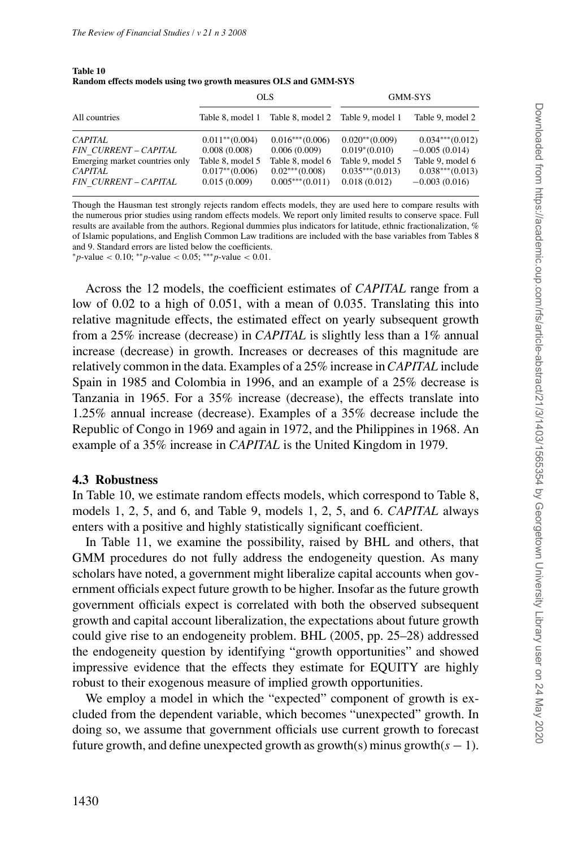|                                                                                                                      |                                                                                            | OLS.                                                                                           | GMM-SYS                                                                                       |                                                                                                  |  |  |
|----------------------------------------------------------------------------------------------------------------------|--------------------------------------------------------------------------------------------|------------------------------------------------------------------------------------------------|-----------------------------------------------------------------------------------------------|--------------------------------------------------------------------------------------------------|--|--|
| All countries                                                                                                        | Table 8. model 1                                                                           | Table 8, model 2 Table 9, model 1                                                              |                                                                                               | Table 9, model 2                                                                                 |  |  |
| <b>CAPITAL</b><br>FIN CURRENT - CAPITAL<br>Emerging market countries only<br><b>CAPITAL</b><br>FIN CURRENT - CAPITAL | $0.011**$ (0.004)<br>0.008(0.008)<br>Table 8, model 5<br>$0.017**$ (0.006)<br>0.015(0.009) | $0.016***(0.006)$<br>0.006(0.009)<br>Table 8, model 6<br>$0.02***(0.008)$<br>$0.005***(0.011)$ | $0.020**$ (0.009)<br>$0.019*(0.010)$<br>Table 9, model 5<br>$0.035***(0.013)$<br>0.018(0.012) | $0.034***(0.012)$<br>$-0.005(0.014)$<br>Table 9, model 6<br>$0.038***(0.013)$<br>$-0.003(0.016)$ |  |  |

**Table 10 Random effects models using two growth measures OLS and GMM-SYS**

Though the Hausman test strongly rejects random effects models, they are used here to compare results with the numerous prior studies using random effects models. We report only limited results to conserve space. Full results are available from the authors. Regional dummies plus indicators for latitude, ethnic fractionalization, % of Islamic populations, and English Common Law traditions are included with the base variables from Tables 8 and 9. Standard errors are listed below the coefficients.

∗*p*-value < 0.10; ∗∗*p*-value < 0.05; ∗∗∗*p*-value < 0.01.

Across the 12 models, the coefficient estimates of *CAPITAL* range from a low of 0.02 to a high of 0.051, with a mean of 0.035. Translating this into relative magnitude effects, the estimated effect on yearly subsequent growth from a 25% increase (decrease) in *CAPITAL* is slightly less than a 1% annual increase (decrease) in growth. Increases or decreases of this magnitude are relatively common in the data. Examples of a 25% increase in *CAPITAL* include Spain in 1985 and Colombia in 1996, and an example of a 25% decrease is Tanzania in 1965. For a 35% increase (decrease), the effects translate into 1.25% annual increase (decrease). Examples of a 35% decrease include the Republic of Congo in 1969 and again in 1972, and the Philippines in 1968. An example of a 35% increase in *CAPITAL* is the United Kingdom in 1979.

# **4.3 Robustness**

In Table 10, we estimate random effects models, which correspond to Table 8, models 1, 2, 5, and 6, and Table 9, models 1, 2, 5, and 6. *CAPITAL* always enters with a positive and highly statistically significant coefficient.

In Table 11, we examine the possibility, raised by BHL and others, that GMM procedures do not fully address the endogeneity question. As many scholars have noted, a government might liberalize capital accounts when government officials expect future growth to be higher. Insofar as the future growth government officials expect is correlated with both the observed subsequent growth and capital account liberalization, the expectations about future growth could give rise to an endogeneity problem. BHL (2005, pp. 25–28) addressed the endogeneity question by identifying "growth opportunities" and showed impressive evidence that the effects they estimate for EQUITY are highly robust to their exogenous measure of implied growth opportunities.

We employ a model in which the "expected" component of growth is excluded from the dependent variable, which becomes "unexpected" growth. In doing so, we assume that government officials use current growth to forecast future growth, and define unexpected growth as growth(s) minus growth( $s - 1$ ).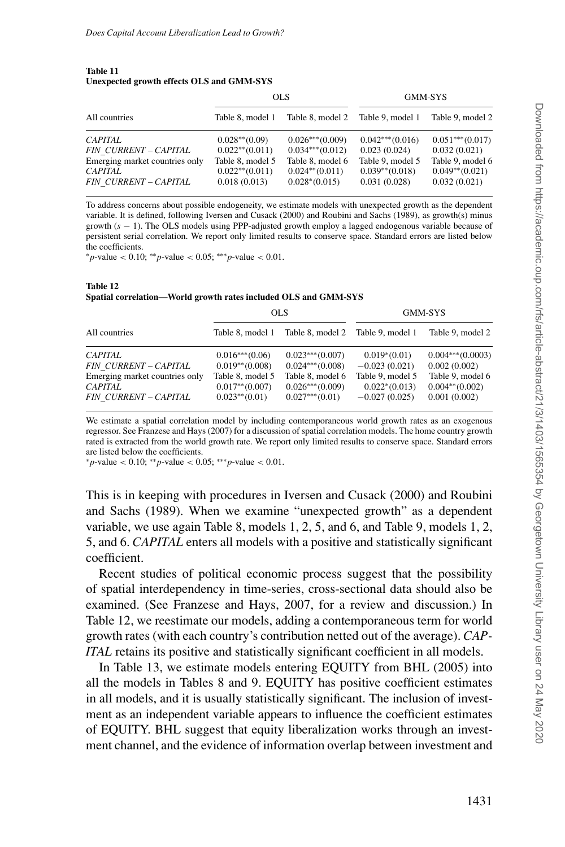| Table 11                                  |  |  |
|-------------------------------------------|--|--|
| Unexpected growth effects OLS and GMM-SYS |  |  |

|                                                                                                               |                                                                                                | OLS.                                                                                               | GMM-SYS                                                                                    |                                                                                            |  |
|---------------------------------------------------------------------------------------------------------------|------------------------------------------------------------------------------------------------|----------------------------------------------------------------------------------------------------|--------------------------------------------------------------------------------------------|--------------------------------------------------------------------------------------------|--|
| All countries                                                                                                 | Table 8, model 1                                                                               | Table 8, model 2                                                                                   | Table 9, model 1                                                                           | Table 9, model 2                                                                           |  |
| CAPITAL<br>FIN CURRENT - CAPITAL<br>Emerging market countries only<br><b>CAPITAL</b><br>FIN CURRENT - CAPITAL | $0.028**$ (0.09)<br>$0.022**$ (0.011)<br>Table 8, model 5<br>$0.022**$ (0.011)<br>0.018(0.013) | $0.026***(0.009)$<br>$0.034***(0.012)$<br>Table 8, model 6<br>$0.024**$ (0.011)<br>$0.028*(0.015)$ | $0.042***(0.016)$<br>0.023(0.024)<br>Table 9, model 5<br>$0.039**$ (0.018)<br>0.031(0.028) | $0.051***(0.017)$<br>0.032(0.021)<br>Table 9, model 6<br>$0.049**$ (0.021)<br>0.032(0.021) |  |

To address concerns about possible endogeneity, we estimate models with unexpected growth as the dependent variable. It is defined, following Iversen and Cusack (2000) and Roubini and Sachs (1989), as growth(s) minus growth (*s* − 1). The OLS models using PPP-adjusted growth employ a lagged endogenous variable because of persistent serial correlation. We report only limited results to conserve space. Standard errors are listed below the coefficients.

∗*p*-value < 0.10; ∗∗*p*-value < 0.05; ∗∗∗*p*-value < 0.01.

### **Table 12 Spatial correlation—World growth rates included OLS and GMM-SYS**

|                                                                                                                      |                                                                                                    | OLS.                                                                                                | GMM-SYS                                                                                     |                                                                                             |  |
|----------------------------------------------------------------------------------------------------------------------|----------------------------------------------------------------------------------------------------|-----------------------------------------------------------------------------------------------------|---------------------------------------------------------------------------------------------|---------------------------------------------------------------------------------------------|--|
| All countries                                                                                                        | Table 8, model 1                                                                                   | Table 8, model 2 Table 9, model 1                                                                   |                                                                                             | Table 9, model 2                                                                            |  |
| <b>CAPITAL</b><br>FIN CURRENT - CAPITAL<br>Emerging market countries only<br><b>CAPITAL</b><br>FIN CURRENT - CAPITAL | $0.016***(0.06)$<br>$0.019**$ (0.008)<br>Table 8, model 5<br>$0.017**$ (0.007)<br>$0.023**$ (0.01) | $0.023***(0.007)$<br>$0.024***(0.008)$<br>Table 8, model 6<br>$0.026***(0.009)$<br>$0.027***(0.01)$ | $0.019*(0.01)$<br>$-0.023(0.021)$<br>Table 9, model 5<br>$0.022*(0.013)$<br>$-0.027(0.025)$ | $0.004***(0.0003)$<br>0.002(0.002)<br>Table 9, model 6<br>$0.004**$ (0.002)<br>0.001(0.002) |  |

We estimate a spatial correlation model by including contemporaneous world growth rates as an exogenous regressor. See Franzese and Hays (2007) for a discussion of spatial correlation models. The home country growth rated is extracted from the world growth rate. We report only limited results to conserve space. Standard errors are listed below the coefficients.

∗*p*-value < 0.10; ∗∗*p*-value < 0.05; ∗∗∗*p*-value < 0.01.

This is in keeping with procedures in Iversen and Cusack (2000) and Roubini and Sachs (1989). When we examine "unexpected growth" as a dependent variable, we use again Table 8, models 1, 2, 5, and 6, and Table 9, models 1, 2, 5, and 6. *CAPITAL* enters all models with a positive and statistically significant coefficient.

Recent studies of political economic process suggest that the possibility of spatial interdependency in time-series, cross-sectional data should also be examined. (See Franzese and Hays, 2007, for a review and discussion.) In Table 12, we reestimate our models, adding a contemporaneous term for world growth rates (with each country's contribution netted out of the average). *CAP-ITAL* retains its positive and statistically significant coefficient in all models.

In Table 13, we estimate models entering EQUITY from BHL (2005) into all the models in Tables 8 and 9. EQUITY has positive coefficient estimates in all models, and it is usually statistically significant. The inclusion of investment as an independent variable appears to influence the coefficient estimates of EQUITY. BHL suggest that equity liberalization works through an investment channel, and the evidence of information overlap between investment and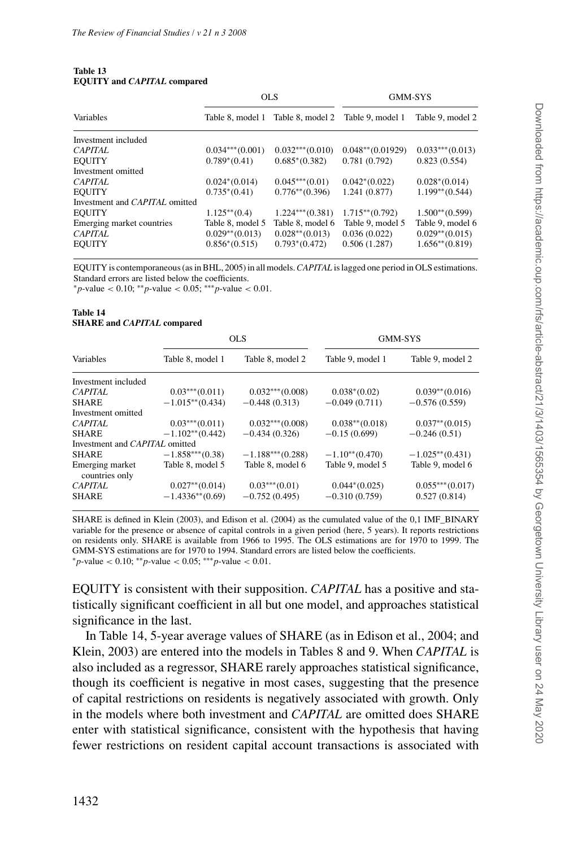### **Table 13 EQUITY and** *CAPITAL* **compared**

|                                       |                   | OLS.              | <b>GMM-SYS</b>      |                   |  |
|---------------------------------------|-------------------|-------------------|---------------------|-------------------|--|
| Variables                             | Table 8, model 1  | Table 8, model 2  | Table 9, model 1    | Table 9, model 2  |  |
| Investment included                   |                   |                   |                     |                   |  |
| <b>CAPITAL</b>                        | $0.034***(0.001)$ | $0.032***(0.010)$ | $0.048**$ (0.01929) | $0.033***(0.013)$ |  |
| <b>EOUITY</b>                         | $0.789*(0.41)$    | $0.685*(0.382)$   | 0.781(0.792)        | 0.823(0.554)      |  |
| Investment omitted                    |                   |                   |                     |                   |  |
| CAPITAL                               | $0.024*(0.014)$   | $0.045***(0.01)$  | $0.042*(0.022)$     | $0.028*(0.014)$   |  |
| <b>EQUITY</b>                         | $0.735*(0.41)$    | $0.776**$ (0.396) | 1.241 (0.877)       | $1.199**$ (0.544) |  |
| Investment and <i>CAPITAL</i> omitted |                   |                   |                     |                   |  |
| <b>EQUITY</b>                         | $1.125**(0.4)$    | $1.224***(0.381)$ | $1.715**$ (0.792)   | $1.500**$ (0.599) |  |
| Emerging market countries             | Table 8, model 5  | Table 8, model 6  | Table 9, model 5    | Table 9, model 6  |  |
| <b>CAPITAL</b>                        | $0.029**$ (0.013) | $0.028**$ (0.013) | 0.036(0.022)        | $0.029**$ (0.015) |  |
| <b>EQUITY</b>                         | $0.856*(0.515)$   | $0.793*(0.472)$   | 0.506(1.287)        | $1.656**$ (0.819) |  |

EQUITY is contemporaneous (as in BHL, 2005) in all models.*CAPITAL* is lagged one period in OLS estimations. Standard errors are listed below the coefficients.

∗*p*-value < 0.10; ∗∗*p*-value < 0.05; ∗∗∗*p*-value < 0.01.

#### **Table 14 SHARE and** *CAPITAL* **compared**

|                                   |                    | OLS.               | <b>GMM-SYS</b>    |                    |  |
|-----------------------------------|--------------------|--------------------|-------------------|--------------------|--|
| Variables                         | Table 8, model 1   | Table 8, model 2   | Table 9, model 1  | Table 9, model 2   |  |
| Investment included               |                    |                    |                   |                    |  |
| <i>CAPITAL</i>                    | $0.03***(0.011)$   | $0.032***(0.008)$  | $0.038*(0.02)$    | $0.039**$ (0.016)  |  |
| <b>SHARE</b>                      | $-1.015**$ (0.434) | $-0.448(0.313)$    | $-0.049(0.711)$   | $-0.576(0.559)$    |  |
| Investment omitted                |                    |                    |                   |                    |  |
| CAPITAL                           | $0.03***(0.011)$   | $0.032***(0.008)$  | $0.038**$ (0.018) | $0.037**$ (0.015)  |  |
| <b>SHARE</b>                      | $-1.102**$ (0.442) | $-0.434(0.326)$    | $-0.15(0.699)$    | $-0.246(0.51)$     |  |
| Investment and CAPITAL omitted    |                    |                    |                   |                    |  |
| <b>SHARE</b>                      | $-1.858***(0.38)$  | $-1.188***(0.288)$ | $-1.10**$ (0.470) | $-1.025**$ (0.431) |  |
| Emerging market<br>countries only | Table 8, model 5   | Table 8, model 6   | Table 9, model 5  | Table 9, model 6   |  |
| <b>CAPITAL</b>                    | $0.027**$ (0.014)  | $0.03***(0.01)$    | $0.044*(0.025)$   | $0.055***(0.017)$  |  |
| <b>SHARE</b>                      | $-1.4336**$ (0.69) | $-0.752(0.495)$    | $-0.310(0.759)$   | 0.527(0.814)       |  |

SHARE is defined in Klein (2003), and Edison et al. (2004) as the cumulated value of the 0,1 IMF\_BINARY variable for the presence or absence of capital controls in a given period (here, 5 years). It reports restrictions on residents only. SHARE is available from 1966 to 1995. The OLS estimations are for 1970 to 1999. The GMM-SYS estimations are for 1970 to 1994. Standard errors are listed below the coefficients. ∗*p*-value < 0.10; ∗∗*p*-value < 0.05; ∗∗∗*p*-value < 0.01.

EQUITY is consistent with their supposition. *CAPITAL* has a positive and statistically significant coefficient in all but one model, and approaches statistical significance in the last.

In Table 14, 5-year average values of SHARE (as in Edison et al., 2004; and Klein, 2003) are entered into the models in Tables 8 and 9. When *CAPITAL* is also included as a regressor, SHARE rarely approaches statistical significance, though its coefficient is negative in most cases, suggesting that the presence of capital restrictions on residents is negatively associated with growth. Only in the models where both investment and *CAPITAL* are omitted does SHARE enter with statistical significance, consistent with the hypothesis that having fewer restrictions on resident capital account transactions is associated with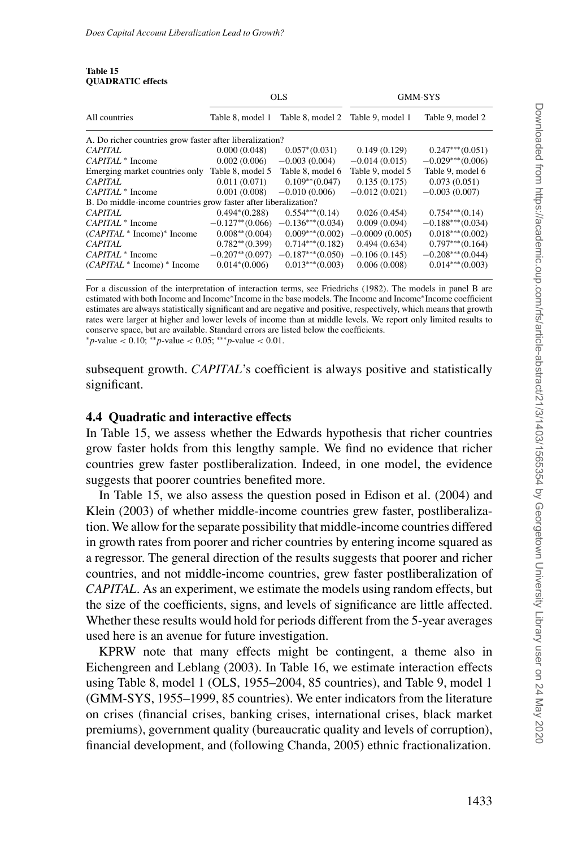| Table 15                 |
|--------------------------|
| <b>OUADRATIC</b> effects |

|                                                                 |                    | OLS                               | <b>GMM-SYS</b>   |                    |  |
|-----------------------------------------------------------------|--------------------|-----------------------------------|------------------|--------------------|--|
| All countries                                                   | Table 8. model 1   | Table 8, model 2 Table 9, model 1 |                  | Table 9, model 2   |  |
| A. Do richer countries grow faster after liberalization?        |                    |                                   |                  |                    |  |
| CAPITAL.                                                        | 0.000(0.048)       | $0.057*(0.031)$                   | 0.149(0.129)     | $0.247***(0.051)$  |  |
| $CAPITAL * Income$                                              | 0.002(0.006)       | $-0.003(0.004)$                   | $-0.014(0.015)$  | $-0.029***(0.006)$ |  |
| Emerging market countries only                                  | Table 8, model 5   | Table 8, model 6                  | Table 9, model 5 | Table 9, model 6   |  |
| CAPITAL.                                                        | 0.011(0.071)       | $0.109**$ (0.047)                 | 0.135(0.175)     | 0.073(0.051)       |  |
| $CAPITAL*$ Income                                               | 0.001(0.008)       | $-0.010(0.006)$                   | $-0.012(0.021)$  | $-0.003(0.007)$    |  |
| B. Do middle-income countries grow faster after liberalization? |                    |                                   |                  |                    |  |
| CAPITAL                                                         | $0.494*(0.288)$    | $0.554***(0.14)$                  | 0.026(0.454)     | $0.754***(0.14)$   |  |
| $CAPITAL*$ Income                                               | $-0.127**$ (0.066) | $-0.136***(0.034)$                | 0.009(0.094)     | $-0.188***(0.034)$ |  |
| ( <i>CAPITAL</i> * Income)* Income                              | $0.008**$ (0.004)  | $0.009***(0.002)$                 | $-0.0009(0.005)$ | $0.018***(0.002)$  |  |
| CAPITAL                                                         | $0.782**$ (0.399)  | $0.714***(0.182)$                 | 0.494(0.634)     | $0.797***(0.164)$  |  |
| $CAPITAL*$ Income                                               | $-0.207**$ (0.097) | $-0.187***(0.050)$                | $-0.106(0.145)$  | $-0.208***(0.044)$ |  |
| ( <i>CAPITAL</i> * Income) * Income                             | $0.014*(0.006)$    | $0.013***(0.003)$                 | 0.006(0.008)     | $0.014***(0.003)$  |  |

For a discussion of the interpretation of interaction terms, see Friedrichs (1982). The models in panel B are estimated with both Income and Income∗Income in the base models. The Income and Income∗Income coefficient estimates are always statistically significant and are negative and positive, respectively, which means that growth rates were larger at higher and lower levels of income than at middle levels. We report only limited results to conserve space, but are available. Standard errors are listed below the coefficients. ∗*p*-value < 0.10; ∗∗*p*-value < 0.05; ∗∗∗*p*-value < 0.01.

subsequent growth. *CAPITAL*'s coefficient is always positive and statistically significant.

# **4.4 Quadratic and interactive effects**

In Table 15, we assess whether the Edwards hypothesis that richer countries grow faster holds from this lengthy sample. We find no evidence that richer countries grew faster postliberalization. Indeed, in one model, the evidence suggests that poorer countries benefited more.

In Table 15, we also assess the question posed in Edison et al. (2004) and Klein (2003) of whether middle-income countries grew faster, postliberalization. We allow for the separate possibility that middle-income countries differed in growth rates from poorer and richer countries by entering income squared as a regressor. The general direction of the results suggests that poorer and richer countries, and not middle-income countries, grew faster postliberalization of *CAPITAL*. As an experiment, we estimate the models using random effects, but the size of the coefficients, signs, and levels of significance are little affected. Whether these results would hold for periods different from the 5-year averages used here is an avenue for future investigation.

KPRW note that many effects might be contingent, a theme also in Eichengreen and Leblang (2003). In Table 16, we estimate interaction effects using Table 8, model 1 (OLS, 1955–2004, 85 countries), and Table 9, model 1 (GMM-SYS, 1955–1999, 85 countries). We enter indicators from the literature on crises (financial crises, banking crises, international crises, black market premiums), government quality (bureaucratic quality and levels of corruption), financial development, and (following Chanda, 2005) ethnic fractionalization.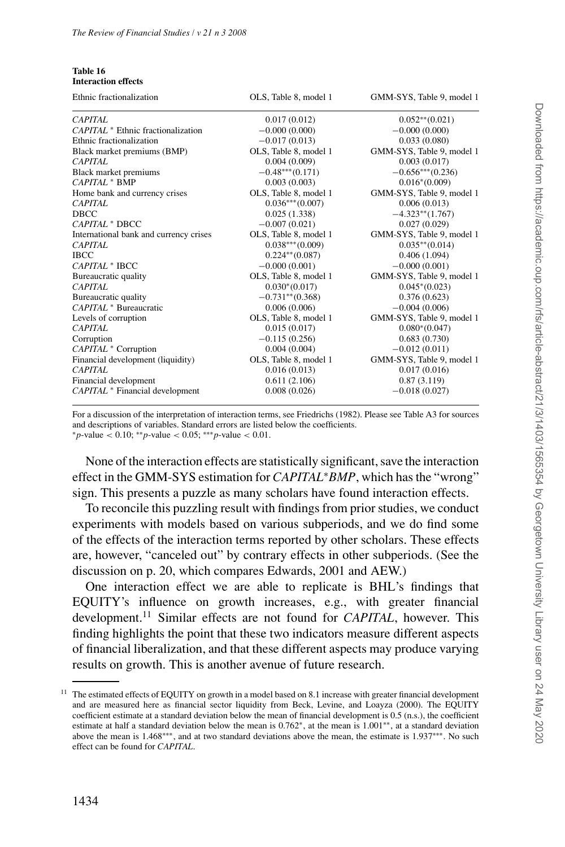### **Table 16 Interaction effects**

| Ethnic fractionalization               | OLS, Table 8, model 1 | GMM-SYS, Table 9, model 1 |
|----------------------------------------|-----------------------|---------------------------|
| CAPITAL                                | 0.017(0.012)          | $0.052**$ (0.021)         |
| CAPITAL * Ethnic fractionalization     | $-0.000(0.000)$       | $-0.000(0.000)$           |
| Ethnic fractionalization               | $-0.017(0.013)$       | 0.033(0.080)              |
| Black market premiums (BMP)            | OLS, Table 8, model 1 | GMM-SYS. Table 9. model 1 |
| CAPITAL                                | 0.004(0.009)          | 0.003(0.017)              |
| Black market premiums                  | $-0.48***(0.171)$     | $-0.656***(0.236)$        |
| $CAPITAL*$ BMP                         | 0.003(0.003)          | $0.016*(0.009)$           |
| Home bank and currency crises          | OLS. Table 8, model 1 | GMM-SYS. Table 9. model 1 |
| <b>CAPITAL</b>                         | $0.036***(0.007)$     | 0.006(0.013)              |
| <b>DBCC</b>                            | 0.025(1.338)          | $-4.323**$ (1.767)        |
| CAPITAL * DBCC                         | $-0.007(0.021)$       | 0.027(0.029)              |
| International bank and currency crises | OLS, Table 8, model 1 | GMM-SYS. Table 9. model 1 |
| <b>CAPITAL</b>                         | $0.038***(0.009)$     | $0.035**$ (0.014)         |
| <b>IBCC</b>                            | $0.224**$ (0.087)     | 0.406(1.094)              |
| CAPITAL * IBCC                         | $-0.000(0.001)$       | $-0.000(0.001)$           |
| Bureaucratic quality                   | OLS, Table 8, model 1 | GMM-SYS, Table 9, model 1 |
| CAPITAL                                | $0.030*(0.017)$       | $0.045*(0.023)$           |
| Bureaucratic quality                   | $-0.731**$ (0.368)    | 0.376(0.623)              |
| CAPITAL <sup>*</sup> Bureaucratic      | 0.006(0.006)          | $-0.004(0.006)$           |
| Levels of corruption                   | OLS, Table 8, model 1 | GMM-SYS, Table 9, model 1 |
| CAPITAL                                | 0.015(0.017)          | $0.080*(0.047)$           |
| Corruption                             | $-0.115(0.256)$       | 0.683(0.730)              |
| CAPITAL <sup>*</sup> Corruption        | 0.004(0.004)          | $-0.012(0.011)$           |
| Financial development (liquidity)      | OLS, Table 8, model 1 | GMM-SYS, Table 9, model 1 |
| CAPITAL                                | 0.016(0.013)          | 0.017(0.016)              |
| Financial development                  | 0.611(2.106)          | 0.87(3.119)               |
| CAPITAL * Financial development        | 0.008(0.026)          | $-0.018(0.027)$           |

For a discussion of the interpretation of interaction terms, see Friedrichs (1982). Please see Table A3 for sources and descriptions of variables. Standard errors are listed below the coefficients. ∗*p*-value < 0.10; ∗∗*p*-value < 0.05; ∗∗∗*p*-value < 0.01.

None of the interaction effects are statistically significant, save the interaction effect in the GMM-SYS estimation for *CAPITAL*∗*BMP*, which has the "wrong" sign. This presents a puzzle as many scholars have found interaction effects.

To reconcile this puzzling result with findings from prior studies, we conduct experiments with models based on various subperiods, and we do find some of the effects of the interaction terms reported by other scholars. These effects are, however, "canceled out" by contrary effects in other subperiods. (See the discussion on p. 20, which compares Edwards, 2001 and AEW.)

One interaction effect we are able to replicate is BHL's findings that EQUITY's influence on growth increases, e.g., with greater financial development.<sup>11</sup> Similar effects are not found for *CAPITAL*, however. This finding highlights the point that these two indicators measure different aspects of financial liberalization, and that these different aspects may produce varying results on growth. This is another avenue of future research.

<sup>&</sup>lt;sup>11</sup> The estimated effects of EQUITY on growth in a model based on 8.1 increase with greater financial development and are measured here as financial sector liquidity from Beck, Levine, and Loayza (2000). The EQUITY coefficient estimate at a standard deviation below the mean of financial development is 0.5 (n.s.), the coefficient estimate at half a standard deviation below the mean is 0.762∗, at the mean is 1.001∗∗, at a standard deviation above the mean is 1.468∗∗∗, and at two standard deviations above the mean, the estimate is 1.937∗∗∗. No such effect can be found for *CAPITAL*.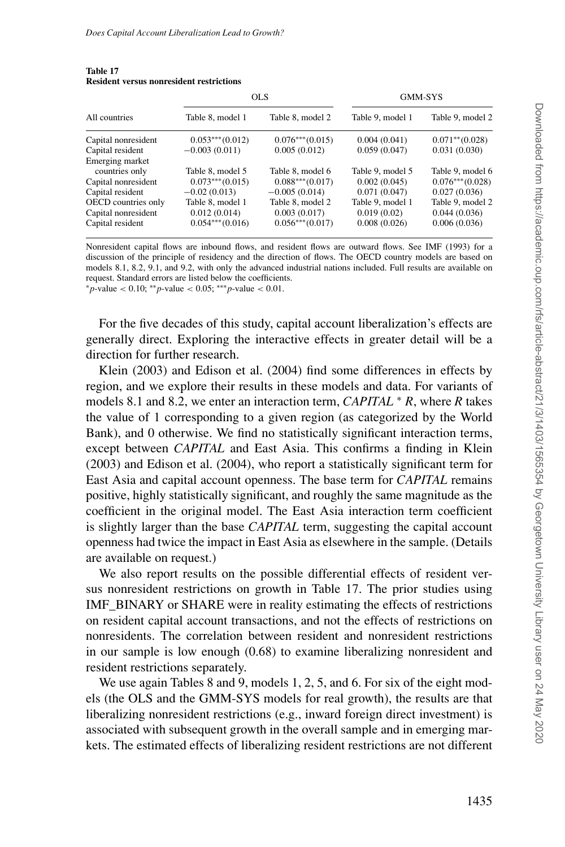|                     |                   | OLS.              | <b>GMM-SYS</b>   |                   |  |
|---------------------|-------------------|-------------------|------------------|-------------------|--|
| All countries       | Table 8, model 1  | Table 8, model 2  | Table 9, model 1 | Table 9, model 2  |  |
| Capital nonresident | $0.053***(0.012)$ | $0.076***(0.015)$ | 0.004(0.041)     | $0.071**$ (0.028) |  |
| Capital resident    | $-0.003(0.011)$   | 0.005(0.012)      | 0.059(0.047)     | 0.031(0.030)      |  |
| Emerging market     |                   |                   |                  |                   |  |
| countries only      | Table 8, model 5  | Table 8, model 6  | Table 9, model 5 | Table 9, model 6  |  |
| Capital nonresident | $0.073***(0.015)$ | $0.088***(0.017)$ | 0.002(0.045)     | $0.076***(0.028)$ |  |
| Capital resident    | $-0.02(0.013)$    | $-0.005(0.014)$   | 0.071(0.047)     | 0.027(0.036)      |  |
| OECD countries only | Table 8, model 1  | Table 8, model 2  | Table 9, model 1 | Table 9, model 2  |  |
| Capital nonresident | 0.012(0.014)      | 0.003(0.017)      | 0.019(0.02)      | 0.044(0.036)      |  |
| Capital resident    | $0.054***(0.016)$ | $0.056***(0.017)$ | 0.008(0.026)     | 0.006(0.036)      |  |

#### **Table 17 Resident versus nonresident restrictions**

Nonresident capital flows are inbound flows, and resident flows are outward flows. See IMF (1993) for a discussion of the principle of residency and the direction of flows. The OECD country models are based on models 8.1, 8.2, 9.1, and 9.2, with only the advanced industrial nations included. Full results are available on request. Standard errors are listed below the coefficients.

∗*p*-value < 0.10; ∗∗*p*-value < 0.05; ∗∗∗*p*-value < 0.01.

For the five decades of this study, capital account liberalization's effects are generally direct. Exploring the interactive effects in greater detail will be a direction for further research.

Klein (2003) and Edison et al. (2004) find some differences in effects by region, and we explore their results in these models and data. For variants of models 8.1 and 8.2, we enter an interaction term, *CAPITAL* <sup>∗</sup> *R*, where *R* takes the value of 1 corresponding to a given region (as categorized by the World Bank), and 0 otherwise. We find no statistically significant interaction terms, except between *CAPITAL* and East Asia. This confirms a finding in Klein (2003) and Edison et al. (2004), who report a statistically significant term for East Asia and capital account openness. The base term for *CAPITAL* remains positive, highly statistically significant, and roughly the same magnitude as the coefficient in the original model. The East Asia interaction term coefficient is slightly larger than the base *CAPITAL* term, suggesting the capital account openness had twice the impact in East Asia as elsewhere in the sample. (Details are available on request.)

We also report results on the possible differential effects of resident versus nonresident restrictions on growth in Table 17. The prior studies using IMF\_BINARY or SHARE were in reality estimating the effects of restrictions on resident capital account transactions, and not the effects of restrictions on nonresidents. The correlation between resident and nonresident restrictions in our sample is low enough (0.68) to examine liberalizing nonresident and resident restrictions separately.

We use again Tables 8 and 9, models 1, 2, 5, and 6. For six of the eight models (the OLS and the GMM-SYS models for real growth), the results are that liberalizing nonresident restrictions (e.g., inward foreign direct investment) is associated with subsequent growth in the overall sample and in emerging markets. The estimated effects of liberalizing resident restrictions are not different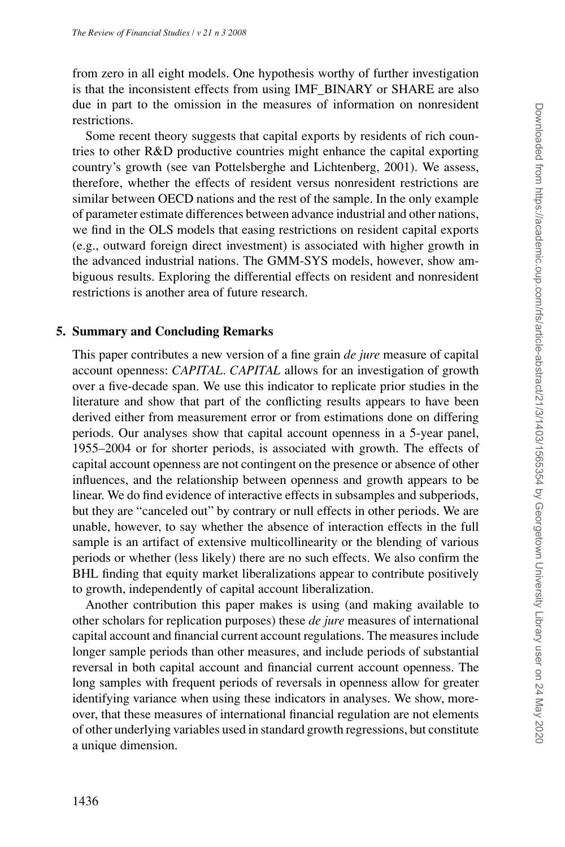from zero in all eight models. One hypothesis worthy of further investigation is that the inconsistent effects from using IMF\_BINARY or SHARE are also due in part to the omission in the measures of information on nonresident restrictions.

Some recent theory suggests that capital exports by residents of rich countries to other R&D productive countries might enhance the capital exporting country's growth (see van Pottelsberghe and Lichtenberg, 2001). We assess, therefore, whether the effects of resident versus nonresident restrictions are similar between OECD nations and the rest of the sample. In the only example of parameter estimate differences between advance industrial and other nations, we find in the OLS models that easing restrictions on resident capital exports (e.g., outward foreign direct investment) is associated with higher growth in the advanced industrial nations. The GMM-SYS models, however, show ambiguous results. Exploring the differential effects on resident and nonresident restrictions is another area of future research.

# **5. Summary and Concluding Remarks**

This paper contributes a new version of a fine grain *de jure* measure of capital account openness: *CAPITAL*. *CAPITAL* allows for an investigation of growth over a five-decade span. We use this indicator to replicate prior studies in the literature and show that part of the conflicting results appears to have been derived either from measurement error or from estimations done on differing periods. Our analyses show that capital account openness in a 5-year panel, 1955–2004 or for shorter periods, is associated with growth. The effects of capital account openness are not contingent on the presence or absence of other influences, and the relationship between openness and growth appears to be linear. We do find evidence of interactive effects in subsamples and subperiods, but they are "canceled out" by contrary or null effects in other periods. We are unable, however, to say whether the absence of interaction effects in the full sample is an artifact of extensive multicollinearity or the blending of various periods or whether (less likely) there are no such effects. We also confirm the BHL finding that equity market liberalizations appear to contribute positively to growth, independently of capital account liberalization.

Another contribution this paper makes is using (and making available to other scholars for replication purposes) these *de jure* measures of international capital account and financial current account regulations. The measures include longer sample periods than other measures, and include periods of substantial reversal in both capital account and financial current account openness. The long samples with frequent periods of reversals in openness allow for greater identifying variance when using these indicators in analyses. We show, moreover, that these measures of international financial regulation are not elements of other underlying variables used in standard growth regressions, but constitute a unique dimension.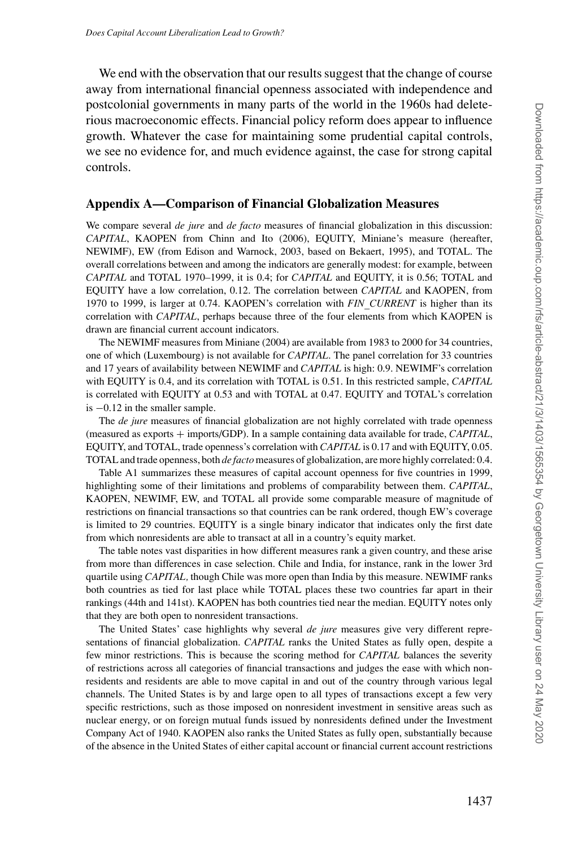We end with the observation that our results suggest that the change of course away from international financial openness associated with independence and postcolonial governments in many parts of the world in the 1960s had deleterious macroeconomic effects. Financial policy reform does appear to influence growth. Whatever the case for maintaining some prudential capital controls, we see no evidence for, and much evidence against, the case for strong capital controls.

# **Appendix A—Comparison of Financial Globalization Measures**

We compare several *de jure* and *de facto* measures of financial globalization in this discussion: *CAPITAL*, KAOPEN from Chinn and Ito (2006), EQUITY, Miniane's measure (hereafter, NEWIMF), EW (from Edison and Warnock, 2003, based on Bekaert, 1995), and TOTAL. The overall correlations between and among the indicators are generally modest: for example, between *CAPITAL* and TOTAL 1970–1999, it is 0.4; for *CAPITAL* and EQUITY, it is 0.56; TOTAL and EQUITY have a low correlation, 0.12. The correlation between *CAPITAL* and KAOPEN, from 1970 to 1999, is larger at 0.74. KAOPEN's correlation with *FIN\_CURRENT* is higher than its correlation with *CAPITAL*, perhaps because three of the four elements from which KAOPEN is drawn are financial current account indicators.

The NEWIMF measures from Miniane (2004) are available from 1983 to 2000 for 34 countries, one of which (Luxembourg) is not available for *CAPITAL*. The panel correlation for 33 countries and 17 years of availability between NEWIMF and *CAPITAL* is high: 0.9. NEWIMF's correlation with EQUITY is 0.4, and its correlation with TOTAL is 0.51. In this restricted sample, *CAPITAL* is correlated with EQUITY at 0.53 and with TOTAL at 0.47. EQUITY and TOTAL's correlation is −0.12 in the smaller sample.

The *de jure* measures of financial globalization are not highly correlated with trade openness (measured as exports + imports/GDP). In a sample containing data available for trade, *CAPITAL*, EQUITY, and TOTAL, trade openness's correlation with *CAPITAL* is 0.17 and with EQUITY, 0.05. TOTAL and trade openness, both *de facto*measures of globalization, are more highly correlated: 0.4.

Table A1 summarizes these measures of capital account openness for five countries in 1999, highlighting some of their limitations and problems of comparability between them. *CAPITAL*, KAOPEN, NEWIMF, EW, and TOTAL all provide some comparable measure of magnitude of restrictions on financial transactions so that countries can be rank ordered, though EW's coverage is limited to 29 countries. EQUITY is a single binary indicator that indicates only the first date from which nonresidents are able to transact at all in a country's equity market.

The table notes vast disparities in how different measures rank a given country, and these arise from more than differences in case selection. Chile and India, for instance, rank in the lower 3rd quartile using *CAPITAL,* though Chile was more open than India by this measure. NEWIMF ranks both countries as tied for last place while TOTAL places these two countries far apart in their rankings (44th and 141st). KAOPEN has both countries tied near the median. EQUITY notes only that they are both open to nonresident transactions.

The United States' case highlights why several *de jure* measures give very different representations of financial globalization. *CAPITAL* ranks the United States as fully open, despite a few minor restrictions. This is because the scoring method for *CAPITAL* balances the severity of restrictions across all categories of financial transactions and judges the ease with which nonresidents and residents are able to move capital in and out of the country through various legal channels. The United States is by and large open to all types of transactions except a few very specific restrictions, such as those imposed on nonresident investment in sensitive areas such as nuclear energy, or on foreign mutual funds issued by nonresidents defined under the Investment Company Act of 1940. KAOPEN also ranks the United States as fully open, substantially because of the absence in the United States of either capital account or financial current account restrictions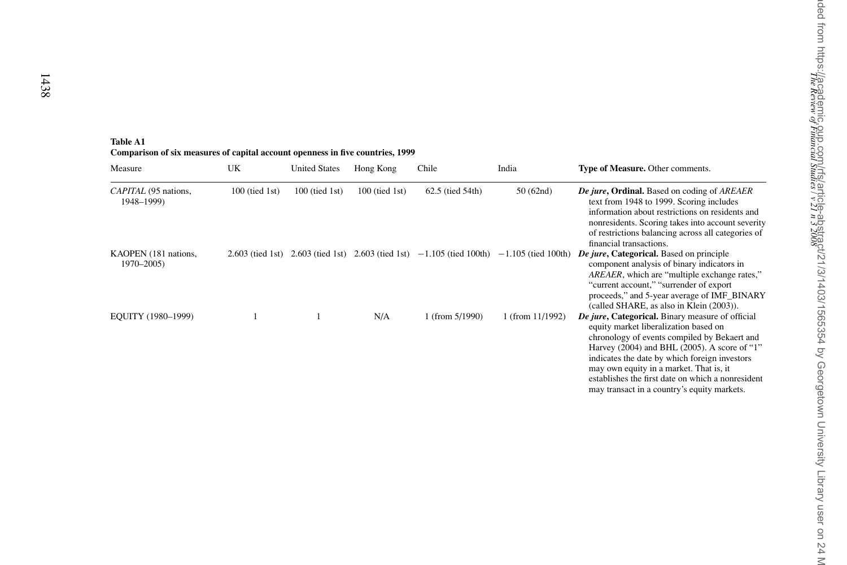| Table A1<br>Comparison of six measures of capital account openness in five countries, 1999 |                  |                      |                  |                                                                                                |                  |                                                                                                                                                                                                                                                                                                                                                                                           |
|--------------------------------------------------------------------------------------------|------------------|----------------------|------------------|------------------------------------------------------------------------------------------------|------------------|-------------------------------------------------------------------------------------------------------------------------------------------------------------------------------------------------------------------------------------------------------------------------------------------------------------------------------------------------------------------------------------------|
| Measure                                                                                    | UK               | <b>United States</b> | Hong Kong        | Chile                                                                                          | India            | <b>Type of Measure.</b> Other comments.                                                                                                                                                                                                                                                                                                                                                   |
| CAPITAL (95 nations,<br>1948-1999)                                                         | $100$ (tied 1st) | $100$ (tied 1st)     | $100$ (tied 1st) | 62.5 (tied 54th)                                                                               | 50(62nd)         | De jure, Ordinal. Based on coding of AREAER<br>text from 1948 to 1999. Scoring includes<br>information about restrictions on residents and<br>nonresidents. Scoring takes into account severity<br>of restrictions balancing across all categories of<br>financial transactions.                                                                                                          |
| KAOPEN (181 nations,<br>$1970 - 2005$                                                      |                  |                      |                  | 2.603 (tied 1st) 2.603 (tied 1st) 2.603 (tied 1st) $-1.105$ (tied 100th) $-1.105$ (tied 100th) |                  | De jure, Categorical. Based on principle<br>component analysis of binary indicators in<br>AREAER, which are "multiple exchange rates,"<br>"current account," "surrender of export<br>proceeds," and 5-year average of IMF_BINARY<br>(called SHARE, as also in Klein (2003)).                                                                                                              |
| EQUITY (1980-1999)                                                                         |                  |                      | N/A              | 1 (from 5/1990)                                                                                | 1 (from 11/1992) | De jure, Categorical. Binary measure of official<br>equity market liberalization based on<br>chronology of events compiled by Bekaert and<br>Harvey (2004) and BHL (2005). A score of "1"<br>indicates the date by which foreign investors<br>may own equity in a market. That is, it<br>establishes the first date on which a nonresident<br>may transact in a country's equity markets. |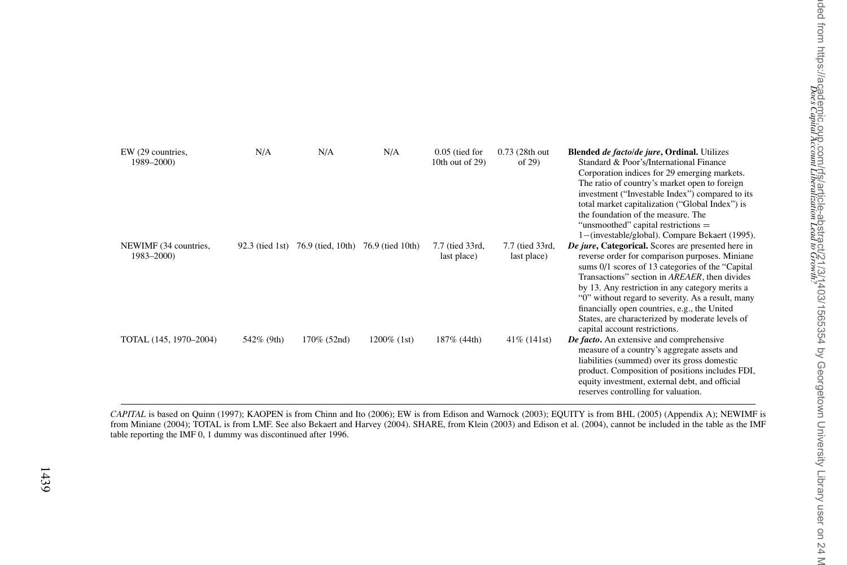|                                     |            |                                                    |                |                                        |                                |                                                                                                                                                                                                                                                                                                                                                                                                                                                        | Does<br>Capital Account |
|-------------------------------------|------------|----------------------------------------------------|----------------|----------------------------------------|--------------------------------|--------------------------------------------------------------------------------------------------------------------------------------------------------------------------------------------------------------------------------------------------------------------------------------------------------------------------------------------------------------------------------------------------------------------------------------------------------|-------------------------|
| EW (29 countries,<br>1989-2000)     | N/A        | N/A                                                | N/A            | $0.05$ (tied for<br>10th out of $29$ ) | 0.73 (28th out<br>of $29$ )    | <b>Blended de facto/de jure, Ordinal.</b> Utilizes<br>Standard & Poor's/International Finance<br>Corporation indices for 29 emerging markets.<br>The ratio of country's market open to foreign<br>investment ("Investable Index") compared to its<br>total market capitalization ("Global Index") is<br>the foundation of the measure. The<br>"unsmoothed" capital restrictions =<br>1-(investable/global). Compare Bekaert (1995).                    | Liberalization<br>Lead  |
| NEWIMF (34 countries,<br>1983-2000) |            | 92.3 (tied 1st) 76.9 (tied, 10th) 76.9 (tied 10th) |                | 7.7 (tied 33rd,<br>last place)         | 7.7 (tied 33rd,<br>last place) | De jure, Categorical. Scores are presented here in<br>reverse order for comparison purposes. Miniane<br>sums 0/1 scores of 13 categories of the "Capital"<br>Transactions" section in AREAER, then divides<br>by 13. Any restriction in any category merits a<br>"0" without regard to severity. As a result, many<br>financially open countries, e.g., the United<br>States, are characterized by moderate levels of<br>capital account restrictions. | $\tilde{o}$<br>Growth   |
| TOTAL (145, 1970-2004)              | 542% (9th) | 170% (52nd)                                        | $1200\%$ (1st) | 187% (44th)                            | $41\%$ (141st)                 | De facto. An extensive and comprehensive<br>measure of a country's aggregate assets and<br>liabilities (summed) over its gross domestic<br>product. Composition of positions includes FDI,<br>equity investment, external debt, and official<br>reserves controlling for valuation.                                                                                                                                                                    |                         |

*CAPITAL* is based on Quinn (1997); KAOPEN is from Chinn and Ito (2006); EW is from Edison and Warnock (2003); EQUITY is from BHL (2005) (Appendix A); NEWIMF is from Miniane (2004); TOTAL is from LMF. See also Bekaert and Harvey (2004). SHARE, from Klein (2003) and Edison et al. (2004), cannot be included in the table as the IMF table reporting the IMF 0, 1 dummy was discontinued after 1996.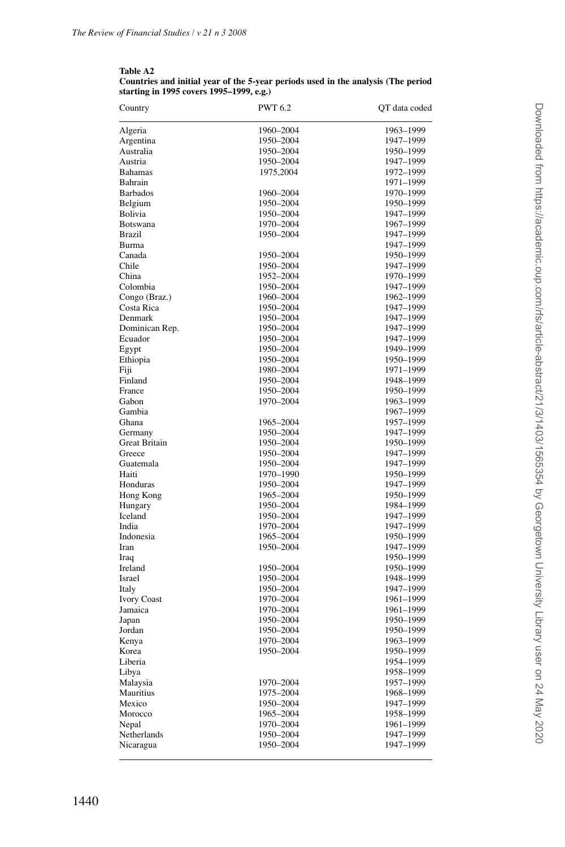| Country              | <b>PWT 6.2</b> | QT data coded          |
|----------------------|----------------|------------------------|
| Algeria              | 1960-2004      | 1963-1999              |
| Argentina            | 1950-2004      | 1947-1999              |
| Australia            | 1950-2004      | 1950-1999              |
| Austria              | 1950-2004      | 1947-1999              |
| <b>Bahamas</b>       | 1975,2004      | 1972-1999              |
| Bahrain              |                | 1971-1999              |
| <b>Barbados</b>      | 1960-2004      | 1970-1999              |
| Belgium              | 1950-2004      | 1950–1999              |
| Bolivia              | 1950–2004      | 1947–1999              |
| Botswana             | 1970-2004      | 1967-1999              |
| <b>Brazil</b>        | 1950-2004      | 1947–1999              |
| Burma                |                | 1947-1999              |
| Canada               | 1950-2004      | 1950-1999              |
| Chile                | 1950-2004      | 1947-1999              |
| China                | 1952-2004      | 1970-1999              |
| Colombia             | 1950-2004      | 1947-1999              |
| Congo (Braz.)        | 1960-2004      | 1962-1999              |
| Costa Rica           | 1950-2004      | 1947-1999              |
| Denmark              | 1950-2004      | 1947-1999              |
| Dominican Rep.       | 1950-2004      | 1947-1999              |
| Ecuador              | 1950-2004      | 1947-1999              |
| Egypt                | 1950-2004      | 1949-1999              |
| Ethiopia             | 1950-2004      | 1950-1999              |
| Fiji                 | 1980-2004      | 1971-1999              |
| Finland              | 1950-2004      | 1948-1999              |
| France               | 1950-2004      | 1950-1999              |
| Gabon                | 1970-2004      | 1963-1999              |
| Gambia               |                | 1967-1999              |
| Ghana                | 1965-2004      | 1957-1999              |
| Germany              | 1950-2004      | 1947-1999              |
| <b>Great Britain</b> | 1950–2004      | 1950–1999              |
| Greece               | 1950-2004      | 1947–1999              |
| Guatemala            | 1950-2004      | 1947-1999              |
| Haiti                | 1970-1990      | 1950-1999              |
| Honduras             | 1950-2004      | 1947-1999              |
| Hong Kong            | 1965-2004      | 1950-1999              |
| Hungary              | 1950-2004      | 1984-1999              |
| Iceland              | 1950-2004      | 1947-1999              |
| India                | 1970-2004      | 1947-1999              |
| Indonesia            | 1965-2004      | 1950-1999              |
| Iran                 | 1950-2004      | 1947-1999              |
| Iraq                 |                | 1950-1999              |
| Ireland              | 1950-2004      | 1950-1999              |
| Israel               | 1950-2004      | 1948-1999              |
| Italy                | 1950-2004      | 1947-1999              |
| <b>Ivory Coast</b>   | 1970-2004      | 1961-1999              |
| Jamaica              | 1970-2004      |                        |
| Japan                | 1950-2004      | 1961–1999<br>1950-1999 |
| Jordan               | 1950-2004      | 1950-1999              |
|                      |                |                        |
| Kenya<br>Korea       | 1970-2004      | 1963-1999<br>1950-1999 |
|                      | 1950-2004      |                        |
| Liberia              |                | 1954–1999              |
| Libya                |                | 1958-1999              |
| Malaysia             | 1970–2004      | 1957–1999              |
| Mauritius            | 1975-2004      | 1968-1999              |
| Mexico               | 1950–2004      | 1947–1999              |
| Morocco              | 1965-2004      | 1958-1999              |
| Nepal                | 1970-2004      | 1961-1999              |

Netherlands 1950–2004 1947–1999 Nicaragua 1950–2004 1947–1999

**Table A2 Countries and initial year of the 5-year periods used in the analysis (The period starting in 1995 covers 1995–1999, e.g.)**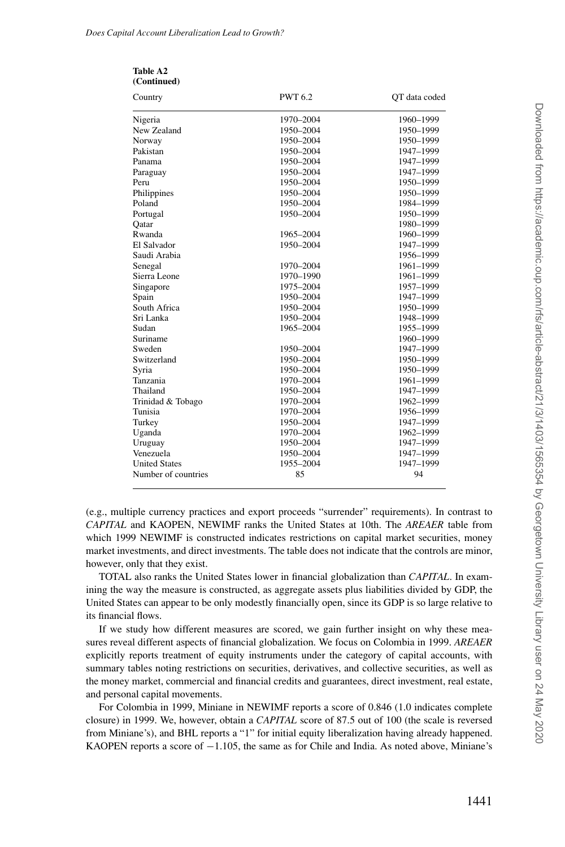| Country              | <b>PWT 6.2</b> | QT data coded |
|----------------------|----------------|---------------|
| Nigeria              | 1970-2004      | 1960-1999     |
| New Zealand          | 1950-2004      | 1950-1999     |
| Norway               | 1950-2004      | 1950-1999     |
| Pakistan             | 1950-2004      | 1947-1999     |
| Panama               | 1950-2004      | 1947-1999     |
| Paraguay             | 1950-2004      | 1947-1999     |
| Peru                 | 1950-2004      | 1950-1999     |
| Philippines          | 1950-2004      | 1950-1999     |
| Poland               | 1950-2004      | 1984-1999     |
| Portugal             | 1950-2004      | 1950-1999     |
| Oatar                |                | 1980-1999     |
| Rwanda               | 1965-2004      | 1960-1999     |
| El Salvador          | 1950-2004      | 1947-1999     |
| Saudi Arabia         |                | 1956-1999     |
| Senegal              | 1970-2004      | 1961-1999     |
| Sierra Leone         | 1970-1990      | 1961-1999     |
| Singapore            | 1975-2004      | 1957-1999     |
| Spain                | 1950-2004      | 1947-1999     |
| South Africa         | 1950-2004      | 1950-1999     |
| Sri Lanka            | 1950-2004      | 1948-1999     |
| Sudan                | 1965-2004      | 1955-1999     |
| Suriname             |                | 1960-1999     |
| Sweden               | 1950-2004      | 1947-1999     |
| Switzerland          | 1950-2004      | 1950-1999     |
| Syria                | 1950-2004      | 1950-1999     |
| Tanzania             | 1970-2004      | 1961-1999     |
| Thailand             | 1950-2004      | 1947-1999     |
| Trinidad & Tobago    | 1970-2004      | 1962-1999     |
| Tunisia              | 1970-2004      | 1956-1999     |
| Turkey               | 1950-2004      | 1947-1999     |
| Uganda               | 1970-2004      | 1962-1999     |
| Uruguay              | 1950-2004      | 1947-1999     |
| Venezuela            | 1950-2004      | 1947-1999     |
| <b>United States</b> | 1955-2004      | 1947-1999     |
| Number of countries  | 85             | 94            |

**Table A2 (Continued)**

(e.g., multiple currency practices and export proceeds "surrender" requirements). In contrast to *CAPITAL* and KAOPEN, NEWIMF ranks the United States at 10th. The *AREAER* table from which 1999 NEWIMF is constructed indicates restrictions on capital market securities, money market investments, and direct investments. The table does not indicate that the controls are minor, however, only that they exist.

TOTAL also ranks the United States lower in financial globalization than *CAPITAL*. In examining the way the measure is constructed, as aggregate assets plus liabilities divided by GDP, the United States can appear to be only modestly financially open, since its GDP is so large relative to its financial flows.

If we study how different measures are scored, we gain further insight on why these measures reveal different aspects of financial globalization. We focus on Colombia in 1999. *AREAER* explicitly reports treatment of equity instruments under the category of capital accounts, with summary tables noting restrictions on securities, derivatives, and collective securities, as well as the money market, commercial and financial credits and guarantees, direct investment, real estate, and personal capital movements.

For Colombia in 1999, Miniane in NEWIMF reports a score of 0.846 (1.0 indicates complete closure) in 1999. We, however, obtain a *CAPITAL* score of 87.5 out of 100 (the scale is reversed from Miniane's), and BHL reports a "1" for initial equity liberalization having already happened. KAOPEN reports a score of  $-1.105$ , the same as for Chile and India. As noted above, Miniane's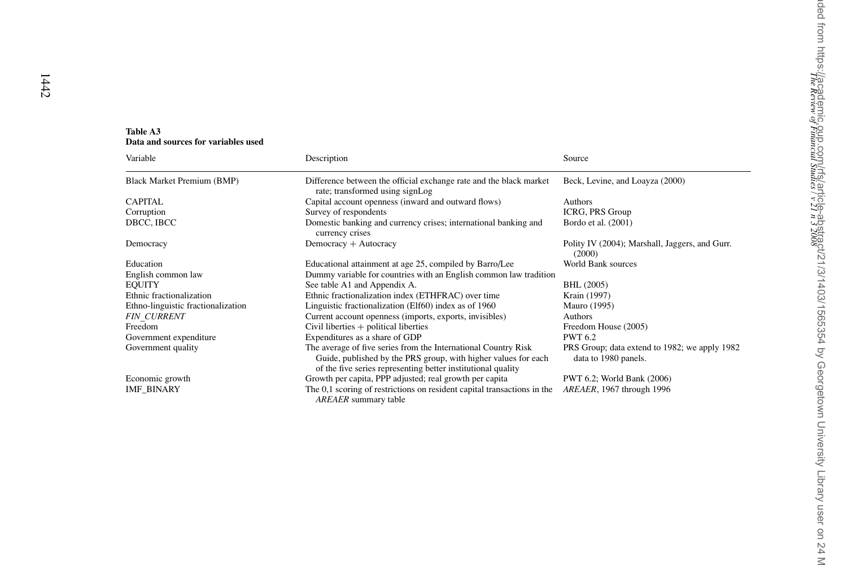| Table A3                            |                                                                                                                                                                                                  |                                                                       |  |
|-------------------------------------|--------------------------------------------------------------------------------------------------------------------------------------------------------------------------------------------------|-----------------------------------------------------------------------|--|
| Data and sources for variables used |                                                                                                                                                                                                  |                                                                       |  |
| Variable                            | Description                                                                                                                                                                                      | Source                                                                |  |
| Black Market Premium (BMP)          | Difference between the official exchange rate and the black market<br>rate; transformed using signLog                                                                                            | Beck, Levine, and Loayza (2000)                                       |  |
| <b>CAPITAL</b>                      | Capital account openness (inward and outward flows)                                                                                                                                              | Authors                                                               |  |
| Corruption                          | Survey of respondents                                                                                                                                                                            | <b>ICRG, PRS Group</b>                                                |  |
| DBCC, IBCC                          | Domestic banking and currency crises; international banking and<br>currency crises                                                                                                               | Bordo et al. (2001)                                                   |  |
| Democracy                           | Democracy + Autocracy                                                                                                                                                                            | Polity IV (2004); Marshall, Jaggers, and Gurr.<br>(2000)              |  |
| Education                           | Educational attainment at age 25, compiled by Barro/Lee                                                                                                                                          | World Bank sources                                                    |  |
| English common law                  | Dummy variable for countries with an English common law tradition                                                                                                                                |                                                                       |  |
| <b>EQUITY</b>                       | See table A1 and Appendix A.                                                                                                                                                                     | BHL (2005)                                                            |  |
| Ethnic fractionalization            | Ethnic fractionalization index (ETHFRAC) over time                                                                                                                                               | Krain (1997)                                                          |  |
| Ethno-linguistic fractionalization  | Linguistic fractionalization (Elf60) index as of 1960                                                                                                                                            | <b>Mauro</b> (1995)                                                   |  |
| <b>FIN CURRENT</b>                  | Current account openness (imports, exports, invisibles)                                                                                                                                          | Authors                                                               |  |
| Freedom                             | Civil liberties $+$ political liberties                                                                                                                                                          | Freedom House (2005)                                                  |  |
| Government expenditure              | Expenditures as a share of GDP                                                                                                                                                                   | <b>PWT 6.2</b>                                                        |  |
| Government quality                  | The average of five series from the International Country Risk<br>Guide, published by the PRS group, with higher values for each<br>of the five series representing better institutional quality | PRS Group; data extend to 1982; we apply 1982<br>data to 1980 panels. |  |
| Economic growth                     | Growth per capita, PPP adjusted; real growth per capita                                                                                                                                          | PWT 6.2; World Bank (2006)                                            |  |
| <b>IMF BINARY</b>                   | The 0,1 scoring of restrictions on resident capital transactions in the<br><b>AREAER</b> summary table                                                                                           | AREAER, 1967 through 1996                                             |  |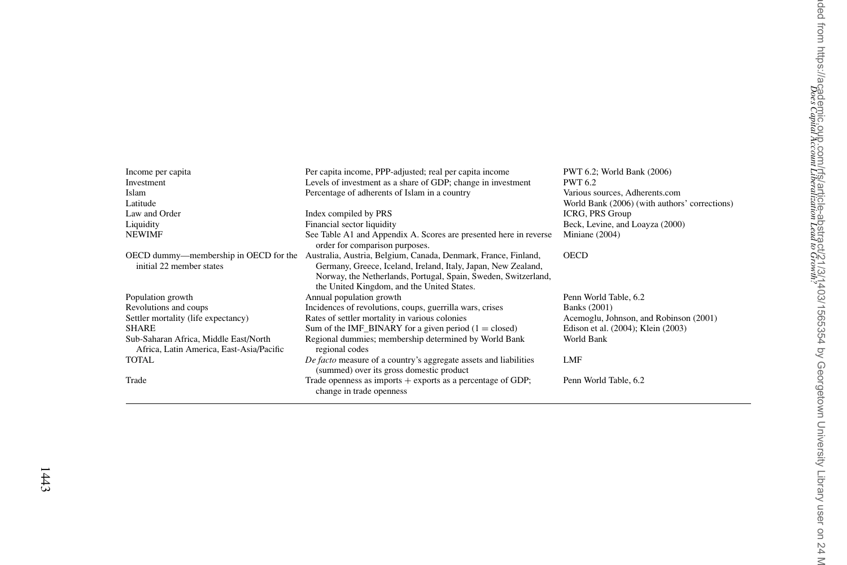| nded from https://academic.oup.com/rfs/article-abstract/21/3/1403/1565354 by Georgetown University Library user on 24 M<br>pded from https://academic.oup.com/rfs/article-abstract/21/3/1403/1565354 by Georgetown University Lib |  |
|-----------------------------------------------------------------------------------------------------------------------------------------------------------------------------------------------------------------------------------|--|
|                                                                                                                                                                                                                                   |  |
|                                                                                                                                                                                                                                   |  |
|                                                                                                                                                                                                                                   |  |

|                                                                                   |                                                                                                                                                                                                                                                 |                                               | Does            |
|-----------------------------------------------------------------------------------|-------------------------------------------------------------------------------------------------------------------------------------------------------------------------------------------------------------------------------------------------|-----------------------------------------------|-----------------|
|                                                                                   |                                                                                                                                                                                                                                                 |                                               |                 |
|                                                                                   |                                                                                                                                                                                                                                                 |                                               |                 |
|                                                                                   |                                                                                                                                                                                                                                                 |                                               |                 |
|                                                                                   |                                                                                                                                                                                                                                                 |                                               |                 |
|                                                                                   |                                                                                                                                                                                                                                                 |                                               | Capital Account |
| Income per capita                                                                 | Per capita income, PPP-adjusted; real per capita income                                                                                                                                                                                         | PWT 6.2; World Bank (2006)                    |                 |
| Investment                                                                        | Levels of investment as a share of GDP; change in investment                                                                                                                                                                                    | <b>PWT 6.2</b>                                |                 |
| Islam                                                                             | Percentage of adherents of Islam in a country                                                                                                                                                                                                   | Various sources, Adherents.com                | Liberalizati    |
| Latitude                                                                          |                                                                                                                                                                                                                                                 | World Bank (2006) (with authors' corrections) |                 |
| Law and Order                                                                     | Index compiled by PRS                                                                                                                                                                                                                           | ICRG, PRS Group                               |                 |
| Liquidity                                                                         | Financial sector liquidity                                                                                                                                                                                                                      | Beck, Levine, and Loayza (2000)               |                 |
| <b>NEWIMF</b>                                                                     | See Table A1 and Appendix A. Scores are presented here in reverse<br>order for comparison purposes.                                                                                                                                             | Miniane (2004)                                | Lead            |
| OECD dummy—membership in OECD for the<br>initial 22 member states                 | Australia, Austria, Belgium, Canada, Denmark, France, Finland,<br>Germany, Greece, Iceland, Ireland, Italy, Japan, New Zealand,<br>Norway, the Netherlands, Portugal, Spain, Sweden, Switzerland,<br>the United Kingdom, and the United States. | <b>OECD</b>                                   | Growth?         |
| Population growth                                                                 | Annual population growth                                                                                                                                                                                                                        | Penn World Table, 6.2                         |                 |
| Revolutions and coups                                                             | Incidences of revolutions, coups, guerrilla wars, crises                                                                                                                                                                                        | Banks (2001)                                  |                 |
| Settler mortality (life expectancy)                                               | Rates of settler mortality in various colonies                                                                                                                                                                                                  | Acemoglu, Johnson, and Robinson (2001)        |                 |
| <b>SHARE</b>                                                                      | Sum of the IMF_BINARY for a given period $(1 = closed)$                                                                                                                                                                                         | Edison et al. (2004); Klein (2003)            |                 |
| Sub-Saharan Africa, Middle East/North<br>Africa, Latin America, East-Asia/Pacific | Regional dummies; membership determined by World Bank<br>regional codes                                                                                                                                                                         | World Bank                                    |                 |
| <b>TOTAL</b>                                                                      | De facto measure of a country's aggregate assets and liabilities<br>(summed) over its gross domestic product                                                                                                                                    | <b>LMF</b>                                    |                 |
| Trade                                                                             | Trade openness as imports $+$ exports as a percentage of GDP;<br>change in trade openness                                                                                                                                                       | Penn World Table, 6.2                         |                 |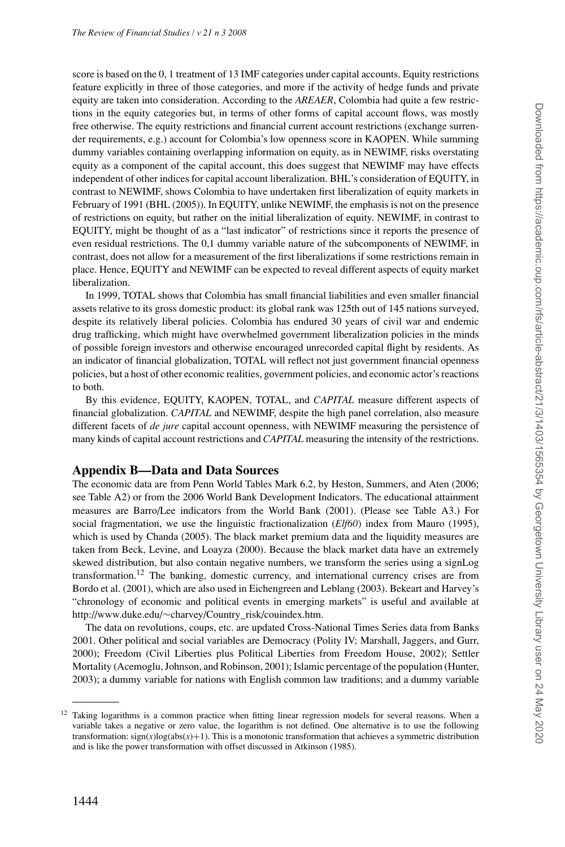score is based on the 0, 1 treatment of 13 IMF categories under capital accounts. Equity restrictions feature explicitly in three of those categories, and more if the activity of hedge funds and private equity are taken into consideration. According to the *AREAER*, Colombia had quite a few restrictions in the equity categories but, in terms of other forms of capital account flows, was mostly free otherwise. The equity restrictions and financial current account restrictions (exchange surrender requirements, e.g.) account for Colombia's low openness score in KAOPEN. While summing dummy variables containing overlapping information on equity, as in NEWIMF, risks overstating equity as a component of the capital account, this does suggest that NEWIMF may have effects independent of other indices for capital account liberalization. BHL's consideration of EQUITY, in contrast to NEWIMF, shows Colombia to have undertaken first liberalization of equity markets in February of 1991 (BHL (2005)). In EQUITY, unlike NEWIMF, the emphasis is not on the presence of restrictions on equity, but rather on the initial liberalization of equity. NEWIMF, in contrast to EQUITY, might be thought of as a "last indicator" of restrictions since it reports the presence of even residual restrictions. The 0,1 dummy variable nature of the subcomponents of NEWIMF, in contrast, does not allow for a measurement of the first liberalizations if some restrictions remain in place. Hence, EQUITY and NEWIMF can be expected to reveal different aspects of equity market liberalization.

In 1999, TOTAL shows that Colombia has small financial liabilities and even smaller financial assets relative to its gross domestic product: its global rank was 125th out of 145 nations surveyed, despite its relatively liberal policies. Colombia has endured 30 years of civil war and endemic drug trafficking, which might have overwhelmed government liberalization policies in the minds of possible foreign investors and otherwise encouraged unrecorded capital flight by residents. As an indicator of financial globalization, TOTAL will reflect not just government financial openness policies, but a host of other economic realities, government policies, and economic actor's reactions to both.

By this evidence, EQUITY, KAOPEN, TOTAL, and *CAPITAL* measure different aspects of financial globalization. *CAPITAL* and NEWIMF, despite the high panel correlation, also measure different facets of *de jure* capital account openness, with NEWIMF measuring the persistence of many kinds of capital account restrictions and *CAPITAL* measuring the intensity of the restrictions.

# **Appendix B—Data and Data Sources**

The economic data are from Penn World Tables Mark 6.2, by Heston, Summers, and Aten (2006; see Table A2) or from the 2006 World Bank Development Indicators. The educational attainment measures are Barro/Lee indicators from the World Bank (2001). (Please see Table A3.) For social fragmentation, we use the linguistic fractionalization (*Elf60*) index from Mauro (1995), which is used by Chanda (2005). The black market premium data and the liquidity measures are taken from Beck, Levine, and Loayza (2000). Because the black market data have an extremely skewed distribution, but also contain negative numbers, we transform the series using a signLog transformation.<sup>12</sup> The banking, domestic currency, and international currency crises are from Bordo et al. (2001), which are also used in Eichengreen and Leblang (2003). Bekeart and Harvey's "chronology of economic and political events in emerging markets" is useful and available at http://www.duke.edu/∼charvey/Country\_risk/couindex.htm.

The data on revolutions, coups, etc. are updated Cross-National Times Series data from Banks 2001. Other political and social variables are Democracy (Polity IV; Marshall, Jaggers, and Gurr, 2000); Freedom (Civil Liberties plus Political Liberties from Freedom House, 2002); Settler Mortality (Acemoglu, Johnson, and Robinson, 2001); Islamic percentage of the population (Hunter, 2003); a dummy variable for nations with English common law traditions; and a dummy variable

<sup>&</sup>lt;sup>12</sup> Taking logarithms is a common practice when fitting linear regression models for several reasons. When a variable takes a negative or zero value, the logarithm is not defined. One alternative is to use the following transformation:  $sign(x)log(abs(x) + 1)$ . This is a monotonic transformation that achieves a symmetric distribution and is like the power transformation with offset discussed in Atkinson (1985).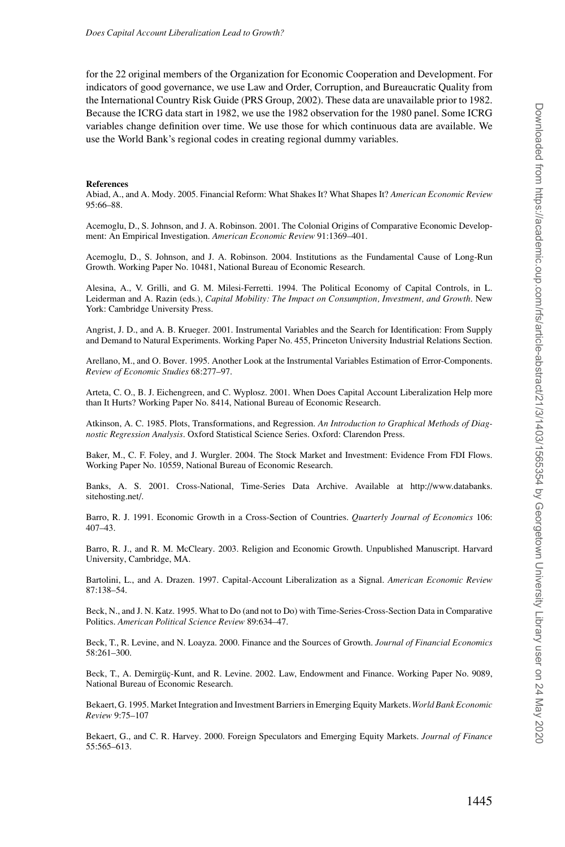for the 22 original members of the Organization for Economic Cooperation and Development. For indicators of good governance, we use Law and Order, Corruption, and Bureaucratic Quality from the International Country Risk Guide (PRS Group, 2002). These data are unavailable prior to 1982. Because the ICRG data start in 1982, we use the 1982 observation for the 1980 panel. Some ICRG variables change definition over time. We use those for which continuous data are available. We use the World Bank's regional codes in creating regional dummy variables.

#### **References**

Abiad, A., and A. Mody. 2005. Financial Reform: What Shakes It? What Shapes It? *American Economic Review* 95:66–88.

Acemoglu, D., S. Johnson, and J. A. Robinson. 2001. The Colonial Origins of Comparative Economic Development: An Empirical Investigation. *American Economic Review* 91:1369–401.

Acemoglu, D., S. Johnson, and J. A. Robinson. 2004. Institutions as the Fundamental Cause of Long-Run Growth. Working Paper No. 10481, National Bureau of Economic Research.

Alesina, A., V. Grilli, and G. M. Milesi-Ferretti. 1994. The Political Economy of Capital Controls, in L. Leiderman and A. Razin (eds.), *Capital Mobility: The Impact on Consumption, Investment, and Growth*. New York: Cambridge University Press.

Angrist, J. D., and A. B. Krueger. 2001. Instrumental Variables and the Search for Identification: From Supply and Demand to Natural Experiments. Working Paper No. 455, Princeton University Industrial Relations Section.

Arellano, M., and O. Bover. 1995. Another Look at the Instrumental Variables Estimation of Error-Components. *Review of Economic Studies* 68:277–97.

Arteta, C. O., B. J. Eichengreen, and C. Wyplosz. 2001. When Does Capital Account Liberalization Help more than It Hurts? Working Paper No. 8414, National Bureau of Economic Research.

Atkinson, A. C. 1985. Plots, Transformations, and Regression. *An Introduction to Graphical Methods of Diagnostic Regression Analysis*. Oxford Statistical Science Series. Oxford: Clarendon Press.

Baker, M., C. F. Foley, and J. Wurgler. 2004. The Stock Market and Investment: Evidence From FDI Flows. Working Paper No. 10559, National Bureau of Economic Research.

Banks, A. S. 2001. Cross-National, Time-Series Data Archive. Available at http://www.databanks. sitehosting.net/.

Barro, R. J. 1991. Economic Growth in a Cross-Section of Countries. *Quarterly Journal of Economics* 106: 407–43.

Barro, R. J., and R. M. McCleary. 2003. Religion and Economic Growth. Unpublished Manuscript. Harvard University, Cambridge, MA.

Bartolini, L., and A. Drazen. 1997. Capital-Account Liberalization as a Signal. *American Economic Review* 87:138–54.

Beck, N., and J. N. Katz. 1995. What to Do (and not to Do) with Time-Series-Cross-Section Data in Comparative Politics. *American Political Science Review* 89:634–47.

Beck, T., R. Levine, and N. Loayza. 2000. Finance and the Sources of Growth. *Journal of Financial Economics* 58:261–300.

Beck, T., A. Demirgüc-Kunt, and R. Levine. 2002. Law, Endowment and Finance. Working Paper No. 9089, National Bureau of Economic Research.

Bekaert, G. 1995. Market Integration and Investment Barriers in Emerging Equity Markets. *World Bank Economic Review* 9:75–107

Bekaert, G., and C. R. Harvey. 2000. Foreign Speculators and Emerging Equity Markets. *Journal of Finance* 55:565–613.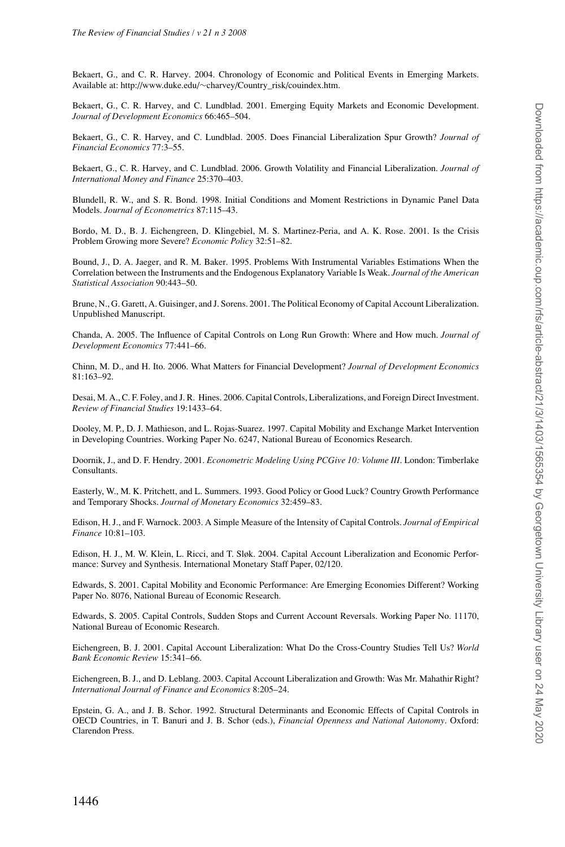Bekaert, G., and C. R. Harvey. 2004. Chronology of Economic and Political Events in Emerging Markets. Available at: http://www.duke.edu/∼charvey/Country\_risk/couindex.htm.

Bekaert, G., C. R. Harvey, and C. Lundblad. 2001. Emerging Equity Markets and Economic Development. *Journal of Development Economics* 66:465–504.

Bekaert, G., C. R. Harvey, and C. Lundblad. 2005. Does Financial Liberalization Spur Growth? *Journal of Financial Economics* 77:3–55.

Bekaert, G., C. R. Harvey, and C. Lundblad. 2006. Growth Volatility and Financial Liberalization. *Journal of International Money and Finance* 25:370–403.

Blundell, R. W., and S. R. Bond. 1998. Initial Conditions and Moment Restrictions in Dynamic Panel Data Models. *Journal of Econometrics* 87:115–43.

Bordo, M. D., B. J. Eichengreen, D. Klingebiel, M. S. Martinez-Peria, and A. K. Rose. 2001. Is the Crisis Problem Growing more Severe? *Economic Policy* 32:51–82.

Bound, J., D. A. Jaeger, and R. M. Baker. 1995. Problems With Instrumental Variables Estimations When the Correlation between the Instruments and the Endogenous Explanatory Variable Is Weak. *Journal of the American Statistical Association* 90:443–50.

Brune, N., G. Garett, A. Guisinger, and J. Sorens. 2001. The Political Economy of Capital Account Liberalization. Unpublished Manuscript.

Chanda, A. 2005. The Influence of Capital Controls on Long Run Growth: Where and How much. *Journal of Development Economics* 77:441–66.

Chinn, M. D., and H. Ito. 2006. What Matters for Financial Development? *Journal of Development Economics* 81:163–92.

Desai, M. A., C. F. Foley, and J. R. Hines. 2006. Capital Controls, Liberalizations, and Foreign Direct Investment. *Review of Financial Studies* 19:1433–64.

Dooley, M. P., D. J. Mathieson, and L. Rojas-Suarez. 1997. Capital Mobility and Exchange Market Intervention in Developing Countries. Working Paper No. 6247, National Bureau of Economics Research.

Doornik, J., and D. F. Hendry. 2001. *Econometric Modeling Using PCGive 10: Volume III*. London: Timberlake Consultants.

Easterly, W., M. K. Pritchett, and L. Summers. 1993. Good Policy or Good Luck? Country Growth Performance and Temporary Shocks. *Journal of Monetary Economics* 32:459–83.

Edison, H. J., and F. Warnock. 2003. A Simple Measure of the Intensity of Capital Controls. *Journal of Empirical Finance* 10:81–103.

Edison, H. J., M. W. Klein, L. Ricci, and T. Sløk. 2004. Capital Account Liberalization and Economic Performance: Survey and Synthesis. International Monetary Staff Paper, 02/120.

Edwards, S. 2001. Capital Mobility and Economic Performance: Are Emerging Economies Different? Working Paper No. 8076, National Bureau of Economic Research.

Edwards, S. 2005. Capital Controls, Sudden Stops and Current Account Reversals. Working Paper No. 11170, National Bureau of Economic Research.

Eichengreen, B. J. 2001. Capital Account Liberalization: What Do the Cross-Country Studies Tell Us? *World Bank Economic Review* 15:341–66.

Eichengreen, B. J., and D. Leblang. 2003. Capital Account Liberalization and Growth: Was Mr. Mahathir Right? *International Journal of Finance and Economics* 8:205–24.

Epstein, G. A., and J. B. Schor. 1992. Structural Determinants and Economic Effects of Capital Controls in OECD Countries, in T. Banuri and J. B. Schor (eds.), *Financial Openness and National Autonomy*. Oxford: Clarendon Press.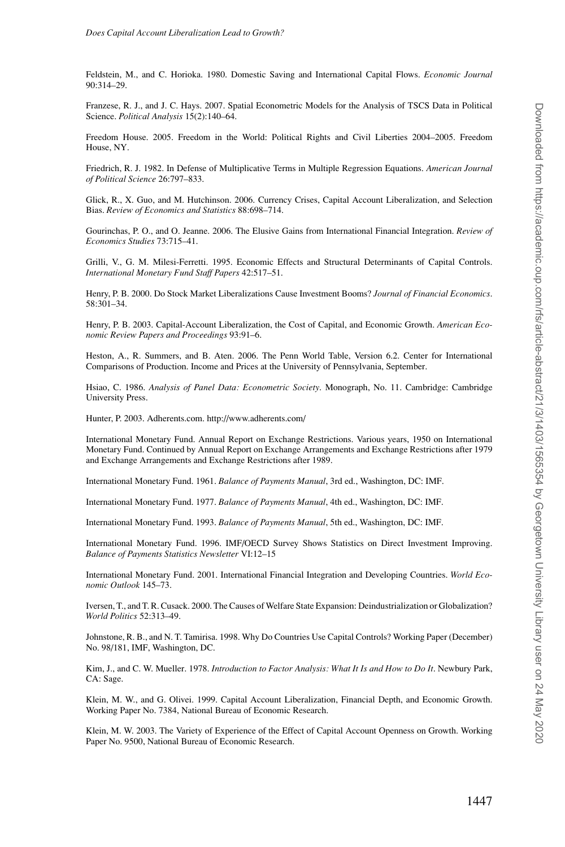Feldstein, M., and C. Horioka. 1980. Domestic Saving and International Capital Flows. *Economic Journal* 90:314–29.

Franzese, R. J., and J. C. Hays. 2007. Spatial Econometric Models for the Analysis of TSCS Data in Political Science. *Political Analysis* 15(2):140–64.

Freedom House. 2005. Freedom in the World: Political Rights and Civil Liberties 2004–2005. Freedom House, NY.

Friedrich, R. J. 1982. In Defense of Multiplicative Terms in Multiple Regression Equations. *American Journal of Political Science* 26:797–833.

Glick, R., X. Guo, and M. Hutchinson. 2006. Currency Crises, Capital Account Liberalization, and Selection Bias. *Review of Economics and Statistics* 88:698–714.

Gourinchas, P. O., and O. Jeanne. 2006. The Elusive Gains from International Financial Integration. *Review of Economics Studies* 73:715–41.

Grilli, V., G. M. Milesi-Ferretti. 1995. Economic Effects and Structural Determinants of Capital Controls. *International Monetary Fund Staff Papers* 42:517–51.

Henry, P. B. 2000. Do Stock Market Liberalizations Cause Investment Booms? *Journal of Financial Economics*. 58:301–34.

Henry, P. B. 2003. Capital-Account Liberalization, the Cost of Capital, and Economic Growth. *American Economic Review Papers and Proceedings* 93:91–6.

Heston, A., R. Summers, and B. Aten. 2006. The Penn World Table, Version 6.2. Center for International Comparisons of Production. Income and Prices at the University of Pennsylvania, September.

Hsiao, C. 1986. *Analysis of Panel Data: Econometric Society*. Monograph, No. 11. Cambridge: Cambridge University Press.

Hunter, P. 2003. Adherents.com. http://www.adherents.com/

International Monetary Fund. Annual Report on Exchange Restrictions. Various years, 1950 on International Monetary Fund. Continued by Annual Report on Exchange Arrangements and Exchange Restrictions after 1979 and Exchange Arrangements and Exchange Restrictions after 1989.

International Monetary Fund. 1961. *Balance of Payments Manual*, 3rd ed., Washington, DC: IMF.

International Monetary Fund. 1977. *Balance of Payments Manual*, 4th ed., Washington, DC: IMF.

International Monetary Fund. 1993. *Balance of Payments Manual*, 5th ed., Washington, DC: IMF.

International Monetary Fund. 1996. IMF/OECD Survey Shows Statistics on Direct Investment Improving. *Balance of Payments Statistics Newsletter* VI:12–15

International Monetary Fund. 2001. International Financial Integration and Developing Countries. *World Economic Outlook* 145–73.

Iversen, T., and T. R. Cusack. 2000. The Causes of Welfare State Expansion: Deindustrialization or Globalization? *World Politics* 52:313–49.

Johnstone, R. B., and N. T. Tamirisa. 1998. Why Do Countries Use Capital Controls? Working Paper (December) No. 98/181, IMF, Washington, DC.

Kim, J., and C. W. Mueller. 1978. *Introduction to Factor Analysis: What It Is and How to Do It*. Newbury Park, CA: Sage.

Klein, M. W., and G. Olivei. 1999. Capital Account Liberalization, Financial Depth, and Economic Growth. Working Paper No. 7384, National Bureau of Economic Research.

Klein, M. W. 2003. The Variety of Experience of the Effect of Capital Account Openness on Growth. Working Paper No. 9500, National Bureau of Economic Research.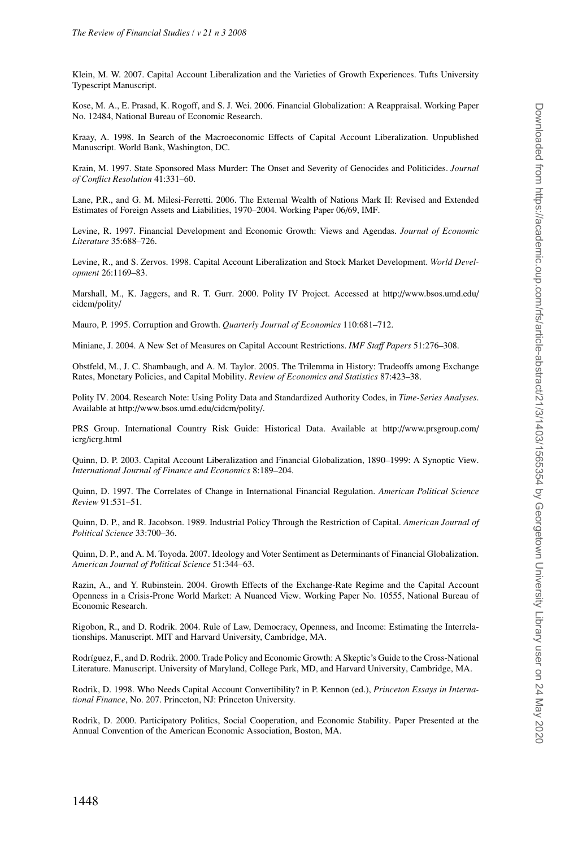Klein, M. W. 2007. Capital Account Liberalization and the Varieties of Growth Experiences. Tufts University Typescript Manuscript.

Kose, M. A., E. Prasad, K. Rogoff, and S. J. Wei. 2006. Financial Globalization: A Reappraisal. Working Paper No. 12484, National Bureau of Economic Research.

Kraay, A. 1998. In Search of the Macroeconomic Effects of Capital Account Liberalization. Unpublished Manuscript. World Bank, Washington, DC.

Krain, M. 1997. State Sponsored Mass Murder: The Onset and Severity of Genocides and Politicides. *Journal of Conflict Resolution* 41:331–60.

Lane, P.R., and G. M. Milesi-Ferretti. 2006. The External Wealth of Nations Mark II: Revised and Extended Estimates of Foreign Assets and Liabilities, 1970–2004. Working Paper 06/69, IMF.

Levine, R. 1997. Financial Development and Economic Growth: Views and Agendas. *Journal of Economic Literature* 35:688–726.

Levine, R., and S. Zervos. 1998. Capital Account Liberalization and Stock Market Development. *World Development* 26:1169–83.

Marshall, M., K. Jaggers, and R. T. Gurr. 2000. Polity IV Project. Accessed at http://www.bsos.umd.edu/ cidcm/polity/

Mauro, P. 1995. Corruption and Growth. *Quarterly Journal of Economics* 110:681–712.

Miniane, J. 2004. A New Set of Measures on Capital Account Restrictions. *IMF Staff Papers* 51:276–308.

Obstfeld, M., J. C. Shambaugh, and A. M. Taylor. 2005. The Trilemma in History: Tradeoffs among Exchange Rates, Monetary Policies, and Capital Mobility. *Review of Economics and Statistics* 87:423–38.

Polity IV. 2004. Research Note: Using Polity Data and Standardized Authority Codes, in *Time-Series Analyses*. Available at http://www.bsos.umd.edu/cidcm/polity/.

PRS Group. International Country Risk Guide: Historical Data. Available at http://www.prsgroup.com/ icrg/icrg.html

Quinn, D. P. 2003. Capital Account Liberalization and Financial Globalization, 1890–1999: A Synoptic View. *International Journal of Finance and Economics* 8:189–204.

Quinn, D. 1997. The Correlates of Change in International Financial Regulation. *American Political Science Review* 91:531–51.

Quinn, D. P., and R. Jacobson. 1989. Industrial Policy Through the Restriction of Capital. *American Journal of Political Science* 33:700–36.

Quinn, D. P., and A. M. Toyoda. 2007. Ideology and Voter Sentiment as Determinants of Financial Globalization. *American Journal of Political Science* 51:344–63.

Razin, A., and Y. Rubinstein. 2004. Growth Effects of the Exchange-Rate Regime and the Capital Account Openness in a Crisis-Prone World Market: A Nuanced View. Working Paper No. 10555, National Bureau of Economic Research.

Rigobon, R., and D. Rodrik. 2004. Rule of Law, Democracy, Openness, and Income: Estimating the Interrelationships. Manuscript. MIT and Harvard University, Cambridge, MA.

Rodríguez, F., and D. Rodrik. 2000. Trade Policy and Economic Growth: A Skeptic's Guide to the Cross-National Literature. Manuscript. University of Maryland, College Park, MD, and Harvard University, Cambridge, MA.

Rodrik, D. 1998. Who Needs Capital Account Convertibility? in P. Kennon (ed.), *Princeton Essays in International Finance*, No. 207. Princeton, NJ: Princeton University.

Rodrik, D. 2000. Participatory Politics, Social Cooperation, and Economic Stability. Paper Presented at the Annual Convention of the American Economic Association, Boston, MA.